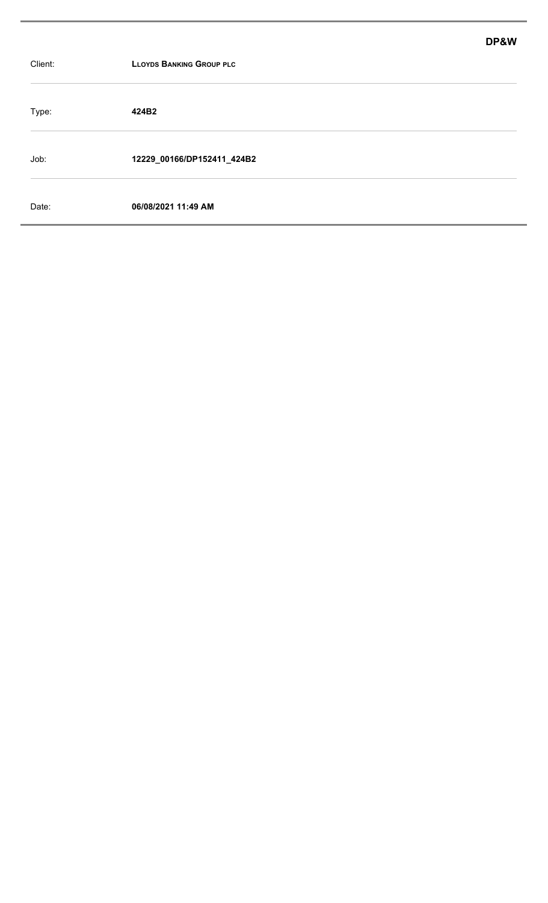|         |                                 | DP&W |
|---------|---------------------------------|------|
| Client: | <b>LLOYDS BANKING GROUP PLC</b> |      |
| Type:   | 424B2                           |      |
| Job:    | 12229_00166/DP152411_424B2      |      |
| Date:   | 06/08/2021 11:49 AM             |      |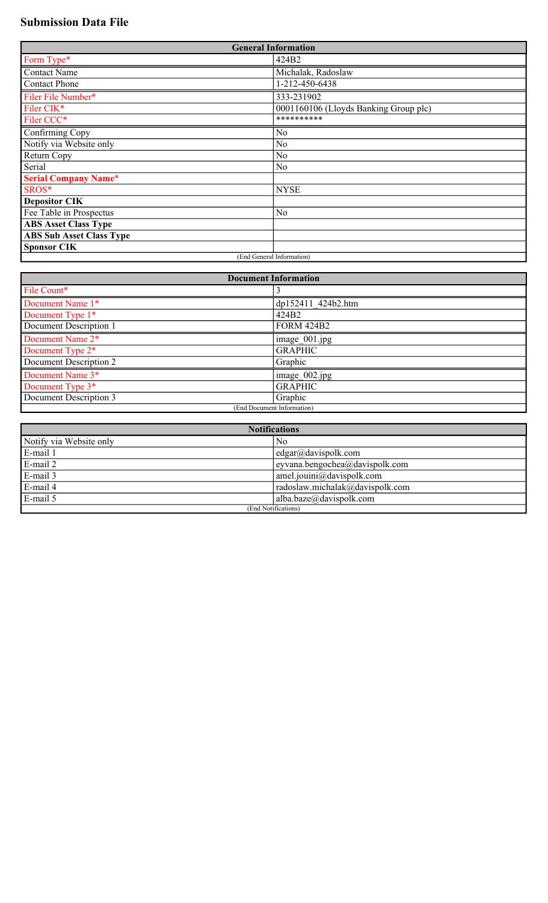# **Submission Data File**

| <b>General Information</b>      |                                       |  |
|---------------------------------|---------------------------------------|--|
| Form Type*                      | 424B2                                 |  |
| <b>Contact Name</b>             | Michalak, Radoslaw                    |  |
| <b>Contact Phone</b>            | 1-212-450-6438                        |  |
| Filer File Number*              | 333-231902                            |  |
| Filer CIK*                      | 0001160106 (Lloyds Banking Group plc) |  |
| Filer CCC*                      | **********                            |  |
| Confirming Copy                 | No                                    |  |
| Notify via Website only         | N <sub>o</sub>                        |  |
| Return Copy                     | No                                    |  |
| Serial                          | N <sub>o</sub>                        |  |
| <b>Serial Company Name*</b>     |                                       |  |
| SROS*                           | <b>NYSE</b>                           |  |
| <b>Depositor CIK</b>            |                                       |  |
| Fee Table in Prospectus         | N <sub>o</sub>                        |  |
| <b>ABS Asset Class Type</b>     |                                       |  |
| <b>ABS Sub Asset Class Type</b> |                                       |  |
| <b>Sponsor CIK</b>              |                                       |  |
| (End General Information)       |                                       |  |

| <b>Document Information</b> |                          |  |
|-----------------------------|--------------------------|--|
| File Count*                 |                          |  |
| Document Name 1*            | dp152411 424b2.htm       |  |
| Document Type 1*            | 424B2                    |  |
| Document Description 1      | <b>FORM 424B2</b>        |  |
| Document Name 2*            | image $001$ .jpg         |  |
| Document Type 2*            | <b>GRAPHIC</b>           |  |
| Document Description 2      | Graphic                  |  |
| Document Name 3*            | $\vert$ image $002$ .jpg |  |
| Document Type $3*$          | <b>GRAPHIC</b>           |  |
| Document Description 3      | Graphic                  |  |
| (End Document Information)  |                          |  |

| <b>Notifications</b>    |                                       |  |
|-------------------------|---------------------------------------|--|
| Notify via Website only | No                                    |  |
| E-mail 1                | $\text{edge}(\text{a})$ davispolk.com |  |
| $E$ -mail 2             | eyvana.bengochea@davispolk.com        |  |
| $E-mail 3$              | $ $ amel.jouini@davispolk.com         |  |
| $E$ -mail 4             | radoslaw.michalak@davispolk.com       |  |
| $E$ -mail 5             | alba.baze@davispolk.com               |  |
| (End Notifications)     |                                       |  |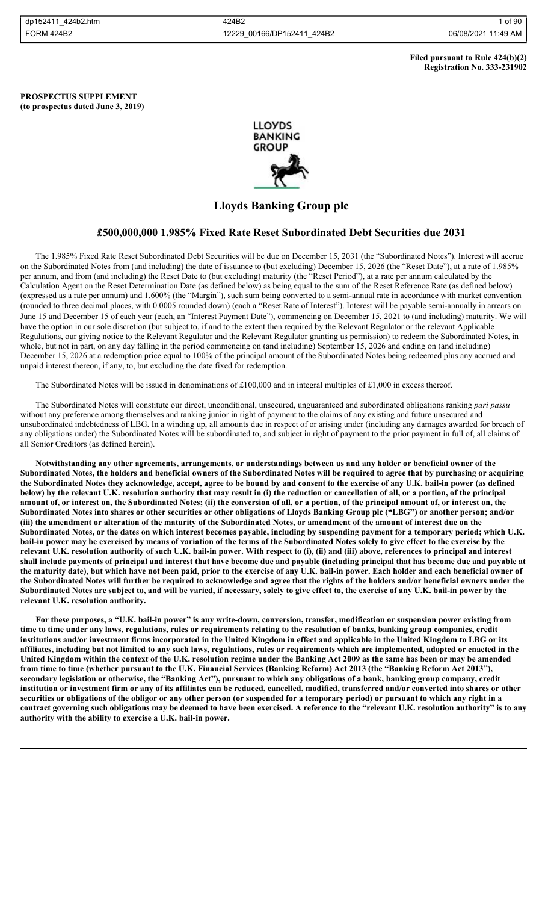## **Filed pursuant to Rule 424(b)(2) Registration No. 333-231902**

**PROSPECTUS SUPPLEMENT (to prospectus dated June 3, 2019)**



# **Lloyds Banking Group plc**

# **£500,000,000 1.985% Fixed Rate Reset Subordinated Debt Securities due 2031**

The 1.985% Fixed Rate Reset Subordinated Debt Securities will be due on December 15, 2031 (the "Subordinated Notes"). Interest will accrue on the Subordinated Notes from (and including) the date of issuance to (but excluding) December 15, 2026 (the "Reset Date"), at a rate of 1.985% per annum, and from (and including) the Reset Date to (but excluding) maturity (the "Reset Period"), at a rate per annum calculated by the Calculation Agent on the Reset Determination Date (as defined below) as being equal to the sum of the Reset Reference Rate (as defined below) (expressed as a rate per annum) and 1.600% (the "Margin"), such sum being converted to a semi-annual rate in accordance with market convention (rounded to three decimal places, with 0.0005 rounded down) (each a "Reset Rate of Interest"). Interest will be payable semi-annually in arrears on June 15 and December 15 of each year (each, an "Interest Payment Date"), commencing on December 15, 2021 to (and including) maturity. We will have the option in our sole discretion (but subject to, if and to the extent then required by the Relevant Regulator or the relevant Applicable Regulations, our giving notice to the Relevant Regulator and the Relevant Regulator granting us permission) to redeem the Subordinated Notes, in whole, but not in part, on any day falling in the period commencing on (and including) September 15, 2026 and ending on (and including) December 15, 2026 at a redemption price equal to 100% of the principal amount of the Subordinated Notes being redeemed plus any accrued and unpaid interest thereon, if any, to, but excluding the date fixed for redemption.

The Subordinated Notes will be issued in denominations of £100,000 and in integral multiples of £1,000 in excess thereof.

The Subordinated Notes will constitute our direct, unconditional, unsecured, unguaranteed and subordinated obligations ranking *pari passu* without any preference among themselves and ranking junior in right of payment to the claims of any existing and future unsecured and unsubordinated indebtedness of LBG. In a winding up, all amounts due in respect of or arising under (including any damages awarded for breach of any obligations under) the Subordinated Notes will be subordinated to, and subject in right of payment to the prior payment in full of, all claims of all Senior Creditors (as defined herein).

**Notwithstanding any other agreements, arrangements, or understandings between us and any holder or beneficial owner of the Subordinated Notes, the holders and beneficial owners of the Subordinated Notes will be required to agree that by purchasing or acquiring the Subordinated Notes they acknowledge, accept, agree to be bound by and consent to the exercise of any U.K. bail-in power (as defined below) by the relevant U.K. resolution authority that may result in (i) the reduction or cancellation of all, or a portion, of the principal amount of, or interest on, the Subordinated Notes; (ii) the conversion of all, or a portion, of the principal amount of, or interest on, the Subordinated Notes into shares or other securities or other obligations of Lloyds Banking Group plc ("LBG") or another person; and/or (iii) the amendment or alteration of the maturity of the Subordinated Notes, or amendment of the amount of interest due on the Subordinated Notes, or the dates on which interest becomes payable, including by suspending payment for a temporary period; which U.K. bail-in power may be exercised by means of variation of the terms of the Subordinated Notes solely to give effect to the exercise by the relevant U.K. resolution authority of such U.K. bail-in power. With respect to (i), (ii) and (iii) above, references to principal and interest shall include payments of principal and interest that have become due and payable (including principal that has become due and payable at the maturity date), but which have not been paid, prior to the exercise of any U.K. bail-in power. Each holder and each beneficial owner of the Subordinated Notes will further be required to acknowledge and agree that the rights of the holders and/or beneficial owners under the Subordinated Notes are subject to, and will be varied, if necessary, solely to give effect to, the exercise of any U.K. bail-in power by the relevant U.K. resolution authority.**

**For these purposes, a "U.K. bail-in power" is any write-down, conversion, transfer, modification or suspension power existing from time to time under any laws, regulations, rules or requirements relating to the resolution of banks, banking group companies, credit institutions and/or investment firms incorporated in the United Kingdom in effect and applicable in the United Kingdom to LBG or its affiliates, including but not limited to any such laws, regulations, rules or requirements which are implemented, adopted or enacted in the United Kingdom within the context of the U.K. resolution regime under the Banking Act 2009 as the same has been or may be amended**  from time to time (whether pursuant to the U.K. Financial Services (Banking Reform) Act 2013 (the "Banking Reform Act 2013"), **secondary legislation or otherwise, the "Banking Act"), pursuant to which any obligations of a bank, banking group company, credit institution or investment firm or any of its affiliates can be reduced, cancelled, modified, transferred and/or converted into shares or other securities or obligations of the obligor or any other person (or suspended for a temporary period) or pursuant to which any right in a contract governing such obligations may be deemed to have been exercised. A reference to the "relevant U.K. resolution authority" is to any authority with the ability to exercise a U.K. bail-in power.**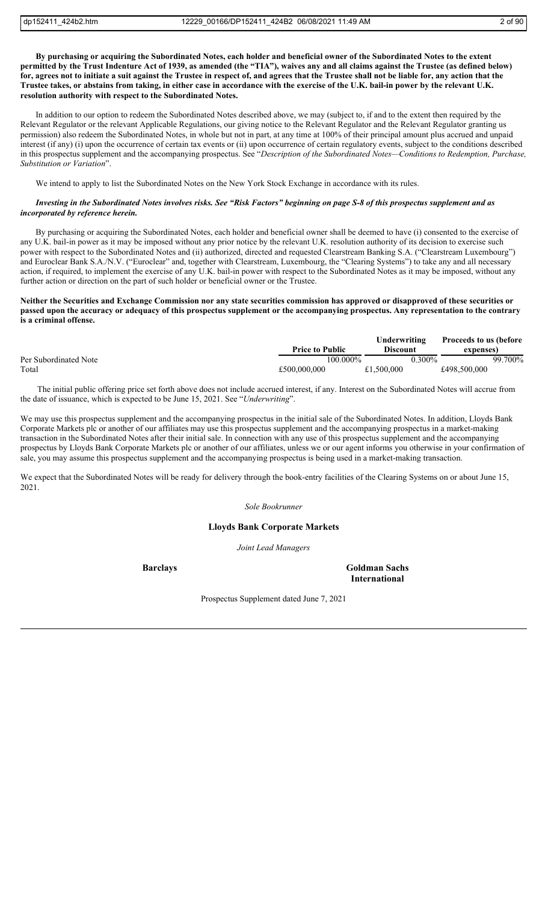**By purchasing or acquiring the Subordinated Notes, each holder and beneficial owner of the Subordinated Notes to the extent permitted by the Trust Indenture Act of 1939, as amended (the "TIA"), waives any and all claims against the Trustee (as defined below) for, agrees not to initiate a suit against the Trustee in respect of, and agrees that the Trustee shall not be liable for, any action that the Trustee takes, or abstains from taking, in either case in accordance with the exercise of the U.K. bail-in power by the relevant U.K. resolution authority with respect to the Subordinated Notes.**

In addition to our option to redeem the Subordinated Notes described above, we may (subject to, if and to the extent then required by the Relevant Regulator or the relevant Applicable Regulations, our giving notice to the Relevant Regulator and the Relevant Regulator granting us permission) also redeem the Subordinated Notes, in whole but not in part, at any time at 100% of their principal amount plus accrued and unpaid interest (if any) (i) upon the occurrence of certain tax events or (ii) upon occurrence of certain regulatory events, subject to the conditions described in this prospectus supplement and the accompanying prospectus. See "*Description of the Subordinated Notes—Conditions to Redemption, Purchase, Substitution or Variation*".

We intend to apply to list the Subordinated Notes on the New York Stock Exchange in accordance with its rules.

## *Investing in the Subordinated Notes involves risks. See "Risk Factors" beginning on page S-8 of this prospectus supplement and as incorporated by reference herein.*

By purchasing or acquiring the Subordinated Notes, each holder and beneficial owner shall be deemed to have (i) consented to the exercise of any U.K. bail-in power as it may be imposed without any prior notice by the relevant U.K. resolution authority of its decision to exercise such power with respect to the Subordinated Notes and (ii) authorized, directed and requested Clearstream Banking S.A. ("Clearstream Luxembourg") and Euroclear Bank S.A./N.V. ("Euroclear" and, together with Clearstream, Luxembourg, the "Clearing Systems") to take any and all necessary action, if required, to implement the exercise of any U.K. bail-in power with respect to the Subordinated Notes as it may be imposed, without any further action or direction on the part of such holder or beneficial owner or the Trustee.

## **Neither the Securities and Exchange Commission nor any state securities commission has approved or disapproved of these securities or passed upon the accuracy or adequacy of this prospectus supplement or the accompanying prospectus. Any representation to the contrary is a criminal offense.**

|                       |                        | Underwriting    | <b>Proceeds to us (before</b> |         |
|-----------------------|------------------------|-----------------|-------------------------------|---------|
|                       | <b>Price to Public</b> | <b>Discount</b> | expenses)                     |         |
| Per Subordinated Note | 100.000%               | $0.300\%$       |                               | 99.700% |
| Total                 | £500,000,000           | £1,500,000      | £498,500,000                  |         |

 The initial public offering price set forth above does not include accrued interest, if any. Interest on the Subordinated Notes will accrue from the date of issuance, which is expected to be June 15, 2021. See "*Underwriting*".

We may use this prospectus supplement and the accompanying prospectus in the initial sale of the Subordinated Notes. In addition, Lloyds Bank Corporate Markets plc or another of our affiliates may use this prospectus supplement and the accompanying prospectus in a market-making transaction in the Subordinated Notes after their initial sale. In connection with any use of this prospectus supplement and the accompanying prospectus by Lloyds Bank Corporate Markets plc or another of our affiliates, unless we or our agent informs you otherwise in your confirmation of sale, you may assume this prospectus supplement and the accompanying prospectus is being used in a market-making transaction.

We expect that the Subordinated Notes will be ready for delivery through the book-entry facilities of the Clearing Systems on or about June 15, 2021.

*Sole Bookrunner*

# **Lloyds Bank Corporate Markets**

*Joint Lead Managers*

**Barclays Goldman Sachs International** 

Prospectus Supplement dated June 7, 2021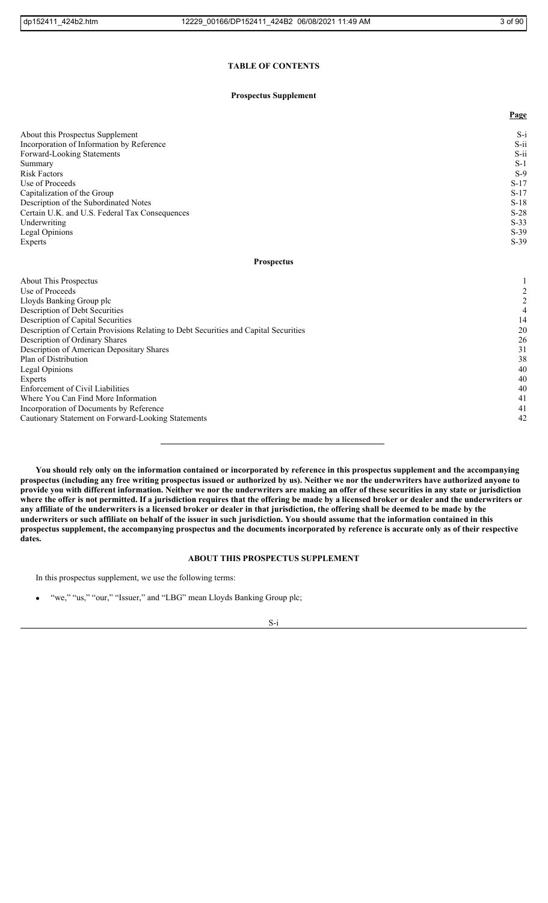# **TABLE OF CONTENTS**

## **Prospectus Supplement**

|                                                | Page    |
|------------------------------------------------|---------|
| About this Prospectus Supplement               | $S-i$   |
| Incorporation of Information by Reference      | $S$ -ii |
| Forward-Looking Statements                     | $S$ -ii |
| Summary                                        | $S-1$   |
| <b>Risk Factors</b>                            | $S-9$   |
| Use of Proceeds                                | $S-17$  |
| Capitalization of the Group                    | $S-17$  |
| Description of the Subordinated Notes          | $S-18$  |
| Certain U.K. and U.S. Federal Tax Consequences | $S-28$  |
| Underwriting                                   | $S-33$  |
| Legal Opinions                                 | $S-39$  |
| Experts                                        | $S-39$  |

## **Prospectus**

| About This Prospectus                                                                |    |
|--------------------------------------------------------------------------------------|----|
| Use of Proceeds                                                                      |    |
| Lloyds Banking Group plc                                                             |    |
| Description of Debt Securities                                                       |    |
| Description of Capital Securities                                                    | 14 |
| Description of Certain Provisions Relating to Debt Securities and Capital Securities | 20 |
| Description of Ordinary Shares                                                       | 26 |
| Description of American Depositary Shares                                            | 31 |
| Plan of Distribution                                                                 | 38 |
| Legal Opinions                                                                       | 40 |
| Experts                                                                              | 40 |
| <b>Enforcement of Civil Liabilities</b>                                              | 40 |
| Where You Can Find More Information                                                  | 41 |
| Incorporation of Documents by Reference                                              | 41 |
| Cautionary Statement on Forward-Looking Statements                                   | 42 |
|                                                                                      |    |

**You should rely only on the information contained or incorporated by reference in this prospectus supplement and the accompanying prospectus (including any free writing prospectus issued or authorized by us). Neither we nor the underwriters have authorized anyone to provide you with different information. Neither we nor the underwriters are making an offer of these securities in any state or jurisdiction where the offer is not permitted. If a jurisdiction requires that the offering be made by a licensed broker or dealer and the underwriters or any affiliate of the underwriters is a licensed broker or dealer in that jurisdiction, the offering shall be deemed to be made by the underwriters or such affiliate on behalf of the issuer in such jurisdiction. You should assume that the information contained in this prospectus supplement, the accompanying prospectus and the documents incorporated by reference is accurate only as of their respective dates.**

# **ABOUT THIS PROSPECTUS SUPPLEMENT**

In this prospectus supplement, we use the following terms:

"we," "us," "our," "Issuer," and "LBG" mean Lloyds Banking Group plc;

S-i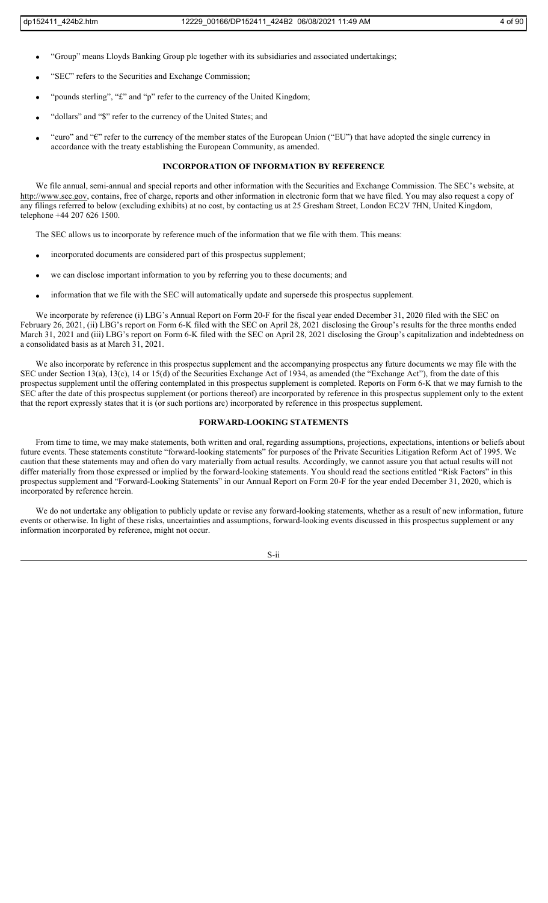- "Group" means Lloyds Banking Group plc together with its subsidiaries and associated undertakings;
- "SEC" refers to the Securities and Exchange Commission;
- "pounds sterling", "£" and "p" refer to the currency of the United Kingdom;
- "dollars" and "\$" refer to the currency of the United States; and
- "euro" and "€" refer to the currency of the member states of the European Union ("EU") that have adopted the single currency in accordance with the treaty establishing the European Community, as amended.

# **INCORPORATION OF INFORMATION BY REFERENCE**

We file annual, semi-annual and special reports and other information with the Securities and Exchange Commission. The SEC's website, at http://www.sec.gov, contains, free of charge, reports and other information in electronic form that we have filed. You may also request a copy of any filings referred to below (excluding exhibits) at no cost, by contacting us at 25 Gresham Street, London EC2V 7HN, United Kingdom, telephone +44 207 626 1500.

The SEC allows us to incorporate by reference much of the information that we file with them. This means:

- incorporated documents are considered part of this prospectus supplement;
- we can disclose important information to you by referring you to these documents; and
- information that we file with the SEC will automatically update and supersede this prospectus supplement.

We incorporate by reference (i) LBG's Annual Report on Form 20-F for the fiscal year ended December 31, 2020 filed with the SEC on February 26, 2021, (ii) LBG's report on Form 6-K filed with the SEC on April 28, 2021 disclosing the Group's results for the three months ended March 31, 2021 and (iii) LBG's report on Form 6-K filed with the SEC on April 28, 2021 disclosing the Group's capitalization and indebtedness on a consolidated basis as at March 31, 2021.

We also incorporate by reference in this prospectus supplement and the accompanying prospectus any future documents we may file with the SEC under Section 13(a), 13(c), 14 or 15(d) of the Securities Exchange Act of 1934, as amended (the "Exchange Act"), from the date of this prospectus supplement until the offering contemplated in this prospectus supplement is completed. Reports on Form 6-K that we may furnish to the SEC after the date of this prospectus supplement (or portions thereof) are incorporated by reference in this prospectus supplement only to the extent that the report expressly states that it is (or such portions are) incorporated by reference in this prospectus supplement.

## **FORWARD-LOOKING STATEMENTS**

From time to time, we may make statements, both written and oral, regarding assumptions, projections, expectations, intentions or beliefs about future events. These statements constitute "forward-looking statements" for purposes of the Private Securities Litigation Reform Act of 1995. We caution that these statements may and often do vary materially from actual results. Accordingly, we cannot assure you that actual results will not differ materially from those expressed or implied by the forward-looking statements. You should read the sections entitled "Risk Factors" in this prospectus supplement and "Forward-Looking Statements" in our Annual Report on Form 20-F for the year ended December 31, 2020, which is incorporated by reference herein.

We do not undertake any obligation to publicly update or revise any forward-looking statements, whether as a result of new information, future events or otherwise. In light of these risks, uncertainties and assumptions, forward-looking events discussed in this prospectus supplement or any information incorporated by reference, might not occur.

S-ii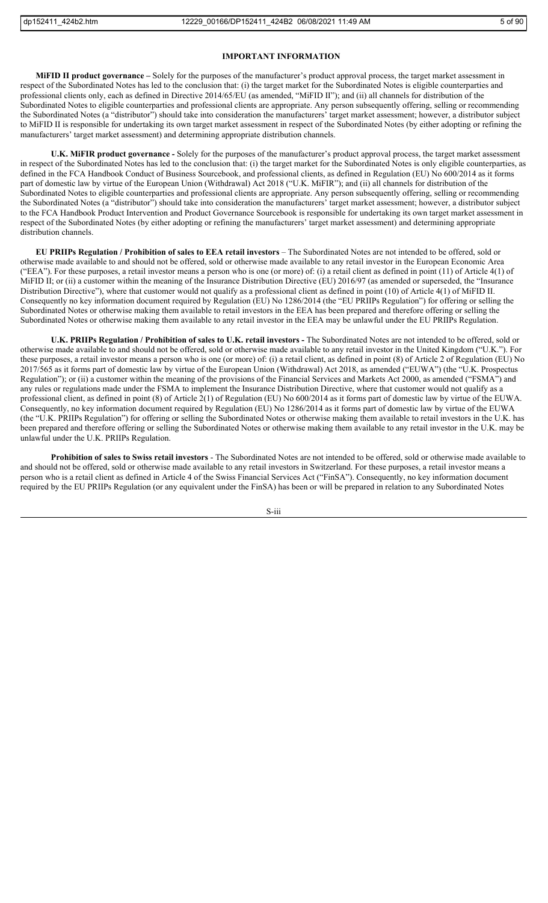## **IMPORTANT INFORMATION**

**MiFID II product governance –** Solely for the purposes of the manufacturer's product approval process, the target market assessment in respect of the Subordinated Notes has led to the conclusion that: (i) the target market for the Subordinated Notes is eligible counterparties and professional clients only, each as defined in Directive 2014/65/EU (as amended, "MiFID II"); and (ii) all channels for distribution of the Subordinated Notes to eligible counterparties and professional clients are appropriate. Any person subsequently offering, selling or recommending the Subordinated Notes (a "distributor") should take into consideration the manufacturers' target market assessment; however, a distributor subject to MiFID II is responsible for undertaking its own target market assessment in respect of the Subordinated Notes (by either adopting or refining the manufacturers' target market assessment) and determining appropriate distribution channels.

**U.K. MiFIR product governance** *-* Solely for the purposes of the manufacturer's product approval process, the target market assessment in respect of the Subordinated Notes has led to the conclusion that: (i) the target market for the Subordinated Notes is only eligible counterparties, as defined in the FCA Handbook Conduct of Business Sourcebook, and professional clients, as defined in Regulation (EU) No 600/2014 as it forms part of domestic law by virtue of the European Union (Withdrawal) Act 2018 ("U.K. MiFIR"); and (ii) all channels for distribution of the Subordinated Notes to eligible counterparties and professional clients are appropriate. Any person subsequently offering, selling or recommending the Subordinated Notes (a "distributor") should take into consideration the manufacturers' target market assessment; however, a distributor subject to the FCA Handbook Product Intervention and Product Governance Sourcebook is responsible for undertaking its own target market assessment in respect of the Subordinated Notes (by either adopting or refining the manufacturers' target market assessment) and determining appropriate distribution channels.

**EU PRIIPs Regulation / Prohibition of sales to EEA retail investors** – The Subordinated Notes are not intended to be offered, sold or otherwise made available to and should not be offered, sold or otherwise made available to any retail investor in the European Economic Area ("EEA"). For these purposes, a retail investor means a person who is one (or more) of: (i) a retail client as defined in point  $(11)$  of Article  $4(1)$  of MiFID II; or (ii) a customer within the meaning of the Insurance Distribution Directive (EU) 2016/97 (as amended or superseded, the "Insurance Distribution Directive"), where that customer would not qualify as a professional client as defined in point (10) of Article 4(1) of MiFID II. Consequently no key information document required by Regulation (EU) No 1286/2014 (the "EU PRIIPs Regulation") for offering or selling the Subordinated Notes or otherwise making them available to retail investors in the EEA has been prepared and therefore offering or selling the Subordinated Notes or otherwise making them available to any retail investor in the EEA may be unlawful under the EU PRIIPs Regulation.

**U.K. PRIIPs Regulation / Prohibition of sales to U.K. retail investors -** The Subordinated Notes are not intended to be offered, sold or otherwise made available to and should not be offered, sold or otherwise made available to any retail investor in the United Kingdom ("U.K."). For these purposes, a retail investor means a person who is one (or more) of: (i) a retail client, as defined in point (8) of Article 2 of Regulation (EU) No 2017/565 as it forms part of domestic law by virtue of the European Union (Withdrawal) Act 2018, as amended ("EUWA") (the "U.K. Prospectus Regulation"); or (ii) a customer within the meaning of the provisions of the Financial Services and Markets Act 2000, as amended ("FSMA") and any rules or regulations made under the FSMA to implement the Insurance Distribution Directive, where that customer would not qualify as a professional client, as defined in point (8) of Article 2(1) of Regulation (EU) No 600/2014 as it forms part of domestic law by virtue of the EUWA. Consequently, no key information document required by Regulation (EU) No 1286/2014 as it forms part of domestic law by virtue of the EUWA (the "U.K. PRIIPs Regulation") for offering or selling the Subordinated Notes or otherwise making them available to retail investors in the U.K. has been prepared and therefore offering or selling the Subordinated Notes or otherwise making them available to any retail investor in the U.K. may be unlawful under the U.K. PRIIPs Regulation.

**Prohibition of sales to Swiss retail investors** - The Subordinated Notes are not intended to be offered, sold or otherwise made available to and should not be offered, sold or otherwise made available to any retail investors in Switzerland. For these purposes, a retail investor means a person who is a retail client as defined in Article 4 of the Swiss Financial Services Act ("FinSA"). Consequently, no key information document required by the EU PRIIPs Regulation (or any equivalent under the FinSA) has been or will be prepared in relation to any Subordinated Notes

S-iii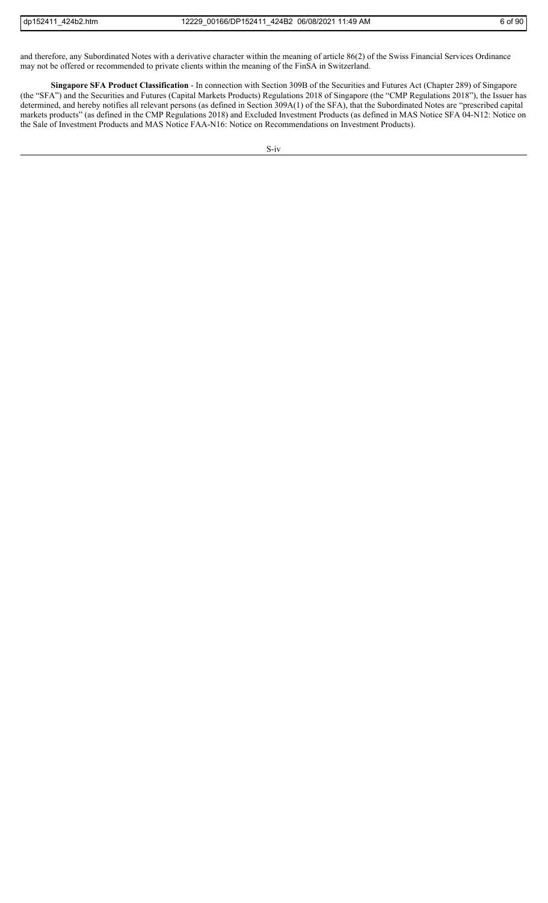and therefore, any Subordinated Notes with a derivative character within the meaning of article 86(2) of the Swiss Financial Services Ordinance may not be offered or recommended to private clients within the meaning of the FinSA in Switzerland.

**Singapore SFA Product Classification** - In connection with Section 309B of the Securities and Futures Act (Chapter 289) of Singapore (the "SFA") and the Securities and Futures (Capital Markets Products) Regulations 2018 of Singapore (the "CMP Regulations 2018"), the Issuer has determined, and hereby notifies all relevant persons (as defined in Section 309A(1) of the SFA), that the Subordinated Notes are "prescribed capital markets products" (as defined in the CMP Regulations 2018) and Excluded Investment Products (as defined in MAS Notice SFA 04-N12: Notice on the Sale of Investment Products and MAS Notice FAA-N16: Notice on Recommendations on Investment Products).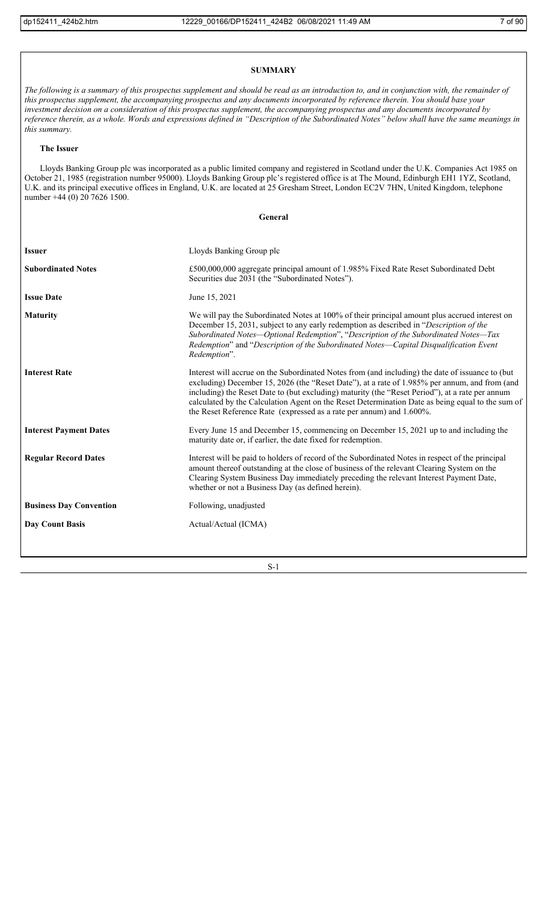# **SUMMARY**

*The following is a summary of this prospectus supplement and should be read as an introduction to, and in conjunction with, the remainder of this prospectus supplement, the accompanying prospectus and any documents incorporated by reference therein. You should base your investment decision on a consideration of this prospectus supplement, the accompanying prospectus and any documents incorporated by reference therein, as a whole. Words and expressions defined in "Description of the Subordinated Notes" below shall have the same meanings in this summary.*

#### **The Issuer**

Lloyds Banking Group plc was incorporated as a public limited company and registered in Scotland under the U.K. Companies Act 1985 on October 21, 1985 (registration number 95000). Lloyds Banking Group plc's registered office is at The Mound, Edinburgh EH1 1YZ, Scotland, U.K. and its principal executive offices in England, U.K. are located at 25 Gresham Street, London EC2V 7HN, United Kingdom, telephone number +44 (0) 20 7626 1500.

**General**

| <b>Issuer</b>                  | Lloyds Banking Group plc                                                                                                                                                                                                                                                                                                                                                                                                                                                         |
|--------------------------------|----------------------------------------------------------------------------------------------------------------------------------------------------------------------------------------------------------------------------------------------------------------------------------------------------------------------------------------------------------------------------------------------------------------------------------------------------------------------------------|
| <b>Subordinated Notes</b>      | £500,000,000 aggregate principal amount of 1.985% Fixed Rate Reset Subordinated Debt<br>Securities due 2031 (the "Subordinated Notes").                                                                                                                                                                                                                                                                                                                                          |
| <b>Issue Date</b>              | June 15, 2021                                                                                                                                                                                                                                                                                                                                                                                                                                                                    |
| <b>Maturity</b>                | We will pay the Subordinated Notes at 100% of their principal amount plus accrued interest on<br>December 15, 2031, subject to any early redemption as described in "Description of the<br>Subordinated Notes-Optional Redemption", "Description of the Subordinated Notes-Tax<br>Redemption" and "Description of the Subordinated Notes—Capital Disqualification Event<br>Redemption".                                                                                          |
| <b>Interest Rate</b>           | Interest will accrue on the Subordinated Notes from (and including) the date of issuance to (but<br>excluding) December 15, 2026 (the "Reset Date"), at a rate of 1.985% per annum, and from (and<br>including) the Reset Date to (but excluding) maturity (the "Reset Period"), at a rate per annum<br>calculated by the Calculation Agent on the Reset Determination Date as being equal to the sum of<br>the Reset Reference Rate (expressed as a rate per annum) and 1.600%. |
| <b>Interest Payment Dates</b>  | Every June 15 and December 15, commencing on December 15, 2021 up to and including the<br>maturity date or, if earlier, the date fixed for redemption.                                                                                                                                                                                                                                                                                                                           |
| <b>Regular Record Dates</b>    | Interest will be paid to holders of record of the Subordinated Notes in respect of the principal<br>amount thereof outstanding at the close of business of the relevant Clearing System on the<br>Clearing System Business Day immediately preceding the relevant Interest Payment Date,<br>whether or not a Business Day (as defined herein).                                                                                                                                   |
| <b>Business Day Convention</b> | Following, unadjusted                                                                                                                                                                                                                                                                                                                                                                                                                                                            |
| <b>Day Count Basis</b>         | Actual/Actual (ICMA)                                                                                                                                                                                                                                                                                                                                                                                                                                                             |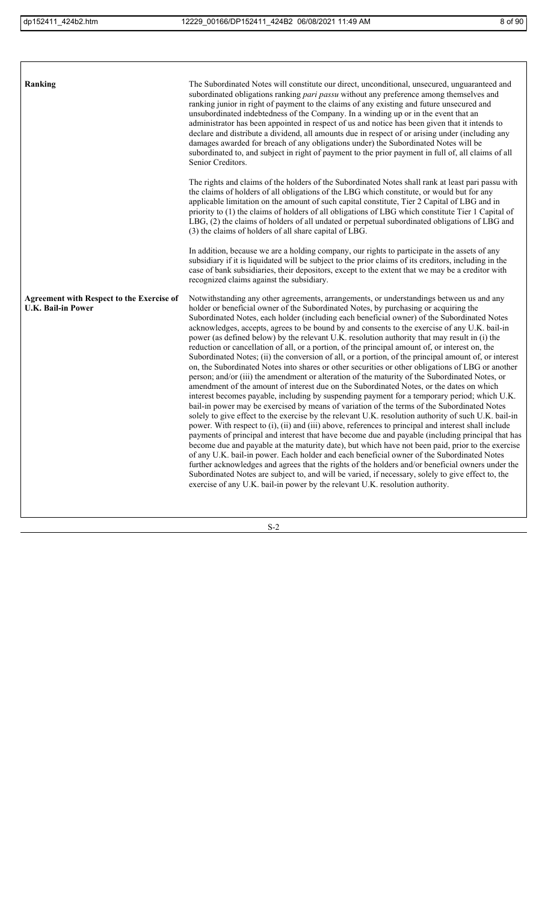| Ranking                                                                       | The Subordinated Notes will constitute our direct, unconditional, unsecured, unguaranteed and<br>subordinated obligations ranking <i>pari passu</i> without any preference among themselves and<br>ranking junior in right of payment to the claims of any existing and future unsecured and<br>unsubordinated indebtedness of the Company. In a winding up or in the event that an<br>administrator has been appointed in respect of us and notice has been given that it intends to<br>declare and distribute a dividend, all amounts due in respect of or arising under (including any<br>damages awarded for breach of any obligations under) the Subordinated Notes will be<br>subordinated to, and subject in right of payment to the prior payment in full of, all claims of all<br>Senior Creditors.                                                                                                                                                                                                                                                                                                                                                                                                                                                                                                                                                                                                                                                                                                                                                                                                                                                                                                                                                                                                                                                                                                                                                                                                        |
|-------------------------------------------------------------------------------|---------------------------------------------------------------------------------------------------------------------------------------------------------------------------------------------------------------------------------------------------------------------------------------------------------------------------------------------------------------------------------------------------------------------------------------------------------------------------------------------------------------------------------------------------------------------------------------------------------------------------------------------------------------------------------------------------------------------------------------------------------------------------------------------------------------------------------------------------------------------------------------------------------------------------------------------------------------------------------------------------------------------------------------------------------------------------------------------------------------------------------------------------------------------------------------------------------------------------------------------------------------------------------------------------------------------------------------------------------------------------------------------------------------------------------------------------------------------------------------------------------------------------------------------------------------------------------------------------------------------------------------------------------------------------------------------------------------------------------------------------------------------------------------------------------------------------------------------------------------------------------------------------------------------------------------------------------------------------------------------------------------------|
|                                                                               | The rights and claims of the holders of the Subordinated Notes shall rank at least pari passu with<br>the claims of holders of all obligations of the LBG which constitute, or would but for any<br>applicable limitation on the amount of such capital constitute, Tier 2 Capital of LBG and in<br>priority to (1) the claims of holders of all obligations of LBG which constitute Tier 1 Capital of<br>LBG, (2) the claims of holders of all undated or perpetual subordinated obligations of LBG and<br>(3) the claims of holders of all share capital of LBG.                                                                                                                                                                                                                                                                                                                                                                                                                                                                                                                                                                                                                                                                                                                                                                                                                                                                                                                                                                                                                                                                                                                                                                                                                                                                                                                                                                                                                                                  |
|                                                                               | In addition, because we are a holding company, our rights to participate in the assets of any<br>subsidiary if it is liquidated will be subject to the prior claims of its creditors, including in the<br>case of bank subsidiaries, their depositors, except to the extent that we may be a creditor with<br>recognized claims against the subsidiary.                                                                                                                                                                                                                                                                                                                                                                                                                                                                                                                                                                                                                                                                                                                                                                                                                                                                                                                                                                                                                                                                                                                                                                                                                                                                                                                                                                                                                                                                                                                                                                                                                                                             |
| <b>Agreement with Respect to the Exercise of</b><br><b>U.K. Bail-in Power</b> | Notwithstanding any other agreements, arrangements, or understandings between us and any<br>holder or beneficial owner of the Subordinated Notes, by purchasing or acquiring the<br>Subordinated Notes, each holder (including each beneficial owner) of the Subordinated Notes<br>acknowledges, accepts, agrees to be bound by and consents to the exercise of any U.K. bail-in<br>power (as defined below) by the relevant U.K. resolution authority that may result in (i) the<br>reduction or cancellation of all, or a portion, of the principal amount of, or interest on, the<br>Subordinated Notes; (ii) the conversion of all, or a portion, of the principal amount of, or interest<br>on, the Subordinated Notes into shares or other securities or other obligations of LBG or another<br>person; and/or (iii) the amendment or alteration of the maturity of the Subordinated Notes, or<br>amendment of the amount of interest due on the Subordinated Notes, or the dates on which<br>interest becomes payable, including by suspending payment for a temporary period; which U.K.<br>bail-in power may be exercised by means of variation of the terms of the Subordinated Notes<br>solely to give effect to the exercise by the relevant U.K. resolution authority of such U.K. bail-in<br>power. With respect to (i), (ii) and (iii) above, references to principal and interest shall include<br>payments of principal and interest that have become due and payable (including principal that has<br>become due and payable at the maturity date), but which have not been paid, prior to the exercise<br>of any U.K. bail-in power. Each holder and each beneficial owner of the Subordinated Notes<br>further acknowledges and agrees that the rights of the holders and/or beneficial owners under the<br>Subordinated Notes are subject to, and will be varied, if necessary, solely to give effect to, the<br>exercise of any U.K. bail-in power by the relevant U.K. resolution authority. |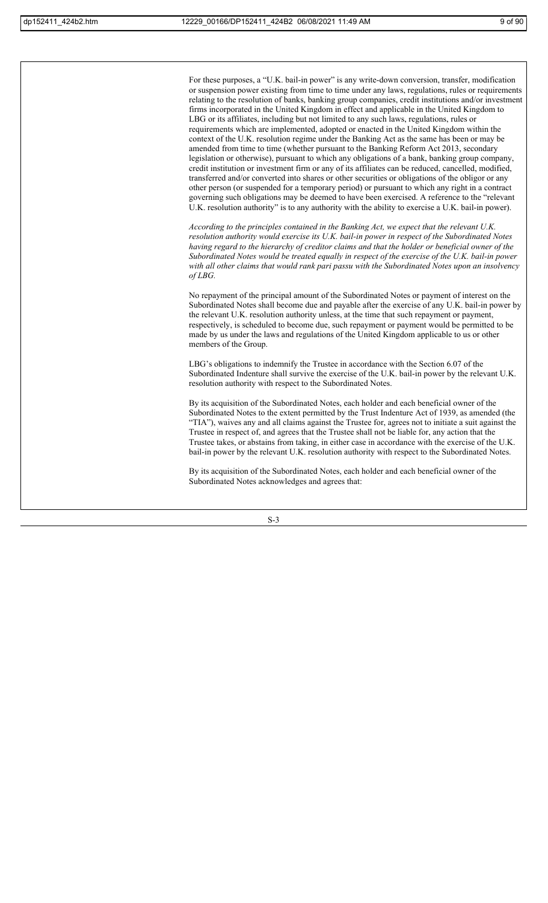For these purposes, a "U.K. bail-in power" is any write-down conversion, transfer, modification or suspension power existing from time to time under any laws, regulations, rules or requirements relating to the resolution of banks, banking group companies, credit institutions and/or investment firms incorporated in the United Kingdom in effect and applicable in the United Kingdom to LBG or its affiliates, including but not limited to any such laws, regulations, rules or requirements which are implemented, adopted or enacted in the United Kingdom within the context of the U.K. resolution regime under the Banking Act as the same has been or may be amended from time to time (whether pursuant to the Banking Reform Act 2013, secondary legislation or otherwise), pursuant to which any obligations of a bank, banking group company, credit institution or investment firm or any of its affiliates can be reduced, cancelled, modified, transferred and/or converted into shares or other securities or obligations of the obligor or any other person (or suspended for a temporary period) or pursuant to which any right in a contract governing such obligations may be deemed to have been exercised. A reference to the "relevant U.K. resolution authority" is to any authority with the ability to exercise a U.K. bail-in power).

*According to the principles contained in the Banking Act, we expect that the relevant U.K. resolution authority would exercise its U.K. bail-in power in respect of the Subordinated Notes having regard to the hierarchy of creditor claims and that the holder or beneficial owner of the Subordinated Notes would be treated equally in respect of the exercise of the U.K. bail-in power with all other claims that would rank pari passu with the Subordinated Notes upon an insolvency of LBG.*

No repayment of the principal amount of the Subordinated Notes or payment of interest on the Subordinated Notes shall become due and payable after the exercise of any U.K. bail-in power by the relevant U.K. resolution authority unless, at the time that such repayment or payment, respectively, is scheduled to become due, such repayment or payment would be permitted to be made by us under the laws and regulations of the United Kingdom applicable to us or other members of the Group.

LBG's obligations to indemnify the Trustee in accordance with the Section 6.07 of the Subordinated Indenture shall survive the exercise of the U.K. bail-in power by the relevant U.K. resolution authority with respect to the Subordinated Notes.

By its acquisition of the Subordinated Notes, each holder and each beneficial owner of the Subordinated Notes to the extent permitted by the Trust Indenture Act of 1939, as amended (the "TIA"), waives any and all claims against the Trustee for, agrees not to initiate a suit against the Trustee in respect of, and agrees that the Trustee shall not be liable for, any action that the Trustee takes, or abstains from taking, in either case in accordance with the exercise of the U.K. bail-in power by the relevant U.K. resolution authority with respect to the Subordinated Notes.

By its acquisition of the Subordinated Notes, each holder and each beneficial owner of the Subordinated Notes acknowledges and agrees that: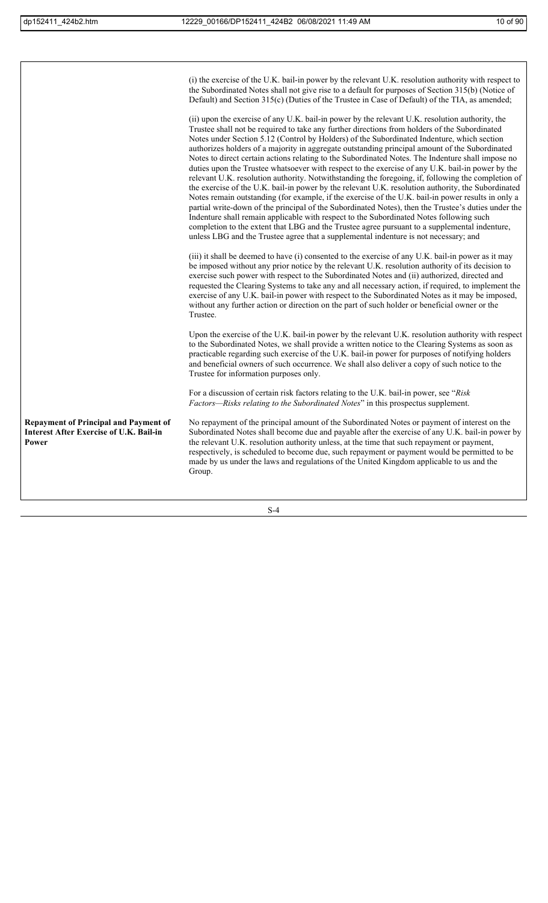|                                                                                                         | (i) the exercise of the U.K. bail-in power by the relevant U.K. resolution authority with respect to<br>the Subordinated Notes shall not give rise to a default for purposes of Section 315(b) (Notice of<br>Default) and Section $315(c)$ (Duties of the Trustee in Case of Default) of the TIA, as amended;<br>(ii) upon the exercise of any U.K. bail-in power by the relevant U.K. resolution authority, the<br>Trustee shall not be required to take any further directions from holders of the Subordinated<br>Notes under Section 5.12 (Control by Holders) of the Subordinated Indenture, which section<br>authorizes holders of a majority in aggregate outstanding principal amount of the Subordinated<br>Notes to direct certain actions relating to the Subordinated Notes. The Indenture shall impose no<br>duties upon the Trustee whatsoever with respect to the exercise of any U.K. bail-in power by the<br>relevant U.K. resolution authority. Notwithstanding the foregoing, if, following the completion of<br>the exercise of the U.K. bail-in power by the relevant U.K. resolution authority, the Subordinated<br>Notes remain outstanding (for example, if the exercise of the U.K. bail-in power results in only a<br>partial write-down of the principal of the Subordinated Notes), then the Trustee's duties under the<br>Indenture shall remain applicable with respect to the Subordinated Notes following such<br>completion to the extent that LBG and the Trustee agree pursuant to a supplemental indenture,<br>unless LBG and the Trustee agree that a supplemental indenture is not necessary; and |
|---------------------------------------------------------------------------------------------------------|-----------------------------------------------------------------------------------------------------------------------------------------------------------------------------------------------------------------------------------------------------------------------------------------------------------------------------------------------------------------------------------------------------------------------------------------------------------------------------------------------------------------------------------------------------------------------------------------------------------------------------------------------------------------------------------------------------------------------------------------------------------------------------------------------------------------------------------------------------------------------------------------------------------------------------------------------------------------------------------------------------------------------------------------------------------------------------------------------------------------------------------------------------------------------------------------------------------------------------------------------------------------------------------------------------------------------------------------------------------------------------------------------------------------------------------------------------------------------------------------------------------------------------------------------------------------------------------------------------------------------------------------|
|                                                                                                         | (iii) it shall be deemed to have (i) consented to the exercise of any U.K. bail-in power as it may<br>be imposed without any prior notice by the relevant U.K. resolution authority of its decision to<br>exercise such power with respect to the Subordinated Notes and (ii) authorized, directed and<br>requested the Clearing Systems to take any and all necessary action, if required, to implement the<br>exercise of any U.K. bail-in power with respect to the Subordinated Notes as it may be imposed,<br>without any further action or direction on the part of such holder or beneficial owner or the<br>Trustee.                                                                                                                                                                                                                                                                                                                                                                                                                                                                                                                                                                                                                                                                                                                                                                                                                                                                                                                                                                                                            |
|                                                                                                         | Upon the exercise of the U.K. bail-in power by the relevant U.K. resolution authority with respect<br>to the Subordinated Notes, we shall provide a written notice to the Clearing Systems as soon as<br>practicable regarding such exercise of the U.K. bail-in power for purposes of notifying holders<br>and beneficial owners of such occurrence. We shall also deliver a copy of such notice to the<br>Trustee for information purposes only.                                                                                                                                                                                                                                                                                                                                                                                                                                                                                                                                                                                                                                                                                                                                                                                                                                                                                                                                                                                                                                                                                                                                                                                      |
|                                                                                                         | For a discussion of certain risk factors relating to the U.K. bail-in power, see "Risk<br>Factors—Risks relating to the Subordinated Notes" in this prospectus supplement.                                                                                                                                                                                                                                                                                                                                                                                                                                                                                                                                                                                                                                                                                                                                                                                                                                                                                                                                                                                                                                                                                                                                                                                                                                                                                                                                                                                                                                                              |
| <b>Repayment of Principal and Payment of</b><br><b>Interest After Exercise of U.K. Bail-in</b><br>Power | No repayment of the principal amount of the Subordinated Notes or payment of interest on the<br>Subordinated Notes shall become due and payable after the exercise of any U.K. bail-in power by<br>the relevant U.K. resolution authority unless, at the time that such repayment or payment,<br>respectively, is scheduled to become due, such repayment or payment would be permitted to be<br>made by us under the laws and regulations of the United Kingdom applicable to us and the<br>Group.                                                                                                                                                                                                                                                                                                                                                                                                                                                                                                                                                                                                                                                                                                                                                                                                                                                                                                                                                                                                                                                                                                                                     |
|                                                                                                         |                                                                                                                                                                                                                                                                                                                                                                                                                                                                                                                                                                                                                                                                                                                                                                                                                                                                                                                                                                                                                                                                                                                                                                                                                                                                                                                                                                                                                                                                                                                                                                                                                                         |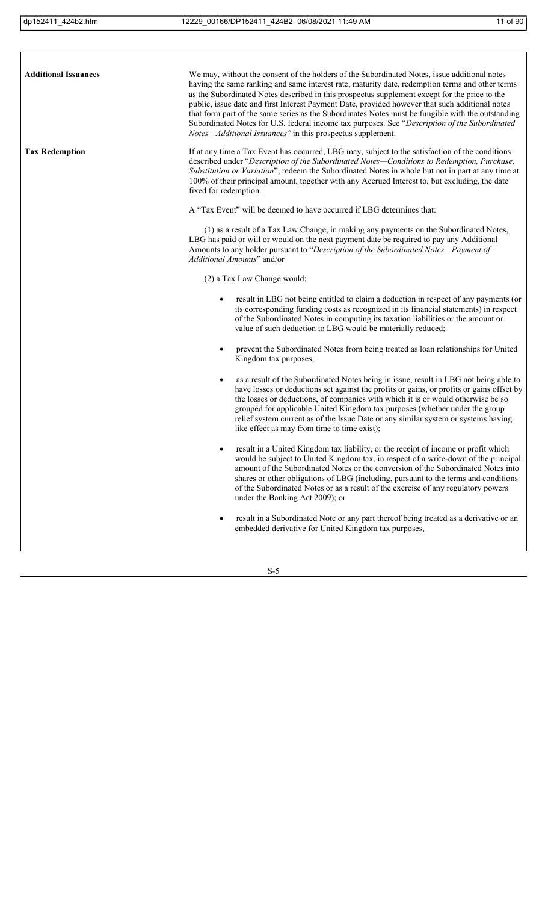$\lceil$ 

| <b>Additional Issuances</b> | We may, without the consent of the holders of the Subordinated Notes, issue additional notes<br>having the same ranking and same interest rate, maturity date, redemption terms and other terms<br>as the Subordinated Notes described in this prospectus supplement except for the price to the<br>public, issue date and first Interest Payment Date, provided however that such additional notes<br>that form part of the same series as the Subordinates Notes must be fungible with the outstanding<br>Subordinated Notes for U.S. federal income tax purposes. See "Description of the Subordinated<br>Notes-Additional Issuances" in this prospectus supplement. |
|-----------------------------|-------------------------------------------------------------------------------------------------------------------------------------------------------------------------------------------------------------------------------------------------------------------------------------------------------------------------------------------------------------------------------------------------------------------------------------------------------------------------------------------------------------------------------------------------------------------------------------------------------------------------------------------------------------------------|
| <b>Tax Redemption</b>       | If at any time a Tax Event has occurred, LBG may, subject to the satisfaction of the conditions<br>described under "Description of the Subordinated Notes-Conditions to Redemption, Purchase,<br>Substitution or Variation", redeem the Subordinated Notes in whole but not in part at any time at<br>100% of their principal amount, together with any Accrued Interest to, but excluding, the date<br>fixed for redemption.                                                                                                                                                                                                                                           |
|                             | A "Tax Event" will be deemed to have occurred if LBG determines that:                                                                                                                                                                                                                                                                                                                                                                                                                                                                                                                                                                                                   |
|                             | (1) as a result of a Tax Law Change, in making any payments on the Subordinated Notes,<br>LBG has paid or will or would on the next payment date be required to pay any Additional<br>Amounts to any holder pursuant to "Description of the Subordinated Notes-Payment of<br>Additional Amounts" and/or                                                                                                                                                                                                                                                                                                                                                                 |
|                             | (2) a Tax Law Change would:                                                                                                                                                                                                                                                                                                                                                                                                                                                                                                                                                                                                                                             |
|                             | result in LBG not being entitled to claim a deduction in respect of any payments (or<br>its corresponding funding costs as recognized in its financial statements) in respect<br>of the Subordinated Notes in computing its taxation liabilities or the amount or<br>value of such deduction to LBG would be materially reduced;                                                                                                                                                                                                                                                                                                                                        |
|                             | prevent the Subordinated Notes from being treated as loan relationships for United<br>٠<br>Kingdom tax purposes;                                                                                                                                                                                                                                                                                                                                                                                                                                                                                                                                                        |
|                             | as a result of the Subordinated Notes being in issue, result in LBG not being able to<br>have losses or deductions set against the profits or gains, or profits or gains offset by<br>the losses or deductions, of companies with which it is or would otherwise be so<br>grouped for applicable United Kingdom tax purposes (whether under the group<br>relief system current as of the Issue Date or any similar system or systems having<br>like effect as may from time to time exist);                                                                                                                                                                             |
|                             | result in a United Kingdom tax liability, or the receipt of income or profit which<br>would be subject to United Kingdom tax, in respect of a write-down of the principal<br>amount of the Subordinated Notes or the conversion of the Subordinated Notes into<br>shares or other obligations of LBG (including, pursuant to the terms and conditions<br>of the Subordinated Notes or as a result of the exercise of any regulatory powers<br>under the Banking Act 2009); or                                                                                                                                                                                           |
|                             | result in a Subordinated Note or any part thereof being treated as a derivative or an<br>embedded derivative for United Kingdom tax purposes,                                                                                                                                                                                                                                                                                                                                                                                                                                                                                                                           |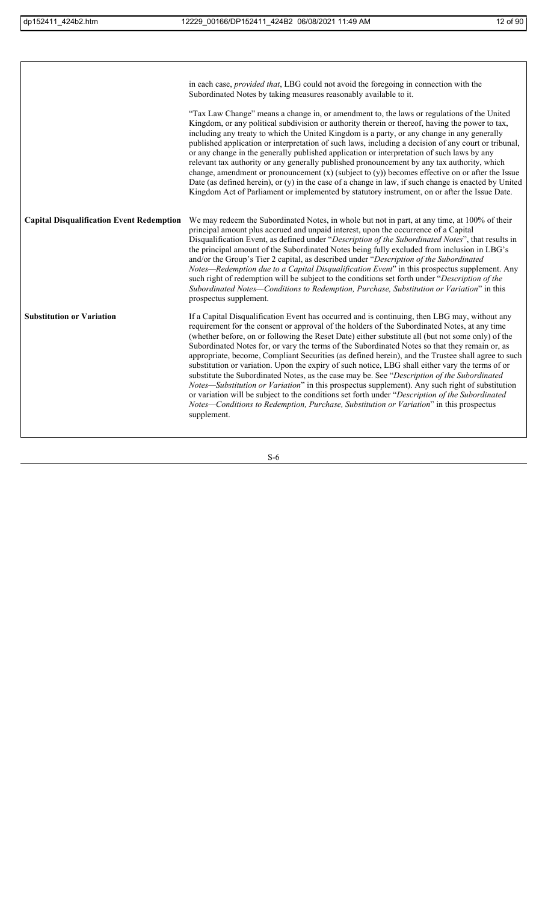|                                                  | in each case, <i>provided that</i> , LBG could not avoid the foregoing in connection with the<br>Subordinated Notes by taking measures reasonably available to it.                                                                                                                                                                                                                                                                                                                                                                                                                                                                                                                                                                                                                                                                                                                                                                                                                                                             |
|--------------------------------------------------|--------------------------------------------------------------------------------------------------------------------------------------------------------------------------------------------------------------------------------------------------------------------------------------------------------------------------------------------------------------------------------------------------------------------------------------------------------------------------------------------------------------------------------------------------------------------------------------------------------------------------------------------------------------------------------------------------------------------------------------------------------------------------------------------------------------------------------------------------------------------------------------------------------------------------------------------------------------------------------------------------------------------------------|
|                                                  | "Tax Law Change" means a change in, or amendment to, the laws or regulations of the United<br>Kingdom, or any political subdivision or authority therein or thereof, having the power to tax,<br>including any treaty to which the United Kingdom is a party, or any change in any generally<br>published application or interpretation of such laws, including a decision of any court or tribunal,<br>or any change in the generally published application or interpretation of such laws by any<br>relevant tax authority or any generally published pronouncement by any tax authority, which<br>change, amendment or pronouncement $(x)$ (subject to $(y)$ ) becomes effective on or after the Issue<br>Date (as defined herein), or (y) in the case of a change in law, if such change is enacted by United<br>Kingdom Act of Parliament or implemented by statutory instrument, on or after the Issue Date.                                                                                                             |
| <b>Capital Disqualification Event Redemption</b> | We may redeem the Subordinated Notes, in whole but not in part, at any time, at 100% of their<br>principal amount plus accrued and unpaid interest, upon the occurrence of a Capital<br>Disqualification Event, as defined under "Description of the Subordinated Notes", that results in<br>the principal amount of the Subordinated Notes being fully excluded from inclusion in LBG's<br>and/or the Group's Tier 2 capital, as described under "Description of the Subordinated<br>Notes—Redemption due to a Capital Disqualification Event" in this prospectus supplement. Any<br>such right of redemption will be subject to the conditions set forth under "Description of the<br>Subordinated Notes-Conditions to Redemption, Purchase, Substitution or Variation" in this<br>prospectus supplement.                                                                                                                                                                                                                    |
| <b>Substitution or Variation</b>                 | If a Capital Disqualification Event has occurred and is continuing, then LBG may, without any<br>requirement for the consent or approval of the holders of the Subordinated Notes, at any time<br>(whether before, on or following the Reset Date) either substitute all (but not some only) of the<br>Subordinated Notes for, or vary the terms of the Subordinated Notes so that they remain or, as<br>appropriate, become, Compliant Securities (as defined herein), and the Trustee shall agree to such<br>substitution or variation. Upon the expiry of such notice, LBG shall either vary the terms of or<br>substitute the Subordinated Notes, as the case may be. See "Description of the Subordinated<br>Notes—Substitution or Variation" in this prospectus supplement). Any such right of substitution<br>or variation will be subject to the conditions set forth under "Description of the Subordinated<br>Notes—Conditions to Redemption, Purchase, Substitution or Variation" in this prospectus<br>supplement. |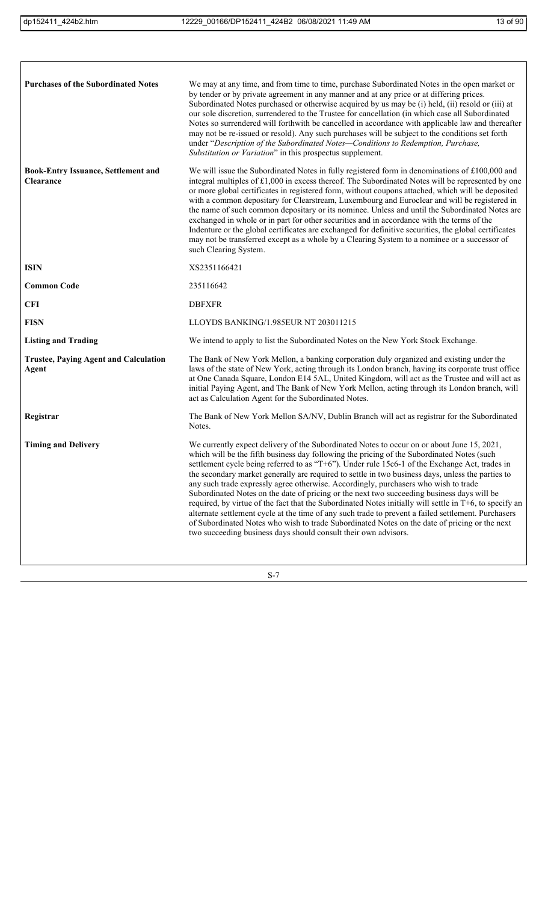$\lceil$ 

| <b>Purchases of the Subordinated Notes</b>              | We may at any time, and from time to time, purchase Subordinated Notes in the open market or<br>by tender or by private agreement in any manner and at any price or at differing prices.<br>Subordinated Notes purchased or otherwise acquired by us may be (i) held, (ii) resold or (iii) at<br>our sole discretion, surrendered to the Trustee for cancellation (in which case all Subordinated<br>Notes so surrendered will forthwith be cancelled in accordance with applicable law and thereafter<br>may not be re-issued or resold). Any such purchases will be subject to the conditions set forth<br>under "Description of the Subordinated Notes-Conditions to Redemption, Purchase,<br>Substitution or Variation" in this prospectus supplement.                                                                                                                                                                                                                 |
|---------------------------------------------------------|----------------------------------------------------------------------------------------------------------------------------------------------------------------------------------------------------------------------------------------------------------------------------------------------------------------------------------------------------------------------------------------------------------------------------------------------------------------------------------------------------------------------------------------------------------------------------------------------------------------------------------------------------------------------------------------------------------------------------------------------------------------------------------------------------------------------------------------------------------------------------------------------------------------------------------------------------------------------------|
| <b>Book-Entry Issuance, Settlement and</b><br>Clearance | We will issue the Subordinated Notes in fully registered form in denominations of $£100,000$ and<br>integral multiples of $£1,000$ in excess thereof. The Subordinated Notes will be represented by one<br>or more global certificates in registered form, without coupons attached, which will be deposited<br>with a common depositary for Clearstream, Luxembourg and Euroclear and will be registered in<br>the name of such common depositary or its nominee. Unless and until the Subordinated Notes are<br>exchanged in whole or in part for other securities and in accordance with the terms of the<br>Indenture or the global certificates are exchanged for definitive securities, the global certificates<br>may not be transferred except as a whole by a Clearing System to a nominee or a successor of<br>such Clearing System.                                                                                                                             |
| <b>ISIN</b>                                             | XS2351166421                                                                                                                                                                                                                                                                                                                                                                                                                                                                                                                                                                                                                                                                                                                                                                                                                                                                                                                                                               |
| <b>Common Code</b>                                      | 235116642                                                                                                                                                                                                                                                                                                                                                                                                                                                                                                                                                                                                                                                                                                                                                                                                                                                                                                                                                                  |
| <b>CFI</b>                                              | <b>DBFXFR</b>                                                                                                                                                                                                                                                                                                                                                                                                                                                                                                                                                                                                                                                                                                                                                                                                                                                                                                                                                              |
| <b>FISN</b>                                             | LLOYDS BANKING/1.985EUR NT 203011215                                                                                                                                                                                                                                                                                                                                                                                                                                                                                                                                                                                                                                                                                                                                                                                                                                                                                                                                       |
| <b>Listing and Trading</b>                              | We intend to apply to list the Subordinated Notes on the New York Stock Exchange.                                                                                                                                                                                                                                                                                                                                                                                                                                                                                                                                                                                                                                                                                                                                                                                                                                                                                          |
| <b>Trustee, Paying Agent and Calculation</b><br>Agent   | The Bank of New York Mellon, a banking corporation duly organized and existing under the<br>laws of the state of New York, acting through its London branch, having its corporate trust office<br>at One Canada Square, London E14 5AL, United Kingdom, will act as the Trustee and will act as<br>initial Paying Agent, and The Bank of New York Mellon, acting through its London branch, will<br>act as Calculation Agent for the Subordinated Notes.                                                                                                                                                                                                                                                                                                                                                                                                                                                                                                                   |
| Registrar                                               | The Bank of New York Mellon SA/NV, Dublin Branch will act as registrar for the Subordinated<br>Notes.                                                                                                                                                                                                                                                                                                                                                                                                                                                                                                                                                                                                                                                                                                                                                                                                                                                                      |
| <b>Timing and Delivery</b>                              | We currently expect delivery of the Subordinated Notes to occur on or about June 15, 2021,<br>which will be the fifth business day following the pricing of the Subordinated Notes (such<br>settlement cycle being referred to as "T+6"). Under rule 15c6-1 of the Exchange Act, trades in<br>the secondary market generally are required to settle in two business days, unless the parties to<br>any such trade expressly agree otherwise. Accordingly, purchasers who wish to trade<br>Subordinated Notes on the date of pricing or the next two succeeding business days will be<br>required, by virtue of the fact that the Subordinated Notes initially will settle in T+6, to specify an<br>alternate settlement cycle at the time of any such trade to prevent a failed settlement. Purchasers<br>of Subordinated Notes who wish to trade Subordinated Notes on the date of pricing or the next<br>two succeeding business days should consult their own advisors. |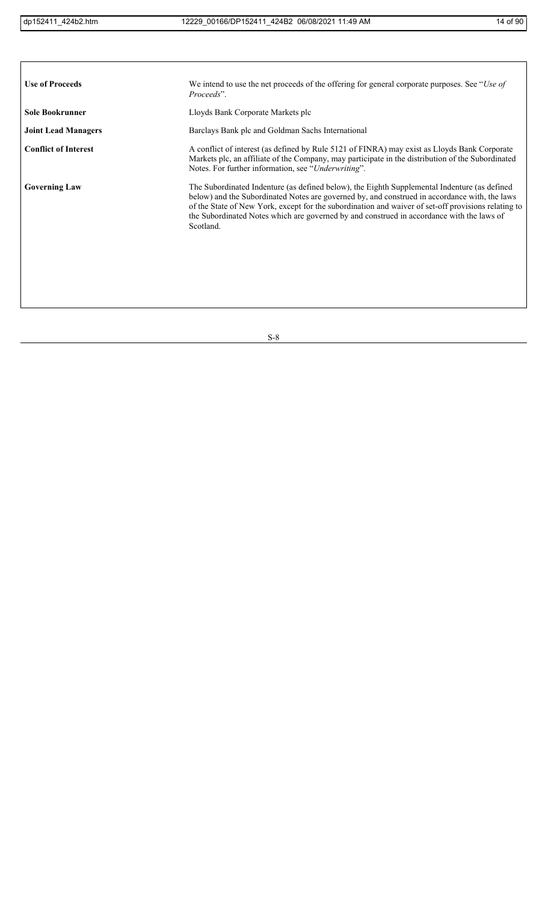| <b>Use of Proceeds</b>      | We intend to use the net proceeds of the offering for general corporate purposes. See "Use of<br>Proceeds".                                                                                                                                                                                                                                                                                                    |
|-----------------------------|----------------------------------------------------------------------------------------------------------------------------------------------------------------------------------------------------------------------------------------------------------------------------------------------------------------------------------------------------------------------------------------------------------------|
| <b>Sole Bookrunner</b>      | Lloyds Bank Corporate Markets plc                                                                                                                                                                                                                                                                                                                                                                              |
| <b>Joint Lead Managers</b>  | Barclays Bank plc and Goldman Sachs International                                                                                                                                                                                                                                                                                                                                                              |
| <b>Conflict of Interest</b> | A conflict of interest (as defined by Rule 5121 of FINRA) may exist as Lloyds Bank Corporate<br>Markets plc, an affiliate of the Company, may participate in the distribution of the Subordinated<br>Notes. For further information, see "Underwriting".                                                                                                                                                       |
| <b>Governing Law</b>        | The Subordinated Indenture (as defined below), the Eighth Supplemental Indenture (as defined<br>below) and the Subordinated Notes are governed by, and construed in accordance with, the laws<br>of the State of New York, except for the subordination and waiver of set-off provisions relating to<br>the Subordinated Notes which are governed by and construed in accordance with the laws of<br>Scotland. |
|                             |                                                                                                                                                                                                                                                                                                                                                                                                                |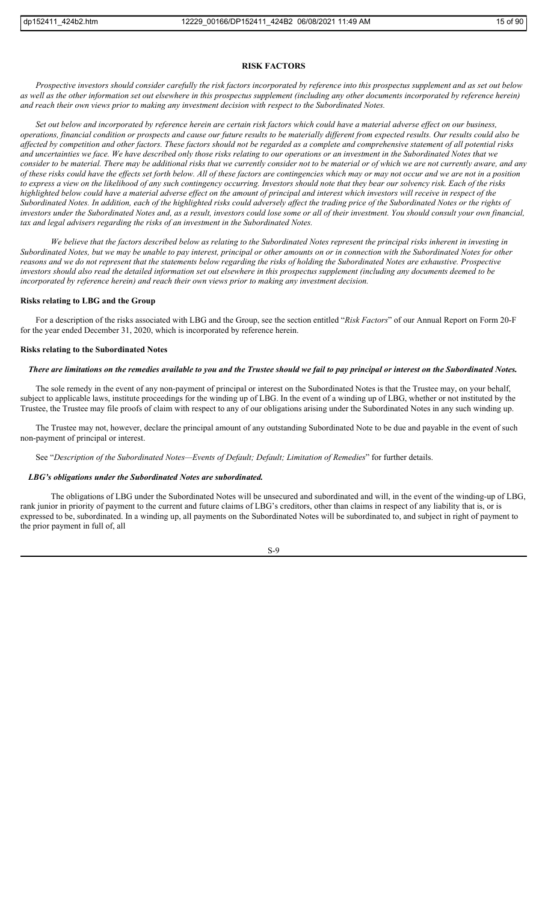## **RISK FACTORS**

*Prospective investors should consider carefully the risk factors incorporated by reference into this prospectus supplement and as set out below as well as the other information set out elsewhere in this prospectus supplement (including any other documents incorporated by reference herein) and reach their own views prior to making any investment decision with respect to the Subordinated Notes.*

*Set out below and incorporated by reference herein are certain risk factors which could have a material adverse effect on our business, operations, financial condition or prospects and cause our future results to be materially different from expected results. Our results could also be affected by competition and other factors. These factors should not be regarded as a complete and comprehensive statement of all potential risks and uncertainties we face. We have described only those risks relating to our operations or an investment in the Subordinated Notes that we consider to be material. There may be additional risks that we currently consider not to be material or of which we are not currently aware, and any of these risks could have the effects set forth below. All of these factors are contingencies which may or may not occur and we are not in a position to express a view on the likelihood of any such contingency occurring. Investors should note that they bear our solvency risk. Each of the risks highlighted below could have a material adverse effect on the amount of principal and interest which investors will receive in respect of the Subordinated Notes. In addition, each of the highlighted risks could adversely affect the trading price of the Subordinated Notes or the rights of investors under the Subordinated Notes and, as a result, investors could lose some or all of their investment. You should consult your own financial, tax and legal advisers regarding the risks of an investment in the Subordinated Notes.*

*We believe that the factors described below as relating to the Subordinated Notes represent the principal risks inherent in investing in Subordinated Notes, but we may be unable to pay interest, principal or other amounts on or in connection with the Subordinated Notes for other*  reasons and we do not represent that the statements below regarding the risks of holding the Subordinated Notes are exhaustive. Prospective *investors should also read the detailed information set out elsewhere in this prospectus supplement (including any documents deemed to be incorporated by reference herein) and reach their own views prior to making any investment decision.*

#### **Risks relating to LBG and the Group**

For a description of the risks associated with LBG and the Group, see the section entitled "*Risk Factors*" of our Annual Report on Form 20-F for the year ended December 31, 2020, which is incorporated by reference herein.

#### **Risks relating to the Subordinated Notes**

#### *There are limitations on the remedies available to you and the Trustee should we fail to pay principal or interest on the Subordinated Notes.*

The sole remedy in the event of any non-payment of principal or interest on the Subordinated Notes is that the Trustee may, on your behalf, subject to applicable laws, institute proceedings for the winding up of LBG. In the event of a winding up of LBG, whether or not instituted by the Trustee, the Trustee may file proofs of claim with respect to any of our obligations arising under the Subordinated Notes in any such winding up.

The Trustee may not, however, declare the principal amount of any outstanding Subordinated Note to be due and payable in the event of such non-payment of principal or interest.

See "*Description of the Subordinated Notes—Events of Default; Default; Limitation of Remedies*" for further details.

## *LBG's obligations under the Subordinated Notes are subordinated.*

The obligations of LBG under the Subordinated Notes will be unsecured and subordinated and will, in the event of the winding-up of LBG, rank junior in priority of payment to the current and future claims of LBG's creditors, other than claims in respect of any liability that is, or is expressed to be, subordinated. In a winding up, all payments on the Subordinated Notes will be subordinated to, and subject in right of payment to the prior payment in full of, all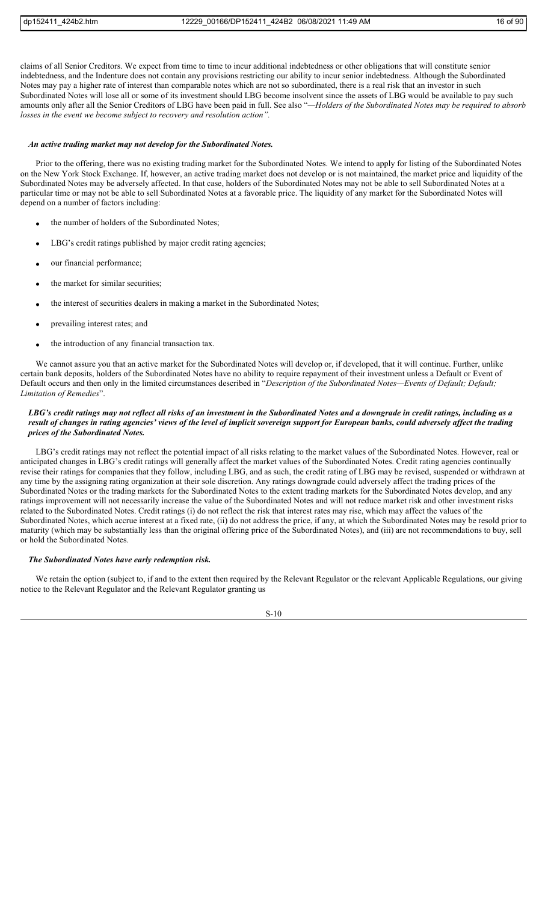claims of all Senior Creditors. We expect from time to time to incur additional indebtedness or other obligations that will constitute senior indebtedness, and the Indenture does not contain any provisions restricting our ability to incur senior indebtedness. Although the Subordinated Notes may pay a higher rate of interest than comparable notes which are not so subordinated, there is a real risk that an investor in such Subordinated Notes will lose all or some of its investment should LBG become insolvent since the assets of LBG would be available to pay such amounts only after all the Senior Creditors of LBG have been paid in full. See also "*—Holders of the Subordinated Notes may be required to absorb losses in the event we become subject to recovery and resolution action".*

#### *An active trading market may not develop for the Subordinated Notes.*

Prior to the offering, there was no existing trading market for the Subordinated Notes. We intend to apply for listing of the Subordinated Notes on the New York Stock Exchange. If, however, an active trading market does not develop or is not maintained, the market price and liquidity of the Subordinated Notes may be adversely affected. In that case, holders of the Subordinated Notes may not be able to sell Subordinated Notes at a particular time or may not be able to sell Subordinated Notes at a favorable price. The liquidity of any market for the Subordinated Notes will depend on a number of factors including:

- the number of holders of the Subordinated Notes;
- LBG's credit ratings published by major credit rating agencies;
- our financial performance;
- the market for similar securities;
- the interest of securities dealers in making a market in the Subordinated Notes;
- prevailing interest rates; and
- the introduction of any financial transaction tax.

We cannot assure you that an active market for the Subordinated Notes will develop or, if developed, that it will continue. Further, unlike certain bank deposits, holders of the Subordinated Notes have no ability to require repayment of their investment unless a Default or Event of Default occurs and then only in the limited circumstances described in "*Description of the Subordinated Notes—Events of Default; Default; Limitation of Remedies*".

## *LBG's credit ratings may not reflect all risks of an investment in the Subordinated Notes and a downgrade in credit ratings, including as a result of changes in rating agencies' views of the level of implicit sovereign support for European banks, could adversely affect the trading prices of the Subordinated Notes.*

LBG's credit ratings may not reflect the potential impact of all risks relating to the market values of the Subordinated Notes. However, real or anticipated changes in LBG's credit ratings will generally affect the market values of the Subordinated Notes. Credit rating agencies continually revise their ratings for companies that they follow, including LBG, and as such, the credit rating of LBG may be revised, suspended or withdrawn at any time by the assigning rating organization at their sole discretion. Any ratings downgrade could adversely affect the trading prices of the Subordinated Notes or the trading markets for the Subordinated Notes to the extent trading markets for the Subordinated Notes develop, and any ratings improvement will not necessarily increase the value of the Subordinated Notes and will not reduce market risk and other investment risks related to the Subordinated Notes. Credit ratings (i) do not reflect the risk that interest rates may rise, which may affect the values of the Subordinated Notes, which accrue interest at a fixed rate, (ii) do not address the price, if any, at which the Subordinated Notes may be resold prior to maturity (which may be substantially less than the original offering price of the Subordinated Notes), and (iii) are not recommendations to buy, sell or hold the Subordinated Notes.

## *The Subordinated Notes have early redemption risk.*

We retain the option (subject to, if and to the extent then required by the Relevant Regulator or the relevant Applicable Regulations, our giving notice to the Relevant Regulator and the Relevant Regulator granting us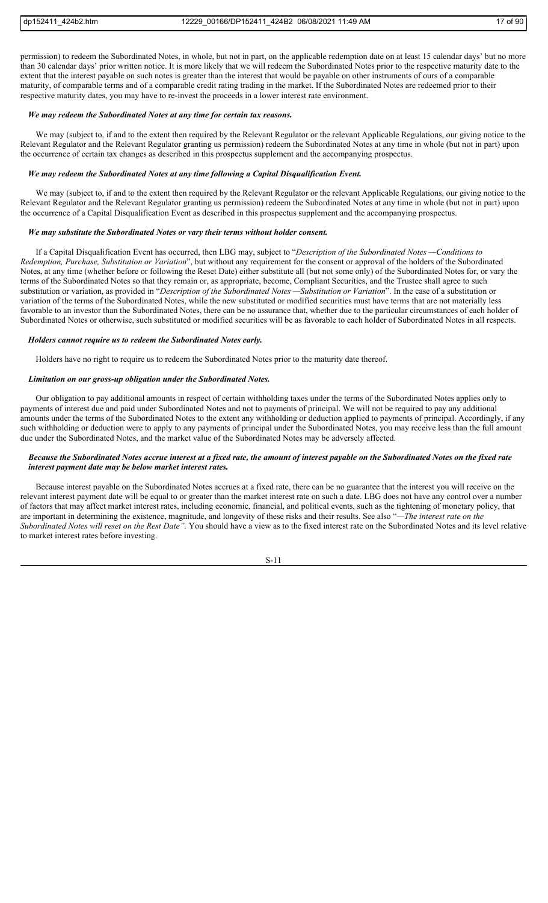permission) to redeem the Subordinated Notes, in whole, but not in part, on the applicable redemption date on at least 15 calendar days' but no more than 30 calendar days' prior written notice. It is more likely that we will redeem the Subordinated Notes prior to the respective maturity date to the extent that the interest payable on such notes is greater than the interest that would be payable on other instruments of ours of a comparable maturity, of comparable terms and of a comparable credit rating trading in the market. If the Subordinated Notes are redeemed prior to their respective maturity dates, you may have to re-invest the proceeds in a lower interest rate environment.

# *We may redeem the Subordinated Notes at any time for certain tax reasons.*

We may (subject to, if and to the extent then required by the Relevant Regulator or the relevant Applicable Regulations, our giving notice to the Relevant Regulator and the Relevant Regulator granting us permission) redeem the Subordinated Notes at any time in whole (but not in part) upon the occurrence of certain tax changes as described in this prospectus supplement and the accompanying prospectus.

#### *We may redeem the Subordinated Notes at any time following a Capital Disqualification Event.*

We may (subject to, if and to the extent then required by the Relevant Regulator or the relevant Applicable Regulations, our giving notice to the Relevant Regulator and the Relevant Regulator granting us permission) redeem the Subordinated Notes at any time in whole (but not in part) upon the occurrence of a Capital Disqualification Event as described in this prospectus supplement and the accompanying prospectus.

#### *We may substitute the Subordinated Notes or vary their terms without holder consent.*

If a Capital Disqualification Event has occurred, then LBG may, subject to "*Description of the Subordinated Notes —Conditions to Redemption, Purchase, Substitution or Variation*", but without any requirement for the consent or approval of the holders of the Subordinated Notes, at any time (whether before or following the Reset Date) either substitute all (but not some only) of the Subordinated Notes for, or vary the terms of the Subordinated Notes so that they remain or, as appropriate, become, Compliant Securities, and the Trustee shall agree to such substitution or variation, as provided in "*Description of the Subordinated Notes —Substitution or Variation*". In the case of a substitution or variation of the terms of the Subordinated Notes, while the new substituted or modified securities must have terms that are not materially less favorable to an investor than the Subordinated Notes, there can be no assurance that, whether due to the particular circumstances of each holder of Subordinated Notes or otherwise, such substituted or modified securities will be as favorable to each holder of Subordinated Notes in all respects.

#### *Holders cannot require us to redeem the Subordinated Notes early.*

Holders have no right to require us to redeem the Subordinated Notes prior to the maturity date thereof.

## *Limitation on our gross-up obligation under the Subordinated Notes.*

Our obligation to pay additional amounts in respect of certain withholding taxes under the terms of the Subordinated Notes applies only to payments of interest due and paid under Subordinated Notes and not to payments of principal. We will not be required to pay any additional amounts under the terms of the Subordinated Notes to the extent any withholding or deduction applied to payments of principal. Accordingly, if any such withholding or deduction were to apply to any payments of principal under the Subordinated Notes, you may receive less than the full amount due under the Subordinated Notes, and the market value of the Subordinated Notes may be adversely affected.

## *Because the Subordinated Notes accrue interest at a fixed rate, the amount of interest payable on the Subordinated Notes on the fixed rate interest payment date may be below market interest rates.*

Because interest payable on the Subordinated Notes accrues at a fixed rate, there can be no guarantee that the interest you will receive on the relevant interest payment date will be equal to or greater than the market interest rate on such a date. LBG does not have any control over a number of factors that may affect market interest rates, including economic, financial, and political events, such as the tightening of monetary policy, that are important in determining the existence, magnitude, and longevity of these risks and their results. See also "*—The interest rate on the Subordinated Notes will reset on the Rest Date".* You should have a view as to the fixed interest rate on the Subordinated Notes and its level relative to market interest rates before investing.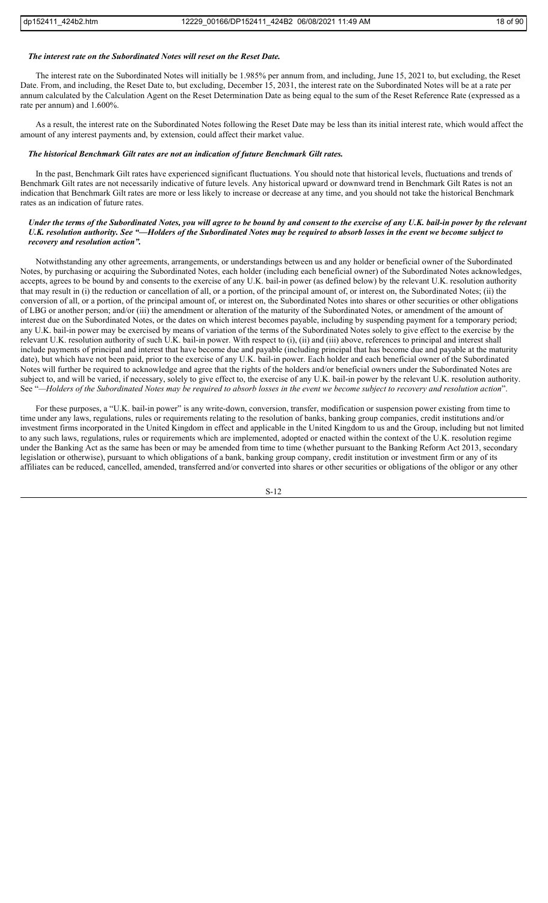#### *The interest rate on the Subordinated Notes will reset on the Reset Date.*

The interest rate on the Subordinated Notes will initially be 1.985% per annum from, and including, June 15, 2021 to, but excluding, the Reset Date. From, and including, the Reset Date to, but excluding, December 15, 2031, the interest rate on the Subordinated Notes will be at a rate per annum calculated by the Calculation Agent on the Reset Determination Date as being equal to the sum of the Reset Reference Rate (expressed as a rate per annum) and 1.600%.

As a result, the interest rate on the Subordinated Notes following the Reset Date may be less than its initial interest rate, which would affect the amount of any interest payments and, by extension, could affect their market value.

#### *The historical Benchmark Gilt rates are not an indication of future Benchmark Gilt rates.*

In the past, Benchmark Gilt rates have experienced significant fluctuations. You should note that historical levels, fluctuations and trends of Benchmark Gilt rates are not necessarily indicative of future levels. Any historical upward or downward trend in Benchmark Gilt Rates is not an indication that Benchmark Gilt rates are more or less likely to increase or decrease at any time, and you should not take the historical Benchmark rates as an indication of future rates.

## *Under the terms of the Subordinated Notes, you will agree to be bound by and consent to the exercise of any U.K. bail-in power by the relevant U.K. resolution authority. See "—Holders of the Subordinated Notes may be required to absorb losses in the event we become subject to recovery and resolution action".*

Notwithstanding any other agreements, arrangements, or understandings between us and any holder or beneficial owner of the Subordinated Notes, by purchasing or acquiring the Subordinated Notes, each holder (including each beneficial owner) of the Subordinated Notes acknowledges, accepts, agrees to be bound by and consents to the exercise of any U.K. bail-in power (as defined below) by the relevant U.K. resolution authority that may result in (i) the reduction or cancellation of all, or a portion, of the principal amount of, or interest on, the Subordinated Notes; (ii) the conversion of all, or a portion, of the principal amount of, or interest on, the Subordinated Notes into shares or other securities or other obligations of LBG or another person; and/or (iii) the amendment or alteration of the maturity of the Subordinated Notes, or amendment of the amount of interest due on the Subordinated Notes, or the dates on which interest becomes payable, including by suspending payment for a temporary period; any U.K. bail-in power may be exercised by means of variation of the terms of the Subordinated Notes solely to give effect to the exercise by the relevant U.K. resolution authority of such U.K. bail-in power. With respect to (i), (ii) and (iii) above, references to principal and interest shall include payments of principal and interest that have become due and payable (including principal that has become due and payable at the maturity date), but which have not been paid, prior to the exercise of any U.K. bail-in power. Each holder and each beneficial owner of the Subordinated Notes will further be required to acknowledge and agree that the rights of the holders and/or beneficial owners under the Subordinated Notes are subject to, and will be varied, if necessary, solely to give effect to, the exercise of any U.K. bail-in power by the relevant U.K. resolution authority. See "*—Holders of the Subordinated Notes may be required to absorb losses in the event we become subject to recovery and resolution action*".

For these purposes, a "U.K. bail-in power" is any write-down, conversion, transfer, modification or suspension power existing from time to time under any laws, regulations, rules or requirements relating to the resolution of banks, banking group companies, credit institutions and/or investment firms incorporated in the United Kingdom in effect and applicable in the United Kingdom to us and the Group, including but not limited to any such laws, regulations, rules or requirements which are implemented, adopted or enacted within the context of the U.K. resolution regime under the Banking Act as the same has been or may be amended from time to time (whether pursuant to the Banking Reform Act 2013, secondary legislation or otherwise), pursuant to which obligations of a bank, banking group company, credit institution or investment firm or any of its affiliates can be reduced, cancelled, amended, transferred and/or converted into shares or other securities or obligations of the obligor or any other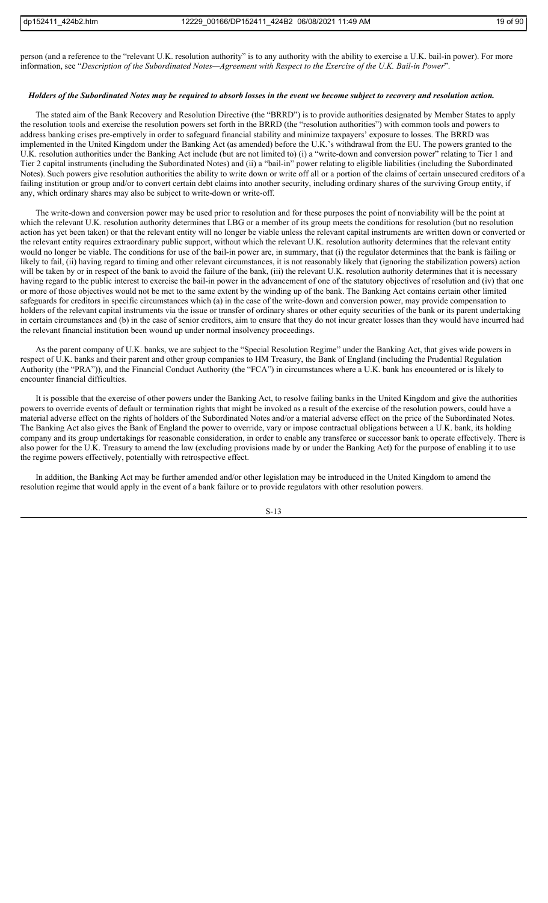person (and a reference to the "relevant U.K. resolution authority" is to any authority with the ability to exercise a U.K. bail-in power). For more information, see "*Description of the Subordinated Notes—Agreement with Respect to the Exercise of the U.K. Bail-in Power*".

#### *Holders of the Subordinated Notes may be required to absorb losses in the event we become subject to recovery and resolution action.*

The stated aim of the Bank Recovery and Resolution Directive (the "BRRD") is to provide authorities designated by Member States to apply the resolution tools and exercise the resolution powers set forth in the BRRD (the "resolution authorities") with common tools and powers to address banking crises pre-emptively in order to safeguard financial stability and minimize taxpayers' exposure to losses. The BRRD was implemented in the United Kingdom under the Banking Act (as amended) before the U.K.'s withdrawal from the EU. The powers granted to the U.K. resolution authorities under the Banking Act include (but are not limited to) (i) a "write-down and conversion power" relating to Tier 1 and Tier 2 capital instruments (including the Subordinated Notes) and (ii) a "bail-in" power relating to eligible liabilities (including the Subordinated Notes). Such powers give resolution authorities the ability to write down or write off all or a portion of the claims of certain unsecured creditors of a failing institution or group and/or to convert certain debt claims into another security, including ordinary shares of the surviving Group entity, if any, which ordinary shares may also be subject to write-down or write-off.

The write-down and conversion power may be used prior to resolution and for these purposes the point of nonviability will be the point at which the relevant U.K. resolution authority determines that LBG or a member of its group meets the conditions for resolution (but no resolution action has yet been taken) or that the relevant entity will no longer be viable unless the relevant capital instruments are written down or converted or the relevant entity requires extraordinary public support, without which the relevant U.K. resolution authority determines that the relevant entity would no longer be viable. The conditions for use of the bail-in power are, in summary, that (i) the regulator determines that the bank is failing or likely to fail, (ii) having regard to timing and other relevant circumstances, it is not reasonably likely that (ignoring the stabilization powers) action will be taken by or in respect of the bank to avoid the failure of the bank, (iii) the relevant U.K. resolution authority determines that it is necessary having regard to the public interest to exercise the bail-in power in the advancement of one of the statutory objectives of resolution and (iv) that one or more of those objectives would not be met to the same extent by the winding up of the bank. The Banking Act contains certain other limited safeguards for creditors in specific circumstances which (a) in the case of the write-down and conversion power, may provide compensation to holders of the relevant capital instruments via the issue or transfer of ordinary shares or other equity securities of the bank or its parent undertaking in certain circumstances and (b) in the case of senior creditors, aim to ensure that they do not incur greater losses than they would have incurred had the relevant financial institution been wound up under normal insolvency proceedings.

As the parent company of U.K. banks, we are subject to the "Special Resolution Regime" under the Banking Act, that gives wide powers in respect of U.K. banks and their parent and other group companies to HM Treasury, the Bank of England (including the Prudential Regulation Authority (the "PRA")), and the Financial Conduct Authority (the "FCA") in circumstances where a U.K. bank has encountered or is likely to encounter financial difficulties.

It is possible that the exercise of other powers under the Banking Act, to resolve failing banks in the United Kingdom and give the authorities powers to override events of default or termination rights that might be invoked as a result of the exercise of the resolution powers, could have a material adverse effect on the rights of holders of the Subordinated Notes and/or a material adverse effect on the price of the Subordinated Notes. The Banking Act also gives the Bank of England the power to override, vary or impose contractual obligations between a U.K. bank, its holding company and its group undertakings for reasonable consideration, in order to enable any transferee or successor bank to operate effectively. There is also power for the U.K. Treasury to amend the law (excluding provisions made by or under the Banking Act) for the purpose of enabling it to use the regime powers effectively, potentially with retrospective effect.

In addition, the Banking Act may be further amended and/or other legislation may be introduced in the United Kingdom to amend the resolution regime that would apply in the event of a bank failure or to provide regulators with other resolution powers.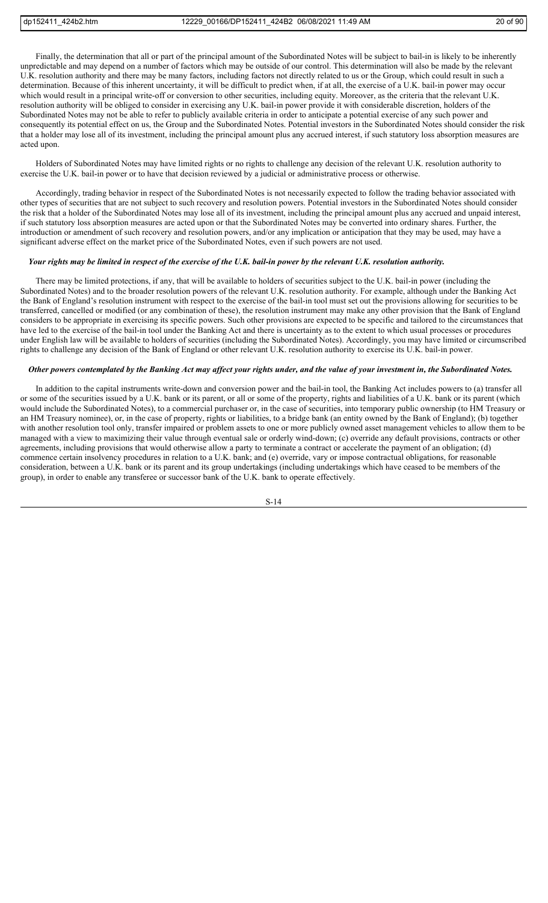Finally, the determination that all or part of the principal amount of the Subordinated Notes will be subject to bail-in is likely to be inherently unpredictable and may depend on a number of factors which may be outside of our control. This determination will also be made by the relevant U.K. resolution authority and there may be many factors, including factors not directly related to us or the Group, which could result in such a determination. Because of this inherent uncertainty, it will be difficult to predict when, if at all, the exercise of a U.K. bail-in power may occur which would result in a principal write-off or conversion to other securities, including equity. Moreover, as the criteria that the relevant U.K. resolution authority will be obliged to consider in exercising any U.K. bail-in power provide it with considerable discretion, holders of the Subordinated Notes may not be able to refer to publicly available criteria in order to anticipate a potential exercise of any such power and consequently its potential effect on us, the Group and the Subordinated Notes. Potential investors in the Subordinated Notes should consider the risk that a holder may lose all of its investment, including the principal amount plus any accrued interest, if such statutory loss absorption measures are acted upon.

Holders of Subordinated Notes may have limited rights or no rights to challenge any decision of the relevant U.K. resolution authority to exercise the U.K. bail-in power or to have that decision reviewed by a judicial or administrative process or otherwise.

Accordingly, trading behavior in respect of the Subordinated Notes is not necessarily expected to follow the trading behavior associated with other types of securities that are not subject to such recovery and resolution powers. Potential investors in the Subordinated Notes should consider the risk that a holder of the Subordinated Notes may lose all of its investment, including the principal amount plus any accrued and unpaid interest, if such statutory loss absorption measures are acted upon or that the Subordinated Notes may be converted into ordinary shares. Further, the introduction or amendment of such recovery and resolution powers, and/or any implication or anticipation that they may be used, may have a significant adverse effect on the market price of the Subordinated Notes, even if such powers are not used.

#### *Your rights may be limited in respect of the exercise of the U.K. bail-in power by the relevant U.K. resolution authority.*

There may be limited protections, if any, that will be available to holders of securities subject to the U.K. bail-in power (including the Subordinated Notes) and to the broader resolution powers of the relevant U.K. resolution authority. For example, although under the Banking Act the Bank of England's resolution instrument with respect to the exercise of the bail-in tool must set out the provisions allowing for securities to be transferred, cancelled or modified (or any combination of these), the resolution instrument may make any other provision that the Bank of England considers to be appropriate in exercising its specific powers. Such other provisions are expected to be specific and tailored to the circumstances that have led to the exercise of the bail-in tool under the Banking Act and there is uncertainty as to the extent to which usual processes or procedures under English law will be available to holders of securities (including the Subordinated Notes). Accordingly, you may have limited or circumscribed rights to challenge any decision of the Bank of England or other relevant U.K. resolution authority to exercise its U.K. bail-in power.

#### *Other powers contemplated by the Banking Act may affect your rights under, and the value of your investment in, the Subordinated Notes.*

In addition to the capital instruments write-down and conversion power and the bail-in tool, the Banking Act includes powers to (a) transfer all or some of the securities issued by a U.K. bank or its parent, or all or some of the property, rights and liabilities of a U.K. bank or its parent (which would include the Subordinated Notes), to a commercial purchaser or, in the case of securities, into temporary public ownership (to HM Treasury or an HM Treasury nominee), or, in the case of property, rights or liabilities, to a bridge bank (an entity owned by the Bank of England); (b) together with another resolution tool only, transfer impaired or problem assets to one or more publicly owned asset management vehicles to allow them to be managed with a view to maximizing their value through eventual sale or orderly wind-down; (c) override any default provisions, contracts or other agreements, including provisions that would otherwise allow a party to terminate a contract or accelerate the payment of an obligation; (d) commence certain insolvency procedures in relation to a U.K. bank; and (e) override, vary or impose contractual obligations, for reasonable consideration, between a U.K. bank or its parent and its group undertakings (including undertakings which have ceased to be members of the group), in order to enable any transferee or successor bank of the U.K. bank to operate effectively.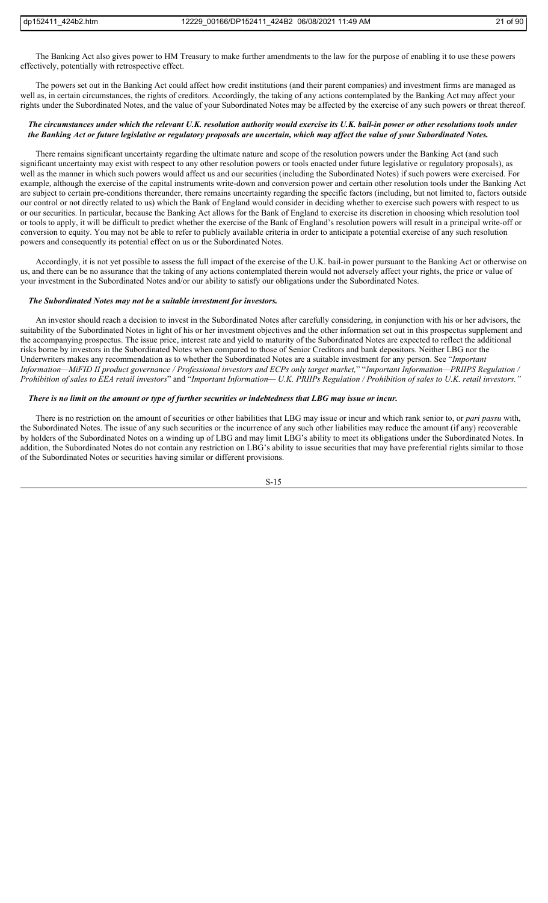The Banking Act also gives power to HM Treasury to make further amendments to the law for the purpose of enabling it to use these powers effectively, potentially with retrospective effect.

The powers set out in the Banking Act could affect how credit institutions (and their parent companies) and investment firms are managed as well as, in certain circumstances, the rights of creditors. Accordingly, the taking of any actions contemplated by the Banking Act may affect your rights under the Subordinated Notes, and the value of your Subordinated Notes may be affected by the exercise of any such powers or threat thereof.

## *The circumstances under which the relevant U.K. resolution authority would exercise its U.K. bail-in power or other resolutions tools under the Banking Act or future legislative or regulatory proposals are uncertain, which may affect the value of your Subordinated Notes.*

There remains significant uncertainty regarding the ultimate nature and scope of the resolution powers under the Banking Act (and such significant uncertainty may exist with respect to any other resolution powers or tools enacted under future legislative or regulatory proposals), as well as the manner in which such powers would affect us and our securities (including the Subordinated Notes) if such powers were exercised. For example, although the exercise of the capital instruments write-down and conversion power and certain other resolution tools under the Banking Act are subject to certain pre-conditions thereunder, there remains uncertainty regarding the specific factors (including, but not limited to, factors outside our control or not directly related to us) which the Bank of England would consider in deciding whether to exercise such powers with respect to us or our securities. In particular, because the Banking Act allows for the Bank of England to exercise its discretion in choosing which resolution tool or tools to apply, it will be difficult to predict whether the exercise of the Bank of England's resolution powers will result in a principal write-off or conversion to equity. You may not be able to refer to publicly available criteria in order to anticipate a potential exercise of any such resolution powers and consequently its potential effect on us or the Subordinated Notes.

Accordingly, it is not yet possible to assess the full impact of the exercise of the U.K. bail-in power pursuant to the Banking Act or otherwise on us, and there can be no assurance that the taking of any actions contemplated therein would not adversely affect your rights, the price or value of your investment in the Subordinated Notes and/or our ability to satisfy our obligations under the Subordinated Notes.

#### *The Subordinated Notes may not be a suitable investment for investors.*

An investor should reach a decision to invest in the Subordinated Notes after carefully considering, in conjunction with his or her advisors, the suitability of the Subordinated Notes in light of his or her investment objectives and the other information set out in this prospectus supplement and the accompanying prospectus. The issue price, interest rate and yield to maturity of the Subordinated Notes are expected to reflect the additional risks borne by investors in the Subordinated Notes when compared to those of Senior Creditors and bank depositors. Neither LBG nor the Underwriters makes any recommendation as to whether the Subordinated Notes are a suitable investment for any person. See "*Important Information—MiFID II product governance / Professional investors and ECPs only target market,*" "*Important Information—PRIIPS Regulation / Prohibition of sales to EEA retail investors*" and "*Important Information— U.K. PRIIPs Regulation / Prohibition of sales to U.K. retail investors."*

#### *There is no limit on the amount or type of further securities or indebtedness that LBG may issue or incur.*

There is no restriction on the amount of securities or other liabilities that LBG may issue or incur and which rank senior to, or *pari passu* with, the Subordinated Notes. The issue of any such securities or the incurrence of any such other liabilities may reduce the amount (if any) recoverable by holders of the Subordinated Notes on a winding up of LBG and may limit LBG's ability to meet its obligations under the Subordinated Notes. In addition, the Subordinated Notes do not contain any restriction on LBG's ability to issue securities that may have preferential rights similar to those of the Subordinated Notes or securities having similar or different provisions.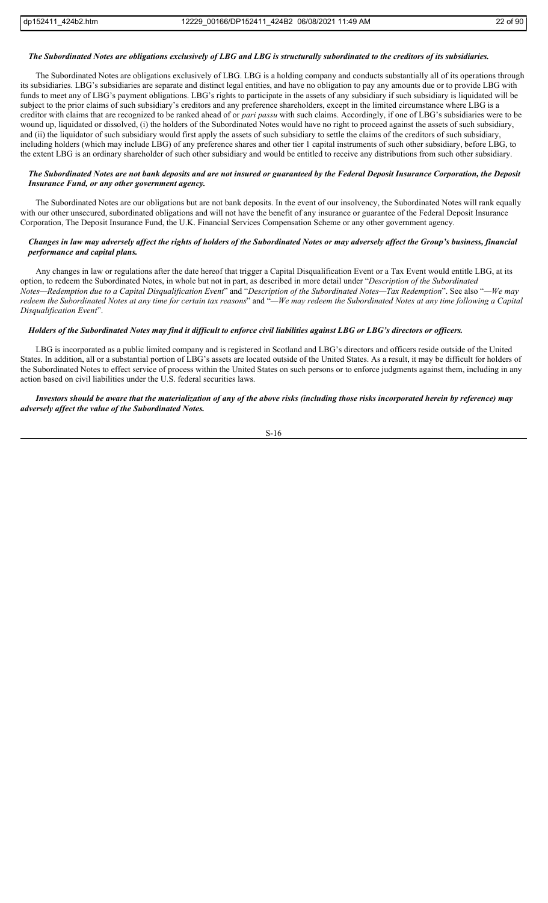#### *The Subordinated Notes are obligations exclusively of LBG and LBG is structurally subordinated to the creditors of its subsidiaries.*

The Subordinated Notes are obligations exclusively of LBG. LBG is a holding company and conducts substantially all of its operations through its subsidiaries. LBG's subsidiaries are separate and distinct legal entities, and have no obligation to pay any amounts due or to provide LBG with funds to meet any of LBG's payment obligations. LBG's rights to participate in the assets of any subsidiary if such subsidiary is liquidated will be subject to the prior claims of such subsidiary's creditors and any preference shareholders, except in the limited circumstance where LBG is a creditor with claims that are recognized to be ranked ahead of or *pari passu* with such claims. Accordingly, if one of LBG's subsidiaries were to be wound up, liquidated or dissolved, (i) the holders of the Subordinated Notes would have no right to proceed against the assets of such subsidiary, and (ii) the liquidator of such subsidiary would first apply the assets of such subsidiary to settle the claims of the creditors of such subsidiary, including holders (which may include LBG) of any preference shares and other tier 1 capital instruments of such other subsidiary, before LBG, to the extent LBG is an ordinary shareholder of such other subsidiary and would be entitled to receive any distributions from such other subsidiary.

## *The Subordinated Notes are not bank deposits and are not insured or guaranteed by the Federal Deposit Insurance Corporation, the Deposit Insurance Fund, or any other government agency.*

The Subordinated Notes are our obligations but are not bank deposits. In the event of our insolvency, the Subordinated Notes will rank equally with our other unsecured, subordinated obligations and will not have the benefit of any insurance or guarantee of the Federal Deposit Insurance Corporation, The Deposit Insurance Fund, the U.K. Financial Services Compensation Scheme or any other government agency.

## *Changes in law may adversely affect the rights of holders of the Subordinated Notes or may adversely affect the Group's business, financial performance and capital plans.*

Any changes in law or regulations after the date hereof that trigger a Capital Disqualification Event or a Tax Event would entitle LBG, at its option, to redeem the Subordinated Notes, in whole but not in part, as described in more detail under "*Description of the Subordinated Notes—Redemption due to a Capital Disqualification Event*" and "*Description of the Subordinated Notes—Tax Redemption*". See also "*—We may redeem the Subordinated Notes at any time for certain tax reasons*" and "*—We may redeem the Subordinated Notes at any time following a Capital Disqualification Event*".

## *Holders of the Subordinated Notes may find it difficult to enforce civil liabilities against LBG or LBG's directors or officers.*

LBG is incorporated as a public limited company and is registered in Scotland and LBG's directors and officers reside outside of the United States. In addition, all or a substantial portion of LBG's assets are located outside of the United States. As a result, it may be difficult for holders of the Subordinated Notes to effect service of process within the United States on such persons or to enforce judgments against them, including in any action based on civil liabilities under the U.S. federal securities laws.

## *Investors should be aware that the materialization of any of the above risks (including those risks incorporated herein by reference) may adversely affect the value of the Subordinated Notes.*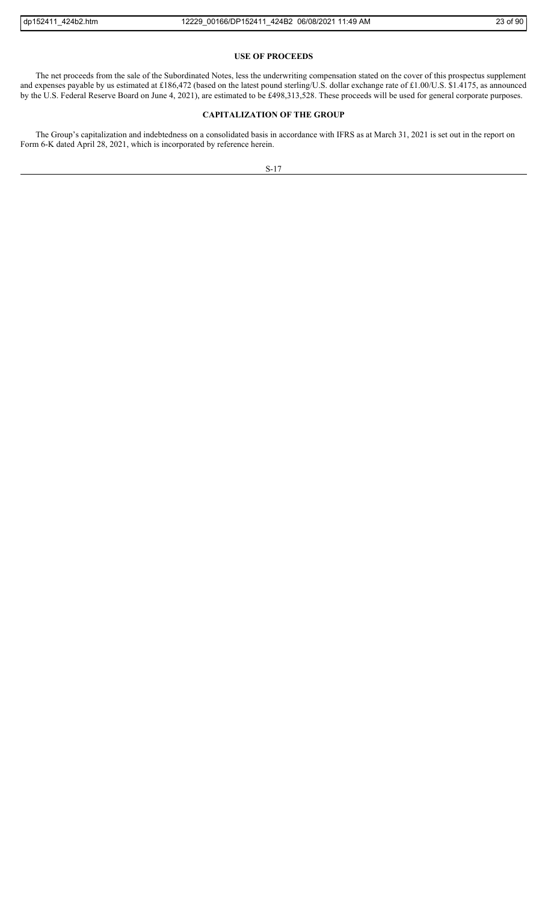## **USE OF PROCEEDS**

The net proceeds from the sale of the Subordinated Notes, less the underwriting compensation stated on the cover of this prospectus supplement and expenses payable by us estimated at £186,472 (based on the latest pound sterling/U.S. dollar exchange rate of £1.00/U.S. \$1.4175, as announced by the U.S. Federal Reserve Board on June 4, 2021), are estimated to be £498,313,528. These proceeds will be used for general corporate purposes.

# **CAPITALIZATION OF THE GROUP**

The Group's capitalization and indebtedness on a consolidated basis in accordance with IFRS as at March 31, 2021 is set out in the report on Form 6-K dated April 28, 2021, which is incorporated by reference herein.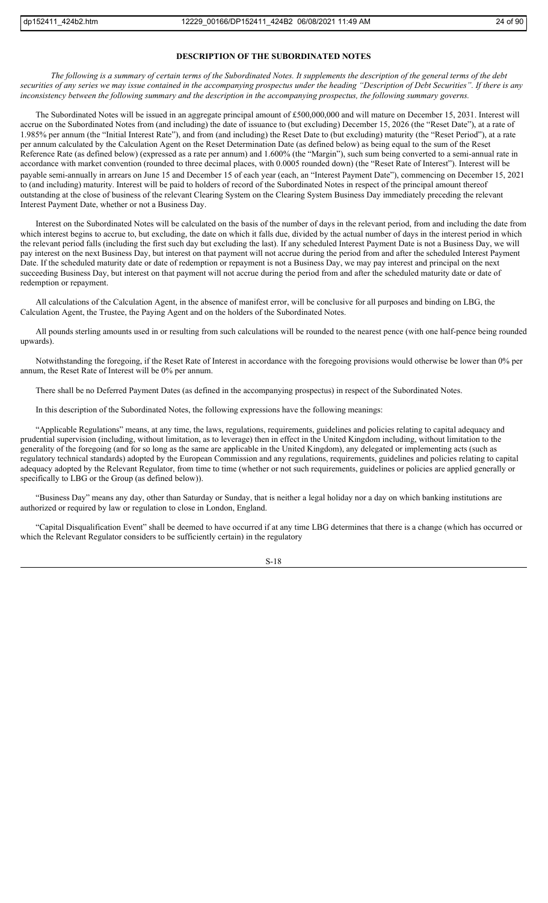## **DESCRIPTION OF THE SUBORDINATED NOTES**

*The following is a summary of certain terms of the Subordinated Notes. It supplements the description of the general terms of the debt securities of any series we may issue contained in the accompanying prospectus under the heading "Description of Debt Securities". If there is any*  inconsistency between the following summary and the description in the accompanying prospectus, the following summary governs.

The Subordinated Notes will be issued in an aggregate principal amount of £500,000,000 and will mature on December 15, 2031. Interest will accrue on the Subordinated Notes from (and including) the date of issuance to (but excluding) December 15, 2026 (the "Reset Date"), at a rate of 1.985% per annum (the "Initial Interest Rate"), and from (and including) the Reset Date to (but excluding) maturity (the "Reset Period"), at a rate per annum calculated by the Calculation Agent on the Reset Determination Date (as defined below) as being equal to the sum of the Reset Reference Rate (as defined below) (expressed as a rate per annum) and 1.600% (the "Margin"), such sum being converted to a semi-annual rate in accordance with market convention (rounded to three decimal places, with 0.0005 rounded down) (the "Reset Rate of Interest"). Interest will be payable semi-annually in arrears on June 15 and December 15 of each year (each, an "Interest Payment Date"), commencing on December 15, 2021 to (and including) maturity. Interest will be paid to holders of record of the Subordinated Notes in respect of the principal amount thereof outstanding at the close of business of the relevant Clearing System on the Clearing System Business Day immediately preceding the relevant Interest Payment Date, whether or not a Business Day.

Interest on the Subordinated Notes will be calculated on the basis of the number of days in the relevant period, from and including the date from which interest begins to accrue to, but excluding, the date on which it falls due, divided by the actual number of days in the interest period in which the relevant period falls (including the first such day but excluding the last). If any scheduled Interest Payment Date is not a Business Day, we will pay interest on the next Business Day, but interest on that payment will not accrue during the period from and after the scheduled Interest Payment Date. If the scheduled maturity date or date of redemption or repayment is not a Business Day, we may pay interest and principal on the next succeeding Business Day, but interest on that payment will not accrue during the period from and after the scheduled maturity date or date of redemption or repayment.

All calculations of the Calculation Agent, in the absence of manifest error, will be conclusive for all purposes and binding on LBG, the Calculation Agent, the Trustee, the Paying Agent and on the holders of the Subordinated Notes.

All pounds sterling amounts used in or resulting from such calculations will be rounded to the nearest pence (with one half-pence being rounded upwards).

Notwithstanding the foregoing, if the Reset Rate of Interest in accordance with the foregoing provisions would otherwise be lower than 0% per annum, the Reset Rate of Interest will be 0% per annum.

There shall be no Deferred Payment Dates (as defined in the accompanying prospectus) in respect of the Subordinated Notes.

In this description of the Subordinated Notes, the following expressions have the following meanings:

"Applicable Regulations" means, at any time, the laws, regulations, requirements, guidelines and policies relating to capital adequacy and prudential supervision (including, without limitation, as to leverage) then in effect in the United Kingdom including, without limitation to the generality of the foregoing (and for so long as the same are applicable in the United Kingdom), any delegated or implementing acts (such as regulatory technical standards) adopted by the European Commission and any regulations, requirements, guidelines and policies relating to capital adequacy adopted by the Relevant Regulator, from time to time (whether or not such requirements, guidelines or policies are applied generally or specifically to LBG or the Group (as defined below)).

"Business Day" means any day, other than Saturday or Sunday, that is neither a legal holiday nor a day on which banking institutions are authorized or required by law or regulation to close in London, England.

"Capital Disqualification Event" shall be deemed to have occurred if at any time LBG determines that there is a change (which has occurred or which the Relevant Regulator considers to be sufficiently certain) in the regulatory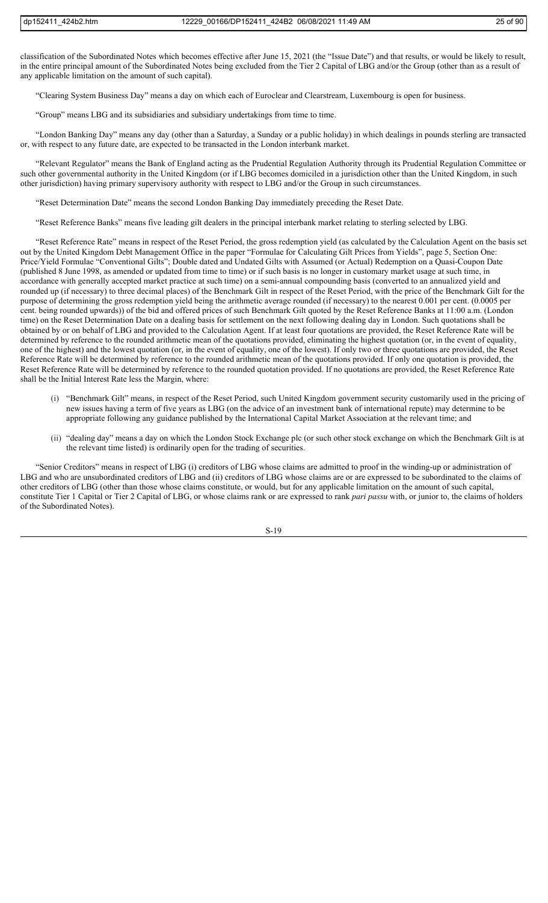classification of the Subordinated Notes which becomes effective after June 15, 2021 (the "Issue Date") and that results, or would be likely to result, in the entire principal amount of the Subordinated Notes being excluded from the Tier 2 Capital of LBG and/or the Group (other than as a result of any applicable limitation on the amount of such capital).

"Clearing System Business Day" means a day on which each of Euroclear and Clearstream, Luxembourg is open for business.

"Group" means LBG and its subsidiaries and subsidiary undertakings from time to time.

"London Banking Day" means any day (other than a Saturday, a Sunday or a public holiday) in which dealings in pounds sterling are transacted or, with respect to any future date, are expected to be transacted in the London interbank market.

"Relevant Regulator" means the Bank of England acting as the Prudential Regulation Authority through its Prudential Regulation Committee or such other governmental authority in the United Kingdom (or if LBG becomes domiciled in a jurisdiction other than the United Kingdom, in such other jurisdiction) having primary supervisory authority with respect to LBG and/or the Group in such circumstances.

"Reset Determination Date" means the second London Banking Day immediately preceding the Reset Date.

"Reset Reference Banks" means five leading gilt dealers in the principal interbank market relating to sterling selected by LBG.

"Reset Reference Rate" means in respect of the Reset Period, the gross redemption yield (as calculated by the Calculation Agent on the basis set out by the United Kingdom Debt Management Office in the paper "Formulae for Calculating Gilt Prices from Yields", page 5, Section One: Price/Yield Formulae "Conventional Gilts"; Double dated and Undated Gilts with Assumed (or Actual) Redemption on a Quasi-Coupon Date (published 8 June 1998, as amended or updated from time to time) or if such basis is no longer in customary market usage at such time, in accordance with generally accepted market practice at such time) on a semi-annual compounding basis (converted to an annualized yield and rounded up (if necessary) to three decimal places) of the Benchmark Gilt in respect of the Reset Period, with the price of the Benchmark Gilt for the purpose of determining the gross redemption yield being the arithmetic average rounded (if necessary) to the nearest 0.001 per cent. (0.0005 per cent. being rounded upwards)) of the bid and offered prices of such Benchmark Gilt quoted by the Reset Reference Banks at 11:00 a.m. (London time) on the Reset Determination Date on a dealing basis for settlement on the next following dealing day in London. Such quotations shall be obtained by or on behalf of LBG and provided to the Calculation Agent. If at least four quotations are provided, the Reset Reference Rate will be determined by reference to the rounded arithmetic mean of the quotations provided, eliminating the highest quotation (or, in the event of equality, one of the highest) and the lowest quotation (or, in the event of equality, one of the lowest). If only two or three quotations are provided, the Reset Reference Rate will be determined by reference to the rounded arithmetic mean of the quotations provided. If only one quotation is provided, the Reset Reference Rate will be determined by reference to the rounded quotation provided. If no quotations are provided, the Reset Reference Rate shall be the Initial Interest Rate less the Margin, where:

- (i) "Benchmark Gilt" means, in respect of the Reset Period, such United Kingdom government security customarily used in the pricing of new issues having a term of five years as LBG (on the advice of an investment bank of international repute) may determine to be appropriate following any guidance published by the International Capital Market Association at the relevant time; and
- (ii) "dealing day" means a day on which the London Stock Exchange plc (or such other stock exchange on which the Benchmark Gilt is at the relevant time listed) is ordinarily open for the trading of securities.

"Senior Creditors" means in respect of LBG (i) creditors of LBG whose claims are admitted to proof in the winding-up or administration of LBG and who are unsubordinated creditors of LBG and (ii) creditors of LBG whose claims are or are expressed to be subordinated to the claims of other creditors of LBG (other than those whose claims constitute, or would, but for any applicable limitation on the amount of such capital, constitute Tier 1 Capital or Tier 2 Capital of LBG, or whose claims rank or are expressed to rank *pari passu* with, or junior to, the claims of holders of the Subordinated Notes).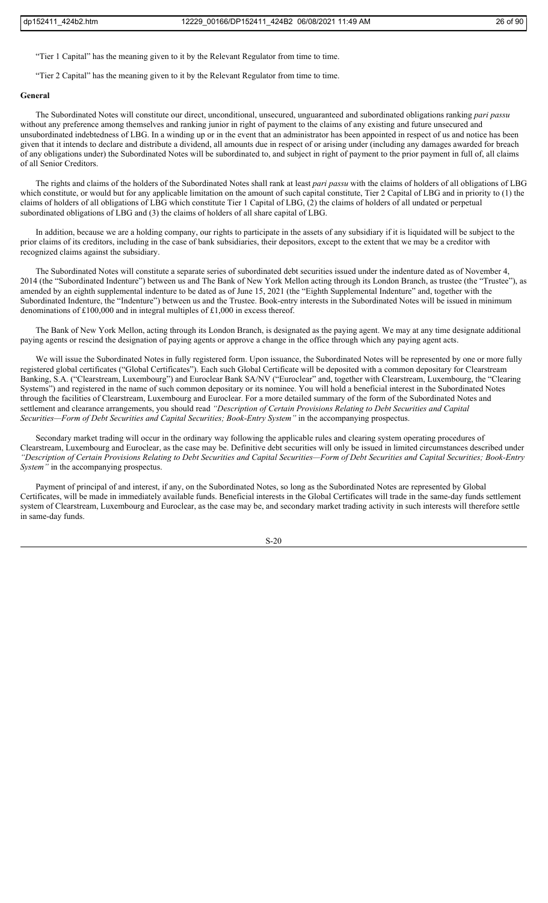"Tier 1 Capital" has the meaning given to it by the Relevant Regulator from time to time.

"Tier 2 Capital" has the meaning given to it by the Relevant Regulator from time to time.

## **General**

The Subordinated Notes will constitute our direct, unconditional, unsecured, unguaranteed and subordinated obligations ranking *pari passu*  without any preference among themselves and ranking junior in right of payment to the claims of any existing and future unsecured and unsubordinated indebtedness of LBG. In a winding up or in the event that an administrator has been appointed in respect of us and notice has been given that it intends to declare and distribute a dividend, all amounts due in respect of or arising under (including any damages awarded for breach of any obligations under) the Subordinated Notes will be subordinated to, and subject in right of payment to the prior payment in full of, all claims of all Senior Creditors.

The rights and claims of the holders of the Subordinated Notes shall rank at least *pari passu* with the claims of holders of all obligations of LBG which constitute, or would but for any applicable limitation on the amount of such capital constitute, Tier 2 Capital of LBG and in priority to (1) the claims of holders of all obligations of LBG which constitute Tier 1 Capital of LBG, (2) the claims of holders of all undated or perpetual subordinated obligations of LBG and (3) the claims of holders of all share capital of LBG.

In addition, because we are a holding company, our rights to participate in the assets of any subsidiary if it is liquidated will be subject to the prior claims of its creditors, including in the case of bank subsidiaries, their depositors, except to the extent that we may be a creditor with recognized claims against the subsidiary.

The Subordinated Notes will constitute a separate series of subordinated debt securities issued under the indenture dated as of November 4, 2014 (the "Subordinated Indenture") between us and The Bank of New York Mellon acting through its London Branch, as trustee (the "Trustee"), as amended by an eighth supplemental indenture to be dated as of June 15, 2021 (the "Eighth Supplemental Indenture" and, together with the Subordinated Indenture, the "Indenture") between us and the Trustee. Book-entry interests in the Subordinated Notes will be issued in minimum denominations of £100,000 and in integral multiples of £1,000 in excess thereof.

The Bank of New York Mellon, acting through its London Branch, is designated as the paying agent. We may at any time designate additional paying agents or rescind the designation of paying agents or approve a change in the office through which any paying agent acts.

We will issue the Subordinated Notes in fully registered form. Upon issuance, the Subordinated Notes will be represented by one or more fully registered global certificates ("Global Certificates"). Each such Global Certificate will be deposited with a common depositary for Clearstream Banking, S.A. ("Clearstream, Luxembourg") and Euroclear Bank SA/NV ("Euroclear" and, together with Clearstream, Luxembourg, the "Clearing Systems") and registered in the name of such common depositary or its nominee. You will hold a beneficial interest in the Subordinated Notes through the facilities of Clearstream, Luxembourg and Euroclear. For a more detailed summary of the form of the Subordinated Notes and settlement and clearance arrangements, you should read *"Description of Certain Provisions Relating to Debt Securities and Capital Securities—Form of Debt Securities and Capital Securities; Book-Entry System"* in the accompanying prospectus.

Secondary market trading will occur in the ordinary way following the applicable rules and clearing system operating procedures of Clearstream, Luxembourg and Euroclear, as the case may be. Definitive debt securities will only be issued in limited circumstances described under *"Description of Certain Provisions Relating to Debt Securities and Capital Securities—Form of Debt Securities and Capital Securities; Book-Entry System"* in the accompanying prospectus.

Payment of principal of and interest, if any, on the Subordinated Notes, so long as the Subordinated Notes are represented by Global Certificates, will be made in immediately available funds. Beneficial interests in the Global Certificates will trade in the same-day funds settlement system of Clearstream, Luxembourg and Euroclear, as the case may be, and secondary market trading activity in such interests will therefore settle in same-day funds.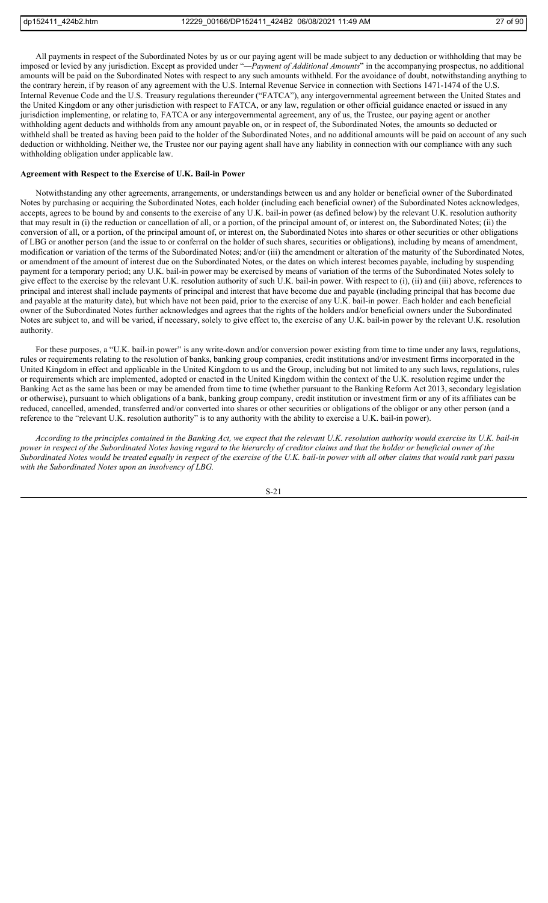All payments in respect of the Subordinated Notes by us or our paying agent will be made subject to any deduction or withholding that may be imposed or levied by any jurisdiction. Except as provided under "*—Payment of Additional Amounts*" in the accompanying prospectus, no additional amounts will be paid on the Subordinated Notes with respect to any such amounts withheld. For the avoidance of doubt, notwithstanding anything to the contrary herein, if by reason of any agreement with the U.S. Internal Revenue Service in connection with Sections 1471-1474 of the U.S. Internal Revenue Code and the U.S. Treasury regulations thereunder ("FATCA"), any intergovernmental agreement between the United States and the United Kingdom or any other jurisdiction with respect to FATCA, or any law, regulation or other official guidance enacted or issued in any jurisdiction implementing, or relating to, FATCA or any intergovernmental agreement, any of us, the Trustee, our paying agent or another withholding agent deducts and withholds from any amount payable on, or in respect of, the Subordinated Notes, the amounts so deducted or withheld shall be treated as having been paid to the holder of the Subordinated Notes, and no additional amounts will be paid on account of any such deduction or withholding. Neither we, the Trustee nor our paying agent shall have any liability in connection with our compliance with any such withholding obligation under applicable law.

#### **Agreement with Respect to the Exercise of U.K. Bail-in Power**

Notwithstanding any other agreements, arrangements, or understandings between us and any holder or beneficial owner of the Subordinated Notes by purchasing or acquiring the Subordinated Notes, each holder (including each beneficial owner) of the Subordinated Notes acknowledges, accepts, agrees to be bound by and consents to the exercise of any U.K. bail-in power (as defined below) by the relevant U.K. resolution authority that may result in (i) the reduction or cancellation of all, or a portion, of the principal amount of, or interest on, the Subordinated Notes; (ii) the conversion of all, or a portion, of the principal amount of, or interest on, the Subordinated Notes into shares or other securities or other obligations of LBG or another person (and the issue to or conferral on the holder of such shares, securities or obligations), including by means of amendment, modification or variation of the terms of the Subordinated Notes; and/or (iii) the amendment or alteration of the maturity of the Subordinated Notes, or amendment of the amount of interest due on the Subordinated Notes, or the dates on which interest becomes payable, including by suspending payment for a temporary period; any U.K. bail-in power may be exercised by means of variation of the terms of the Subordinated Notes solely to give effect to the exercise by the relevant U.K. resolution authority of such U.K. bail-in power. With respect to (i), (ii) and (iii) above, references to principal and interest shall include payments of principal and interest that have become due and payable (including principal that has become due and payable at the maturity date), but which have not been paid, prior to the exercise of any U.K. bail-in power. Each holder and each beneficial owner of the Subordinated Notes further acknowledges and agrees that the rights of the holders and/or beneficial owners under the Subordinated Notes are subject to, and will be varied, if necessary, solely to give effect to, the exercise of any U.K. bail-in power by the relevant U.K. resolution authority.

For these purposes, a "U.K. bail-in power" is any write-down and/or conversion power existing from time to time under any laws, regulations, rules or requirements relating to the resolution of banks, banking group companies, credit institutions and/or investment firms incorporated in the United Kingdom in effect and applicable in the United Kingdom to us and the Group, including but not limited to any such laws, regulations, rules or requirements which are implemented, adopted or enacted in the United Kingdom within the context of the U.K. resolution regime under the Banking Act as the same has been or may be amended from time to time (whether pursuant to the Banking Reform Act 2013, secondary legislation or otherwise), pursuant to which obligations of a bank, banking group company, credit institution or investment firm or any of its affiliates can be reduced, cancelled, amended, transferred and/or converted into shares or other securities or obligations of the obligor or any other person (and a reference to the "relevant U.K. resolution authority" is to any authority with the ability to exercise a U.K. bail-in power).

*According to the principles contained in the Banking Act, we expect that the relevant U.K. resolution authority would exercise its U.K. bail-in power in respect of the Subordinated Notes having regard to the hierarchy of creditor claims and that the holder or beneficial owner of the Subordinated Notes would be treated equally in respect of the exercise of the U.K. bail-in power with all other claims that would rank pari passu with the Subordinated Notes upon an insolvency of LBG.*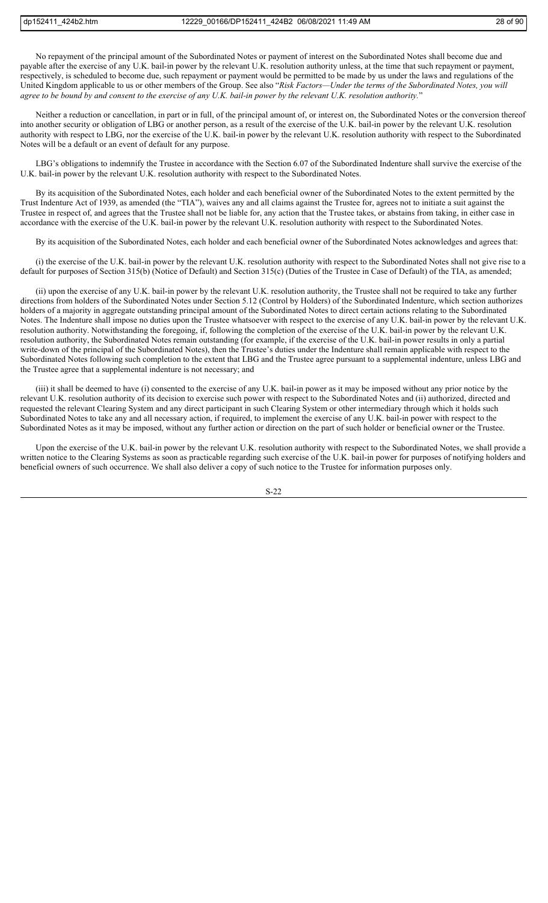No repayment of the principal amount of the Subordinated Notes or payment of interest on the Subordinated Notes shall become due and payable after the exercise of any U.K. bail-in power by the relevant U.K. resolution authority unless, at the time that such repayment or payment, respectively, is scheduled to become due, such repayment or payment would be permitted to be made by us under the laws and regulations of the United Kingdom applicable to us or other members of the Group. See also "*Risk Factors—Under the terms of the Subordinated Notes, you will agree to be bound by and consent to the exercise of any U.K. bail-in power by the relevant U.K. resolution authority.*"

Neither a reduction or cancellation, in part or in full, of the principal amount of, or interest on, the Subordinated Notes or the conversion thereof into another security or obligation of LBG or another person, as a result of the exercise of the U.K. bail-in power by the relevant U.K. resolution authority with respect to LBG, nor the exercise of the U.K. bail-in power by the relevant U.K. resolution authority with respect to the Subordinated Notes will be a default or an event of default for any purpose.

LBG's obligations to indemnify the Trustee in accordance with the Section 6.07 of the Subordinated Indenture shall survive the exercise of the U.K. bail-in power by the relevant U.K. resolution authority with respect to the Subordinated Notes.

By its acquisition of the Subordinated Notes, each holder and each beneficial owner of the Subordinated Notes to the extent permitted by the Trust Indenture Act of 1939, as amended (the "TIA"), waives any and all claims against the Trustee for, agrees not to initiate a suit against the Trustee in respect of, and agrees that the Trustee shall not be liable for, any action that the Trustee takes, or abstains from taking, in either case in accordance with the exercise of the U.K. bail-in power by the relevant U.K. resolution authority with respect to the Subordinated Notes.

By its acquisition of the Subordinated Notes, each holder and each beneficial owner of the Subordinated Notes acknowledges and agrees that:

(i) the exercise of the U.K. bail-in power by the relevant U.K. resolution authority with respect to the Subordinated Notes shall not give rise to a default for purposes of Section 315(b) (Notice of Default) and Section 315(c) (Duties of the Trustee in Case of Default) of the TIA, as amended;

(ii) upon the exercise of any U.K. bail-in power by the relevant U.K. resolution authority, the Trustee shall not be required to take any further directions from holders of the Subordinated Notes under Section 5.12 (Control by Holders) of the Subordinated Indenture, which section authorizes holders of a majority in aggregate outstanding principal amount of the Subordinated Notes to direct certain actions relating to the Subordinated Notes. The Indenture shall impose no duties upon the Trustee whatsoever with respect to the exercise of any U.K. bail-in power by the relevant U.K. resolution authority. Notwithstanding the foregoing, if, following the completion of the exercise of the U.K. bail-in power by the relevant U.K. resolution authority, the Subordinated Notes remain outstanding (for example, if the exercise of the U.K. bail-in power results in only a partial write-down of the principal of the Subordinated Notes), then the Trustee's duties under the Indenture shall remain applicable with respect to the Subordinated Notes following such completion to the extent that LBG and the Trustee agree pursuant to a supplemental indenture, unless LBG and the Trustee agree that a supplemental indenture is not necessary; and

(iii) it shall be deemed to have (i) consented to the exercise of any U.K. bail-in power as it may be imposed without any prior notice by the relevant U.K. resolution authority of its decision to exercise such power with respect to the Subordinated Notes and (ii) authorized, directed and requested the relevant Clearing System and any direct participant in such Clearing System or other intermediary through which it holds such Subordinated Notes to take any and all necessary action, if required, to implement the exercise of any U.K. bail-in power with respect to the Subordinated Notes as it may be imposed, without any further action or direction on the part of such holder or beneficial owner or the Trustee.

Upon the exercise of the U.K. bail-in power by the relevant U.K. resolution authority with respect to the Subordinated Notes, we shall provide a written notice to the Clearing Systems as soon as practicable regarding such exercise of the U.K. bail-in power for purposes of notifying holders and beneficial owners of such occurrence. We shall also deliver a copy of such notice to the Trustee for information purposes only.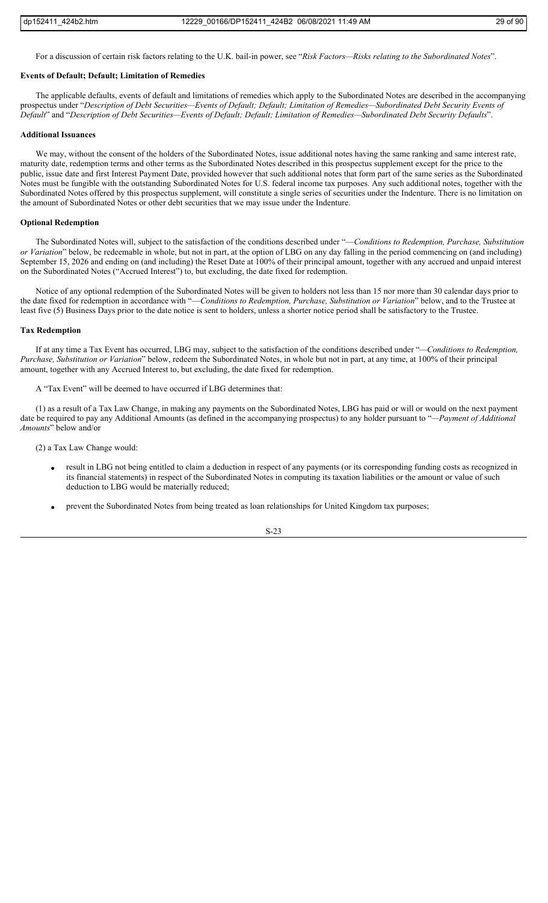For a discussion of certain risk factors relating to the U.K. bail-in power, see "*Risk Factors—Risks relating to the Subordinated Notes*".

#### **Events of Default; Default; Limitation of Remedies**

The applicable defaults, events of default and limitations of remedies which apply to the Subordinated Notes are described in the accompanying prospectus under "*Description of Debt Securities—Events of Default; Default; Limitation of Remedies—Subordinated Debt Security Events of Default*" and "*Description of Debt Securities—Events of Default; Default; Limitation of Remedies—Subordinated Debt Security Defaults*".

## **Additional Issuances**

We may, without the consent of the holders of the Subordinated Notes, issue additional notes having the same ranking and same interest rate, maturity date, redemption terms and other terms as the Subordinated Notes described in this prospectus supplement except for the price to the public, issue date and first Interest Payment Date, provided however that such additional notes that form part of the same series as the Subordinated Notes must be fungible with the outstanding Subordinated Notes for U.S. federal income tax purposes. Any such additional notes, together with the Subordinated Notes offered by this prospectus supplement, will constitute a single series of securities under the Indenture. There is no limitation on the amount of Subordinated Notes or other debt securities that we may issue under the Indenture.

## **Optional Redemption**

The Subordinated Notes will, subject to the satisfaction of the conditions described under "—*Conditions to Redemption, Purchase, Substitution or Variation*" below, be redeemable in whole, but not in part, at the option of LBG on any day falling in the period commencing on (and including) September 15, 2026 and ending on (and including) the Reset Date at 100% of their principal amount, together with any accrued and unpaid interest on the Subordinated Notes ("Accrued Interest") to, but excluding, the date fixed for redemption.

Notice of any optional redemption of the Subordinated Notes will be given to holders not less than 15 nor more than 30 calendar days prior to the date fixed for redemption in accordance with "—*Conditions to Redemption, Purchase, Substitution or Variation*" below, and to the Trustee at least five (5) Business Days prior to the date notice is sent to holders, unless a shorter notice period shall be satisfactory to the Trustee.

#### **Tax Redemption**

If at any time a Tax Event has occurred, LBG may, subject to the satisfaction of the conditions described under "*—Conditions to Redemption, Purchase, Substitution or Variation*" below, redeem the Subordinated Notes, in whole but not in part, at any time, at 100% of their principal amount, together with any Accrued Interest to, but excluding, the date fixed for redemption.

A "Tax Event" will be deemed to have occurred if LBG determines that:

(1) as a result of a Tax Law Change, in making any payments on the Subordinated Notes, LBG has paid or will or would on the next payment date be required to pay any Additional Amounts (as defined in the accompanying prospectus) to any holder pursuant to "*—Payment of Additional Amounts*" below and/or

(2) a Tax Law Change would:

- result in LBG not being entitled to claim a deduction in respect of any payments (or its corresponding funding costs as recognized in its financial statements) in respect of the Subordinated Notes in computing its taxation liabilities or the amount or value of such deduction to LBG would be materially reduced;
- prevent the Subordinated Notes from being treated as loan relationships for United Kingdom tax purposes;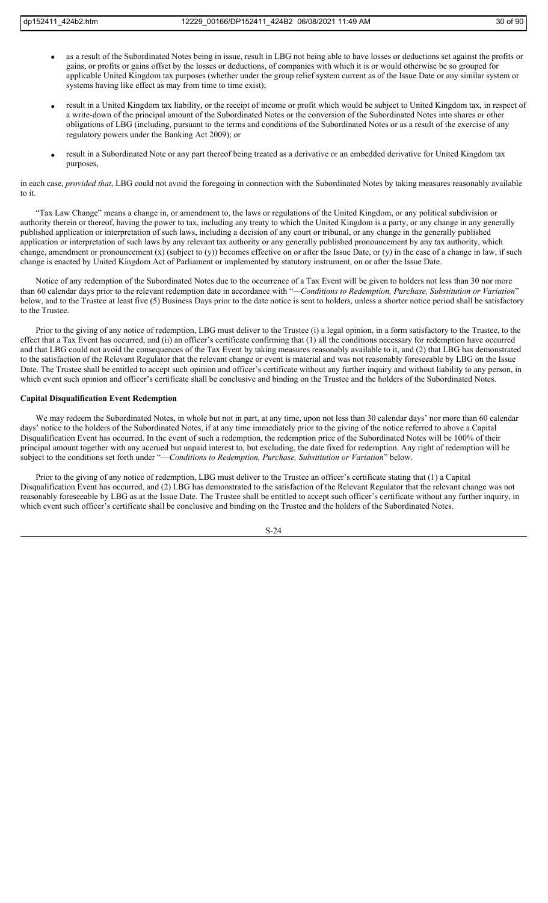- as a result of the Subordinated Notes being in issue, result in LBG not being able to have losses or deductions set against the profits or gains, or profits or gains offset by the losses or deductions, of companies with which it is or would otherwise be so grouped for applicable United Kingdom tax purposes (whether under the group relief system current as of the Issue Date or any similar system or systems having like effect as may from time to time exist);
- result in a United Kingdom tax liability, or the receipt of income or profit which would be subject to United Kingdom tax, in respect of a write-down of the principal amount of the Subordinated Notes or the conversion of the Subordinated Notes into shares or other obligations of LBG (including, pursuant to the terms and conditions of the Subordinated Notes or as a result of the exercise of any regulatory powers under the Banking Act 2009); or
- result in a Subordinated Note or any part thereof being treated as a derivative or an embedded derivative for United Kingdom tax purposes,

in each case, *provided that*, LBG could not avoid the foregoing in connection with the Subordinated Notes by taking measures reasonably available to it.

"Tax Law Change" means a change in, or amendment to, the laws or regulations of the United Kingdom, or any political subdivision or authority therein or thereof, having the power to tax, including any treaty to which the United Kingdom is a party, or any change in any generally published application or interpretation of such laws, including a decision of any court or tribunal, or any change in the generally published application or interpretation of such laws by any relevant tax authority or any generally published pronouncement by any tax authority, which change, amendment or pronouncement (x) (subject to (y)) becomes effective on or after the Issue Date, or (y) in the case of a change in law, if such change is enacted by United Kingdom Act of Parliament or implemented by statutory instrument, on or after the Issue Date.

Notice of any redemption of the Subordinated Notes due to the occurrence of a Tax Event will be given to holders not less than 30 nor more than 60 calendar days prior to the relevant redemption date in accordance with "*—Conditions to Redemption, Purchase, Substitution or Variation*" below, and to the Trustee at least five (5) Business Days prior to the date notice is sent to holders, unless a shorter notice period shall be satisfactory to the Trustee.

Prior to the giving of any notice of redemption, LBG must deliver to the Trustee (i) a legal opinion, in a form satisfactory to the Trustee, to the effect that a Tax Event has occurred, and (ii) an officer's certificate confirming that (1) all the conditions necessary for redemption have occurred and that LBG could not avoid the consequences of the Tax Event by taking measures reasonably available to it, and (2) that LBG has demonstrated to the satisfaction of the Relevant Regulator that the relevant change or event is material and was not reasonably foreseeable by LBG on the Issue Date. The Trustee shall be entitled to accept such opinion and officer's certificate without any further inquiry and without liability to any person, in which event such opinion and officer's certificate shall be conclusive and binding on the Trustee and the holders of the Subordinated Notes.

## **Capital Disqualification Event Redemption**

We may redeem the Subordinated Notes, in whole but not in part, at any time, upon not less than 30 calendar days' nor more than 60 calendar days' notice to the holders of the Subordinated Notes, if at any time immediately prior to the giving of the notice referred to above a Capital Disqualification Event has occurred. In the event of such a redemption, the redemption price of the Subordinated Notes will be 100% of their principal amount together with any accrued but unpaid interest to, but excluding, the date fixed for redemption. Any right of redemption will be subject to the conditions set forth under "—*Conditions to Redemption, Purchase, Substitution or Variation*" below.

Prior to the giving of any notice of redemption, LBG must deliver to the Trustee an officer's certificate stating that (1) a Capital Disqualification Event has occurred, and (2) LBG has demonstrated to the satisfaction of the Relevant Regulator that the relevant change was not reasonably foreseeable by LBG as at the Issue Date. The Trustee shall be entitled to accept such officer's certificate without any further inquiry, in which event such officer's certificate shall be conclusive and binding on the Trustee and the holders of the Subordinated Notes.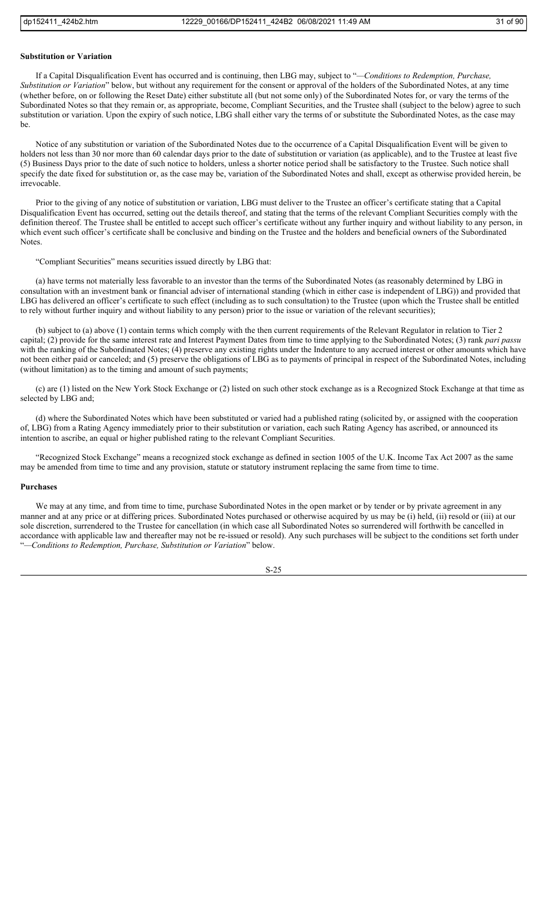#### **Substitution or Variation**

If a Capital Disqualification Event has occurred and is continuing, then LBG may, subject to "*—Conditions to Redemption, Purchase, Substitution or Variation*" below, but without any requirement for the consent or approval of the holders of the Subordinated Notes, at any time (whether before, on or following the Reset Date) either substitute all (but not some only) of the Subordinated Notes for, or vary the terms of the Subordinated Notes so that they remain or, as appropriate, become, Compliant Securities, and the Trustee shall (subject to the below) agree to such substitution or variation. Upon the expiry of such notice, LBG shall either vary the terms of or substitute the Subordinated Notes, as the case may be.

Notice of any substitution or variation of the Subordinated Notes due to the occurrence of a Capital Disqualification Event will be given to holders not less than 30 nor more than 60 calendar days prior to the date of substitution or variation (as applicable), and to the Trustee at least five (5) Business Days prior to the date of such notice to holders, unless a shorter notice period shall be satisfactory to the Trustee. Such notice shall specify the date fixed for substitution or, as the case may be, variation of the Subordinated Notes and shall, except as otherwise provided herein, be irrevocable.

Prior to the giving of any notice of substitution or variation, LBG must deliver to the Trustee an officer's certificate stating that a Capital Disqualification Event has occurred, setting out the details thereof, and stating that the terms of the relevant Compliant Securities comply with the definition thereof. The Trustee shall be entitled to accept such officer's certificate without any further inquiry and without liability to any person, in which event such officer's certificate shall be conclusive and binding on the Trustee and the holders and beneficial owners of the Subordinated Notes.

"Compliant Securities" means securities issued directly by LBG that:

(a) have terms not materially less favorable to an investor than the terms of the Subordinated Notes (as reasonably determined by LBG in consultation with an investment bank or financial adviser of international standing (which in either case is independent of LBG)) and provided that LBG has delivered an officer's certificate to such effect (including as to such consultation) to the Trustee (upon which the Trustee shall be entitled to rely without further inquiry and without liability to any person) prior to the issue or variation of the relevant securities);

(b) subject to (a) above (1) contain terms which comply with the then current requirements of the Relevant Regulator in relation to Tier 2 capital; (2) provide for the same interest rate and Interest Payment Dates from time to time applying to the Subordinated Notes; (3) rank *pari passu* with the ranking of the Subordinated Notes; (4) preserve any existing rights under the Indenture to any accrued interest or other amounts which have not been either paid or canceled; and (5) preserve the obligations of LBG as to payments of principal in respect of the Subordinated Notes, including (without limitation) as to the timing and amount of such payments;

(c) are (1) listed on the New York Stock Exchange or (2) listed on such other stock exchange as is a Recognized Stock Exchange at that time as selected by LBG and;

(d) where the Subordinated Notes which have been substituted or varied had a published rating (solicited by, or assigned with the cooperation of, LBG) from a Rating Agency immediately prior to their substitution or variation, each such Rating Agency has ascribed, or announced its intention to ascribe, an equal or higher published rating to the relevant Compliant Securities.

"Recognized Stock Exchange" means a recognized stock exchange as defined in section 1005 of the U.K. Income Tax Act 2007 as the same may be amended from time to time and any provision, statute or statutory instrument replacing the same from time to time.

#### **Purchases**

We may at any time, and from time to time, purchase Subordinated Notes in the open market or by tender or by private agreement in any manner and at any price or at differing prices. Subordinated Notes purchased or otherwise acquired by us may be (i) held, (ii) resold or (iii) at our sole discretion, surrendered to the Trustee for cancellation (in which case all Subordinated Notes so surrendered will forthwith be cancelled in accordance with applicable law and thereafter may not be re-issued or resold). Any such purchases will be subject to the conditions set forth under "*—Conditions to Redemption, Purchase, Substitution or Variation*" below.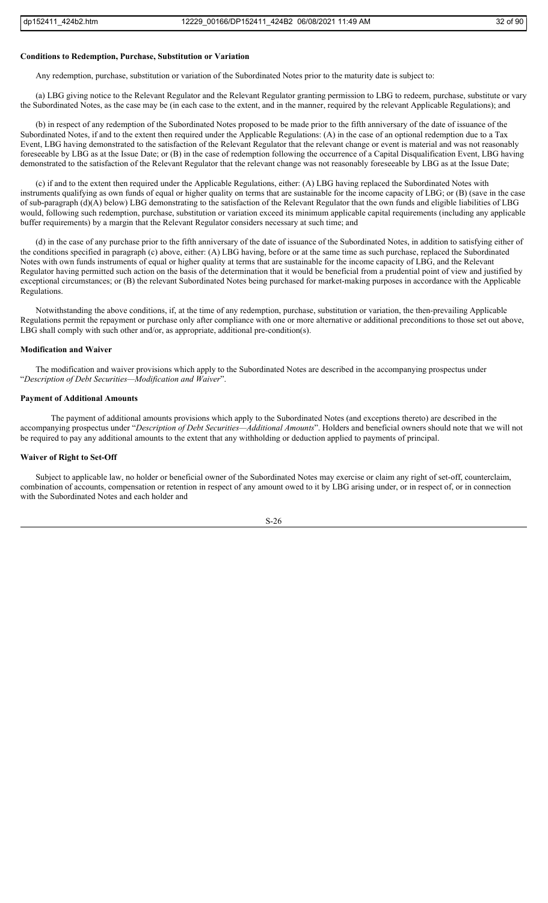#### **Conditions to Redemption, Purchase, Substitution or Variation**

Any redemption, purchase, substitution or variation of the Subordinated Notes prior to the maturity date is subject to:

(a) LBG giving notice to the Relevant Regulator and the Relevant Regulator granting permission to LBG to redeem, purchase, substitute or vary the Subordinated Notes, as the case may be (in each case to the extent, and in the manner, required by the relevant Applicable Regulations); and

(b) in respect of any redemption of the Subordinated Notes proposed to be made prior to the fifth anniversary of the date of issuance of the Subordinated Notes, if and to the extent then required under the Applicable Regulations: (A) in the case of an optional redemption due to a Tax Event, LBG having demonstrated to the satisfaction of the Relevant Regulator that the relevant change or event is material and was not reasonably foreseeable by LBG as at the Issue Date; or (B) in the case of redemption following the occurrence of a Capital Disqualification Event, LBG having demonstrated to the satisfaction of the Relevant Regulator that the relevant change was not reasonably foreseeable by LBG as at the Issue Date;

(c) if and to the extent then required under the Applicable Regulations, either: (A) LBG having replaced the Subordinated Notes with instruments qualifying as own funds of equal or higher quality on terms that are sustainable for the income capacity of LBG; or (B) (save in the case of sub-paragraph (d)(A) below) LBG demonstrating to the satisfaction of the Relevant Regulator that the own funds and eligible liabilities of LBG would, following such redemption, purchase, substitution or variation exceed its minimum applicable capital requirements (including any applicable buffer requirements) by a margin that the Relevant Regulator considers necessary at such time; and

(d) in the case of any purchase prior to the fifth anniversary of the date of issuance of the Subordinated Notes, in addition to satisfying either of the conditions specified in paragraph (c) above, either: (A) LBG having, before or at the same time as such purchase, replaced the Subordinated Notes with own funds instruments of equal or higher quality at terms that are sustainable for the income capacity of LBG, and the Relevant Regulator having permitted such action on the basis of the determination that it would be beneficial from a prudential point of view and justified by exceptional circumstances; or (B) the relevant Subordinated Notes being purchased for market-making purposes in accordance with the Applicable Regulations.

Notwithstanding the above conditions, if, at the time of any redemption, purchase, substitution or variation, the then-prevailing Applicable Regulations permit the repayment or purchase only after compliance with one or more alternative or additional preconditions to those set out above, LBG shall comply with such other and/or, as appropriate, additional pre-condition(s).

#### **Modification and Waiver**

The modification and waiver provisions which apply to the Subordinated Notes are described in the accompanying prospectus under "*Description of Debt Securities—Modification and Waiver*".

#### **Payment of Additional Amounts**

The payment of additional amounts provisions which apply to the Subordinated Notes (and exceptions thereto) are described in the accompanying prospectus under "*Description of Debt Securities—Additional Amounts*". Holders and beneficial owners should note that we will not be required to pay any additional amounts to the extent that any withholding or deduction applied to payments of principal.

## **Waiver of Right to Set-Off**

Subject to applicable law, no holder or beneficial owner of the Subordinated Notes may exercise or claim any right of set-off, counterclaim, combination of accounts, compensation or retention in respect of any amount owed to it by LBG arising under, or in respect of, or in connection with the Subordinated Notes and each holder and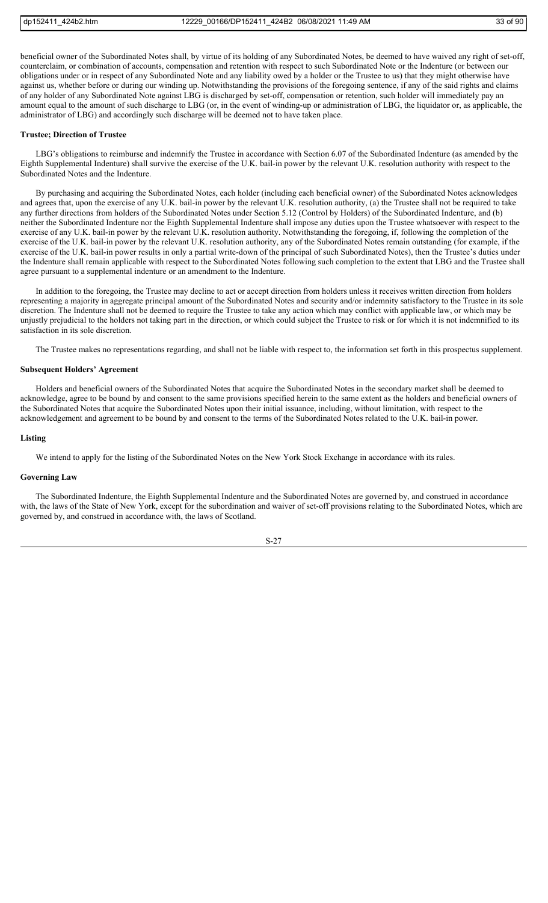beneficial owner of the Subordinated Notes shall, by virtue of its holding of any Subordinated Notes, be deemed to have waived any right of set-off, counterclaim, or combination of accounts, compensation and retention with respect to such Subordinated Note or the Indenture (or between our obligations under or in respect of any Subordinated Note and any liability owed by a holder or the Trustee to us) that they might otherwise have against us, whether before or during our winding up. Notwithstanding the provisions of the foregoing sentence, if any of the said rights and claims of any holder of any Subordinated Note against LBG is discharged by set-off, compensation or retention, such holder will immediately pay an amount equal to the amount of such discharge to LBG (or, in the event of winding-up or administration of LBG, the liquidator or, as applicable, the administrator of LBG) and accordingly such discharge will be deemed not to have taken place.

#### **Trustee; Direction of Trustee**

LBG's obligations to reimburse and indemnify the Trustee in accordance with Section 6.07 of the Subordinated Indenture (as amended by the Eighth Supplemental Indenture) shall survive the exercise of the U.K. bail-in power by the relevant U.K. resolution authority with respect to the Subordinated Notes and the Indenture.

By purchasing and acquiring the Subordinated Notes, each holder (including each beneficial owner) of the Subordinated Notes acknowledges and agrees that, upon the exercise of any U.K. bail-in power by the relevant U.K. resolution authority, (a) the Trustee shall not be required to take any further directions from holders of the Subordinated Notes under Section 5.12 (Control by Holders) of the Subordinated Indenture, and (b) neither the Subordinated Indenture nor the Eighth Supplemental Indenture shall impose any duties upon the Trustee whatsoever with respect to the exercise of any U.K. bail-in power by the relevant U.K. resolution authority. Notwithstanding the foregoing, if, following the completion of the exercise of the U.K. bail-in power by the relevant U.K. resolution authority, any of the Subordinated Notes remain outstanding (for example, if the exercise of the U.K. bail-in power results in only a partial write-down of the principal of such Subordinated Notes), then the Trustee's duties under the Indenture shall remain applicable with respect to the Subordinated Notes following such completion to the extent that LBG and the Trustee shall agree pursuant to a supplemental indenture or an amendment to the Indenture.

In addition to the foregoing, the Trustee may decline to act or accept direction from holders unless it receives written direction from holders representing a majority in aggregate principal amount of the Subordinated Notes and security and/or indemnity satisfactory to the Trustee in its sole discretion. The Indenture shall not be deemed to require the Trustee to take any action which may conflict with applicable law, or which may be unjustly prejudicial to the holders not taking part in the direction, or which could subject the Trustee to risk or for which it is not indemnified to its satisfaction in its sole discretion.

The Trustee makes no representations regarding, and shall not be liable with respect to, the information set forth in this prospectus supplement.

## **Subsequent Holders' Agreement**

Holders and beneficial owners of the Subordinated Notes that acquire the Subordinated Notes in the secondary market shall be deemed to acknowledge, agree to be bound by and consent to the same provisions specified herein to the same extent as the holders and beneficial owners of the Subordinated Notes that acquire the Subordinated Notes upon their initial issuance, including, without limitation, with respect to the acknowledgement and agreement to be bound by and consent to the terms of the Subordinated Notes related to the U.K. bail-in power.

#### **Listing**

We intend to apply for the listing of the Subordinated Notes on the New York Stock Exchange in accordance with its rules.

#### **Governing Law**

The Subordinated Indenture, the Eighth Supplemental Indenture and the Subordinated Notes are governed by, and construed in accordance with, the laws of the State of New York, except for the subordination and waiver of set-off provisions relating to the Subordinated Notes, which are governed by, and construed in accordance with, the laws of Scotland.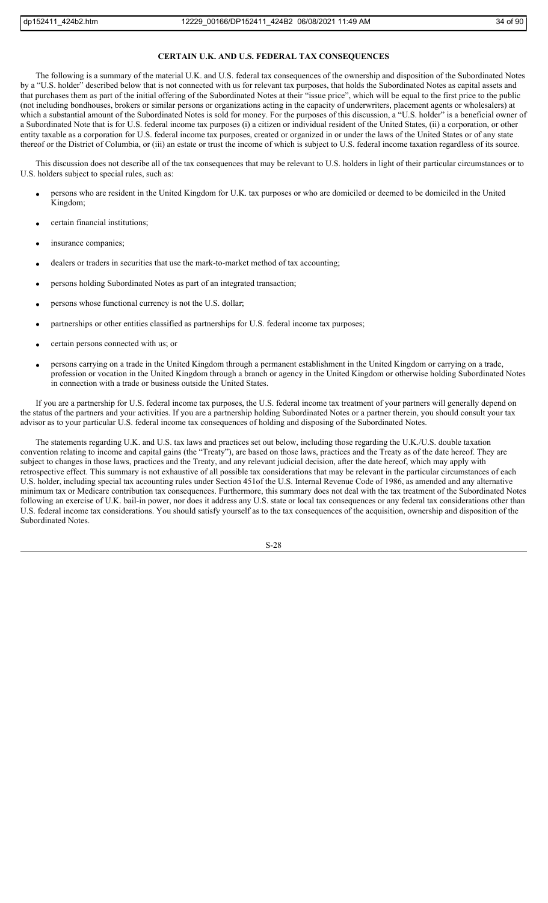## **CERTAIN U.K. AND U.S. FEDERAL TAX CONSEQUENCES**

The following is a summary of the material U.K. and U.S. federal tax consequences of the ownership and disposition of the Subordinated Notes by a "U.S. holder" described below that is not connected with us for relevant tax purposes, that holds the Subordinated Notes as capital assets and that purchases them as part of the initial offering of the Subordinated Notes at their "issue price", which will be equal to the first price to the public (not including bondhouses, brokers or similar persons or organizations acting in the capacity of underwriters, placement agents or wholesalers) at which a substantial amount of the Subordinated Notes is sold for money. For the purposes of this discussion, a "U.S. holder" is a beneficial owner of a Subordinated Note that is for U.S. federal income tax purposes (i) a citizen or individual resident of the United States, (ii) a corporation, or other entity taxable as a corporation for U.S. federal income tax purposes, created or organized in or under the laws of the United States or of any state thereof or the District of Columbia, or (iii) an estate or trust the income of which is subject to U.S. federal income taxation regardless of its source.

This discussion does not describe all of the tax consequences that may be relevant to U.S. holders in light of their particular circumstances or to U.S. holders subject to special rules, such as:

- persons who are resident in the United Kingdom for U.K. tax purposes or who are domiciled or deemed to be domiciled in the United Kingdom;
- certain financial institutions;
- insurance companies;
- dealers or traders in securities that use the mark-to-market method of tax accounting;
- persons holding Subordinated Notes as part of an integrated transaction;
- persons whose functional currency is not the U.S. dollar;
- partnerships or other entities classified as partnerships for U.S. federal income tax purposes;
- certain persons connected with us; or
- persons carrying on a trade in the United Kingdom through a permanent establishment in the United Kingdom or carrying on a trade, profession or vocation in the United Kingdom through a branch or agency in the United Kingdom or otherwise holding Subordinated Notes in connection with a trade or business outside the United States.

If you are a partnership for U.S. federal income tax purposes, the U.S. federal income tax treatment of your partners will generally depend on the status of the partners and your activities. If you are a partnership holding Subordinated Notes or a partner therein, you should consult your tax advisor as to your particular U.S. federal income tax consequences of holding and disposing of the Subordinated Notes.

The statements regarding U.K. and U.S. tax laws and practices set out below, including those regarding the U.K./U.S. double taxation convention relating to income and capital gains (the "Treaty"), are based on those laws, practices and the Treaty as of the date hereof. They are subject to changes in those laws, practices and the Treaty, and any relevant judicial decision, after the date hereof, which may apply with retrospective effect. This summary is not exhaustive of all possible tax considerations that may be relevant in the particular circumstances of each U.S. holder, including special tax accounting rules under Section 451of the U.S. Internal Revenue Code of 1986, as amended and any alternative minimum tax or Medicare contribution tax consequences. Furthermore, this summary does not deal with the tax treatment of the Subordinated Notes following an exercise of U.K. bail-in power, nor does it address any U.S. state or local tax consequences or any federal tax considerations other than U.S. federal income tax considerations. You should satisfy yourself as to the tax consequences of the acquisition, ownership and disposition of the Subordinated Notes.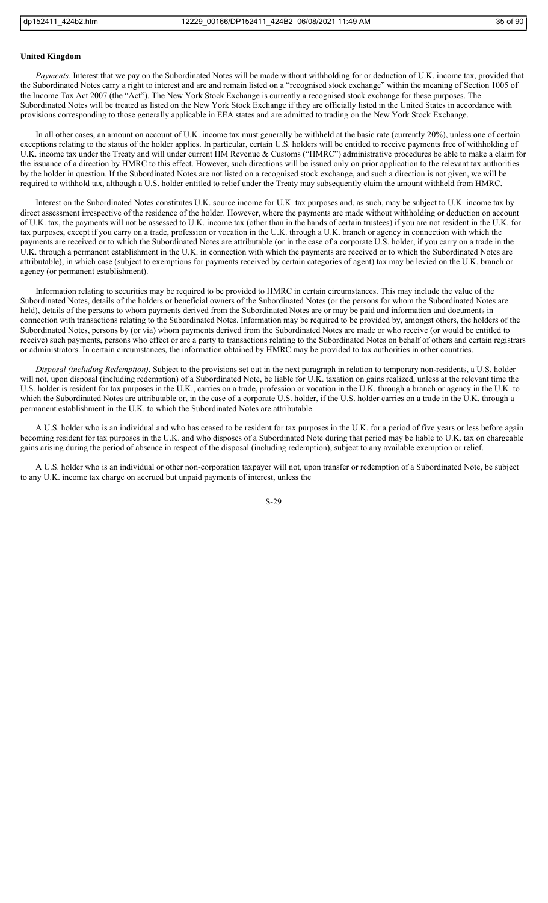#### **United Kingdom**

*Payments*. Interest that we pay on the Subordinated Notes will be made without withholding for or deduction of U.K. income tax, provided that the Subordinated Notes carry a right to interest and are and remain listed on a "recognised stock exchange" within the meaning of Section 1005 of the Income Tax Act 2007 (the "Act"). The New York Stock Exchange is currently a recognised stock exchange for these purposes. The Subordinated Notes will be treated as listed on the New York Stock Exchange if they are officially listed in the United States in accordance with provisions corresponding to those generally applicable in EEA states and are admitted to trading on the New York Stock Exchange.

In all other cases, an amount on account of U.K. income tax must generally be withheld at the basic rate (currently 20%), unless one of certain exceptions relating to the status of the holder applies. In particular, certain U.S. holders will be entitled to receive payments free of withholding of U.K. income tax under the Treaty and will under current HM Revenue & Customs ("HMRC") administrative procedures be able to make a claim for the issuance of a direction by HMRC to this effect. However, such directions will be issued only on prior application to the relevant tax authorities by the holder in question. If the Subordinated Notes are not listed on a recognised stock exchange, and such a direction is not given, we will be required to withhold tax, although a U.S. holder entitled to relief under the Treaty may subsequently claim the amount withheld from HMRC.

Interest on the Subordinated Notes constitutes U.K. source income for U.K. tax purposes and, as such, may be subject to U.K. income tax by direct assessment irrespective of the residence of the holder. However, where the payments are made without withholding or deduction on account of U.K. tax, the payments will not be assessed to U.K. income tax (other than in the hands of certain trustees) if you are not resident in the U.K. for tax purposes, except if you carry on a trade, profession or vocation in the U.K. through a U.K. branch or agency in connection with which the payments are received or to which the Subordinated Notes are attributable (or in the case of a corporate U.S. holder, if you carry on a trade in the U.K. through a permanent establishment in the U.K. in connection with which the payments are received or to which the Subordinated Notes are attributable), in which case (subject to exemptions for payments received by certain categories of agent) tax may be levied on the U.K. branch or agency (or permanent establishment).

Information relating to securities may be required to be provided to HMRC in certain circumstances. This may include the value of the Subordinated Notes, details of the holders or beneficial owners of the Subordinated Notes (or the persons for whom the Subordinated Notes are held), details of the persons to whom payments derived from the Subordinated Notes are or may be paid and information and documents in connection with transactions relating to the Subordinated Notes. Information may be required to be provided by, amongst others, the holders of the Subordinated Notes, persons by (or via) whom payments derived from the Subordinated Notes are made or who receive (or would be entitled to receive) such payments, persons who effect or are a party to transactions relating to the Subordinated Notes on behalf of others and certain registrars or administrators. In certain circumstances, the information obtained by HMRC may be provided to tax authorities in other countries.

*Disposal (including Redemption)*. Subject to the provisions set out in the next paragraph in relation to temporary non-residents, a U.S. holder will not, upon disposal (including redemption) of a Subordinated Note, be liable for U.K. taxation on gains realized, unless at the relevant time the U.S. holder is resident for tax purposes in the U.K., carries on a trade, profession or vocation in the U.K. through a branch or agency in the U.K. to which the Subordinated Notes are attributable or, in the case of a corporate U.S. holder, if the U.S. holder carries on a trade in the U.K. through a permanent establishment in the U.K. to which the Subordinated Notes are attributable.

A U.S. holder who is an individual and who has ceased to be resident for tax purposes in the U.K. for a period of five years or less before again becoming resident for tax purposes in the U.K. and who disposes of a Subordinated Note during that period may be liable to U.K. tax on chargeable gains arising during the period of absence in respect of the disposal (including redemption), subject to any available exemption or relief.

A U.S. holder who is an individual or other non-corporation taxpayer will not, upon transfer or redemption of a Subordinated Note, be subject to any U.K. income tax charge on accrued but unpaid payments of interest, unless the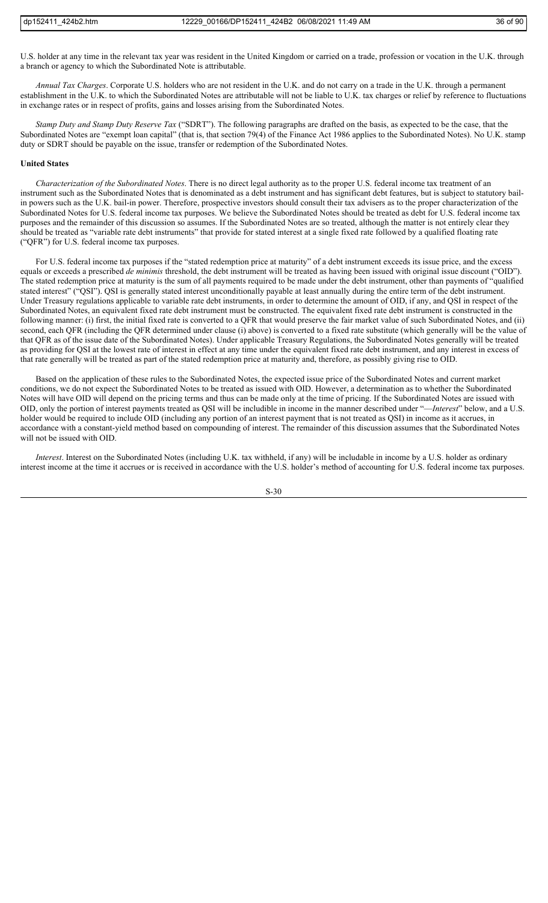U.S. holder at any time in the relevant tax year was resident in the United Kingdom or carried on a trade, profession or vocation in the U.K. through a branch or agency to which the Subordinated Note is attributable.

*Annual Tax Charges*. Corporate U.S. holders who are not resident in the U.K. and do not carry on a trade in the U.K. through a permanent establishment in the U.K. to which the Subordinated Notes are attributable will not be liable to U.K. tax charges or relief by reference to fluctuations in exchange rates or in respect of profits, gains and losses arising from the Subordinated Notes.

*Stamp Duty and Stamp Duty Reserve Tax* ("SDRT"). The following paragraphs are drafted on the basis, as expected to be the case, that the Subordinated Notes are "exempt loan capital" (that is, that section 79(4) of the Finance Act 1986 applies to the Subordinated Notes). No U.K. stamp duty or SDRT should be payable on the issue, transfer or redemption of the Subordinated Notes.

# **United States**

*Characterization of the Subordinated Notes*. There is no direct legal authority as to the proper U.S. federal income tax treatment of an instrument such as the Subordinated Notes that is denominated as a debt instrument and has significant debt features, but is subject to statutory bailin powers such as the U.K. bail-in power. Therefore, prospective investors should consult their tax advisers as to the proper characterization of the Subordinated Notes for U.S. federal income tax purposes. We believe the Subordinated Notes should be treated as debt for U.S. federal income tax purposes and the remainder of this discussion so assumes. If the Subordinated Notes are so treated, although the matter is not entirely clear they should be treated as "variable rate debt instruments" that provide for stated interest at a single fixed rate followed by a qualified floating rate ("QFR") for U.S. federal income tax purposes.

For U.S. federal income tax purposes if the "stated redemption price at maturity" of a debt instrument exceeds its issue price, and the excess equals or exceeds a prescribed *de minimis* threshold, the debt instrument will be treated as having been issued with original issue discount ("OID" The stated redemption price at maturity is the sum of all payments required to be made under the debt instrument, other than payments of "qualified stated interest" ("QSI"). QSI is generally stated interest unconditionally payable at least annually during the entire term of the debt instrument. Under Treasury regulations applicable to variable rate debt instruments, in order to determine the amount of OID, if any, and QSI in respect of the Subordinated Notes, an equivalent fixed rate debt instrument must be constructed. The equivalent fixed rate debt instrument is constructed in the following manner: (i) first, the initial fixed rate is converted to a QFR that would preserve the fair market value of such Subordinated Notes, and (ii) second, each QFR (including the QFR determined under clause (i) above) is converted to a fixed rate substitute (which generally will be the value of that QFR as of the issue date of the Subordinated Notes). Under applicable Treasury Regulations, the Subordinated Notes generally will be treated as providing for QSI at the lowest rate of interest in effect at any time under the equivalent fixed rate debt instrument, and any interest in excess of that rate generally will be treated as part of the stated redemption price at maturity and, therefore, as possibly giving rise to OID.

Based on the application of these rules to the Subordinated Notes, the expected issue price of the Subordinated Notes and current market conditions, we do not expect the Subordinated Notes to be treated as issued with OID. However, a determination as to whether the Subordinated Notes will have OID will depend on the pricing terms and thus can be made only at the time of pricing. If the Subordinated Notes are issued with OID, only the portion of interest payments treated as QSI will be includible in income in the manner described under "—*Interest*" below, and a U.S. holder would be required to include OID (including any portion of an interest payment that is not treated as QSI) in income as it accrues, in accordance with a constant-yield method based on compounding of interest. The remainder of this discussion assumes that the Subordinated Notes will not be issued with OID.

*Interest*. Interest on the Subordinated Notes (including U.K. tax withheld, if any) will be includable in income by a U.S. holder as ordinary interest income at the time it accrues or is received in accordance with the U.S. holder's method of accounting for U.S. federal income tax purposes.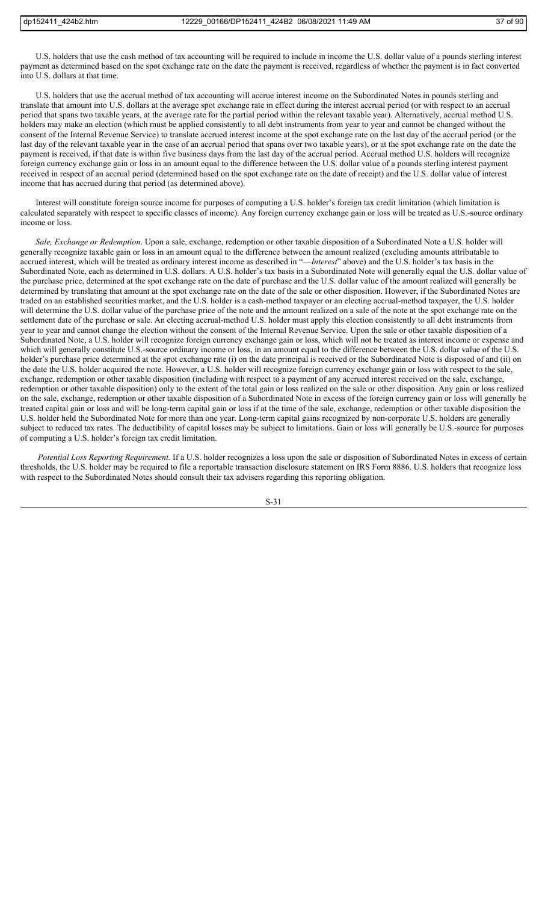U.S. holders that use the cash method of tax accounting will be required to include in income the U.S. dollar value of a pounds sterling interest payment as determined based on the spot exchange rate on the date the payment is received, regardless of whether the payment is in fact converted into U.S. dollars at that time.

U.S. holders that use the accrual method of tax accounting will accrue interest income on the Subordinated Notes in pounds sterling and translate that amount into U.S. dollars at the average spot exchange rate in effect during the interest accrual period (or with respect to an accrual period that spans two taxable years, at the average rate for the partial period within the relevant taxable year). Alternatively, accrual method U.S. holders may make an election (which must be applied consistently to all debt instruments from year to year and cannot be changed without the consent of the Internal Revenue Service) to translate accrued interest income at the spot exchange rate on the last day of the accrual period (or the last day of the relevant taxable year in the case of an accrual period that spans over two taxable years), or at the spot exchange rate on the date the payment is received, if that date is within five business days from the last day of the accrual period. Accrual method U.S. holders will recognize foreign currency exchange gain or loss in an amount equal to the difference between the U.S. dollar value of a pounds sterling interest payment received in respect of an accrual period (determined based on the spot exchange rate on the date of receipt) and the U.S. dollar value of interest income that has accrued during that period (as determined above).

Interest will constitute foreign source income for purposes of computing a U.S. holder's foreign tax credit limitation (which limitation is calculated separately with respect to specific classes of income). Any foreign currency exchange gain or loss will be treated as U.S.-source ordinary income or loss.

*Sale, Exchange or Redemption*. Upon a sale, exchange, redemption or other taxable disposition of a Subordinated Note a U.S. holder will generally recognize taxable gain or loss in an amount equal to the difference between the amount realized (excluding amounts attributable to accrued interest, which will be treated as ordinary interest income as described in "—*Interest*" above) and the U.S. holder's tax basis in the Subordinated Note, each as determined in U.S. dollars. A U.S. holder's tax basis in a Subordinated Note will generally equal the U.S. dollar value of the purchase price, determined at the spot exchange rate on the date of purchase and the U.S. dollar value of the amount realized will generally be determined by translating that amount at the spot exchange rate on the date of the sale or other disposition. However, if the Subordinated Notes are traded on an established securities market, and the U.S. holder is a cash-method taxpayer or an electing accrual-method taxpayer, the U.S. holder will determine the U.S. dollar value of the purchase price of the note and the amount realized on a sale of the note at the spot exchange rate on the settlement date of the purchase or sale. An electing accrual-method U.S. holder must apply this election consistently to all debt instruments from year to year and cannot change the election without the consent of the Internal Revenue Service. Upon the sale or other taxable disposition of a Subordinated Note, a U.S. holder will recognize foreign currency exchange gain or loss, which will not be treated as interest income or expense and which will generally constitute U.S.-source ordinary income or loss, in an amount equal to the difference between the U.S. dollar value of the U.S. holder's purchase price determined at the spot exchange rate (i) on the date principal is received or the Subordinated Note is disposed of and (ii) on the date the U.S. holder acquired the note. However, a U.S. holder will recognize foreign currency exchange gain or loss with respect to the sale, exchange, redemption or other taxable disposition (including with respect to a payment of any accrued interest received on the sale, exchange, redemption or other taxable disposition) only to the extent of the total gain or loss realized on the sale or other disposition. Any gain or loss realized on the sale, exchange, redemption or other taxable disposition of a Subordinated Note in excess of the foreign currency gain or loss will generally be treated capital gain or loss and will be long-term capital gain or loss if at the time of the sale, exchange, redemption or other taxable disposition the U.S. holder held the Subordinated Note for more than one year. Long-term capital gains recognized by non-corporate U.S. holders are generally subject to reduced tax rates. The deductibility of capital losses may be subject to limitations. Gain or loss will generally be U.S.-source for purposes of computing a U.S. holder's foreign tax credit limitation.

*Potential Loss Reporting Requirement.* If a U.S. holder recognizes a loss upon the sale or disposition of Subordinated Notes in excess of certain thresholds, the U.S. holder may be required to file a reportable transaction disclosure statement on IRS Form 8886. U.S. holders that recognize loss with respect to the Subordinated Notes should consult their tax advisers regarding this reporting obligation.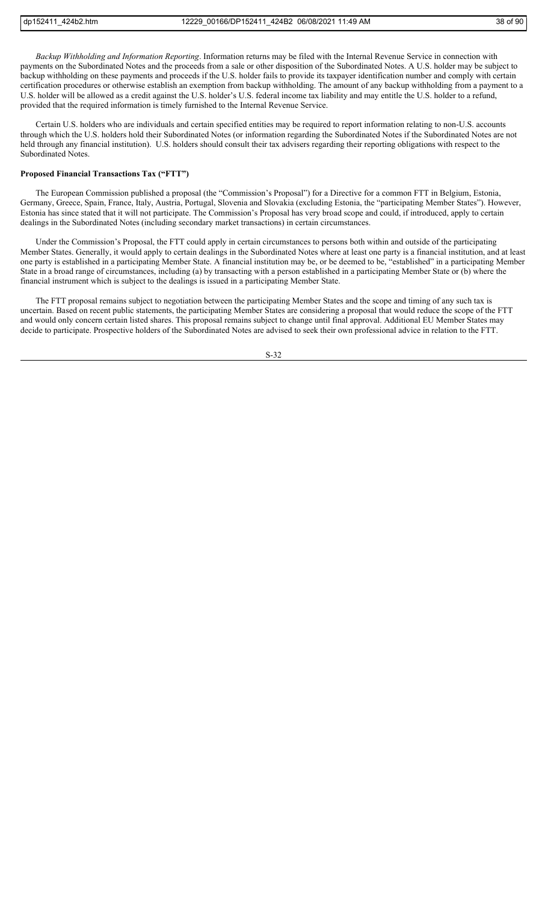*Backup Withholding and Information Reporting*. Information returns may be filed with the Internal Revenue Service in connection with payments on the Subordinated Notes and the proceeds from a sale or other disposition of the Subordinated Notes. A U.S. holder may be subject to backup withholding on these payments and proceeds if the U.S. holder fails to provide its taxpayer identification number and comply with certain certification procedures or otherwise establish an exemption from backup withholding. The amount of any backup withholding from a payment to a U.S. holder will be allowed as a credit against the U.S. holder's U.S. federal income tax liability and may entitle the U.S. holder to a refund, provided that the required information is timely furnished to the Internal Revenue Service.

Certain U.S. holders who are individuals and certain specified entities may be required to report information relating to non-U.S. accounts through which the U.S. holders hold their Subordinated Notes (or information regarding the Subordinated Notes if the Subordinated Notes are not held through any financial institution). U.S. holders should consult their tax advisers regarding their reporting obligations with respect to the Subordinated Notes.

# **Proposed Financial Transactions Tax ("FTT")**

The European Commission published a proposal (the "Commission's Proposal") for a Directive for a common FTT in Belgium, Estonia, Germany, Greece, Spain, France, Italy, Austria, Portugal, Slovenia and Slovakia (excluding Estonia, the "participating Member States"). However, Estonia has since stated that it will not participate. The Commission's Proposal has very broad scope and could, if introduced, apply to certain dealings in the Subordinated Notes (including secondary market transactions) in certain circumstances.

Under the Commission's Proposal, the FTT could apply in certain circumstances to persons both within and outside of the participating Member States. Generally, it would apply to certain dealings in the Subordinated Notes where at least one party is a financial institution, and at least one party is established in a participating Member State. A financial institution may be, or be deemed to be, "established" in a participating Member State in a broad range of circumstances, including (a) by transacting with a person established in a participating Member State or (b) where the financial instrument which is subject to the dealings is issued in a participating Member State.

The FTT proposal remains subject to negotiation between the participating Member States and the scope and timing of any such tax is uncertain. Based on recent public statements, the participating Member States are considering a proposal that would reduce the scope of the FTT and would only concern certain listed shares. This proposal remains subject to change until final approval. Additional EU Member States may decide to participate. Prospective holders of the Subordinated Notes are advised to seek their own professional advice in relation to the FTT.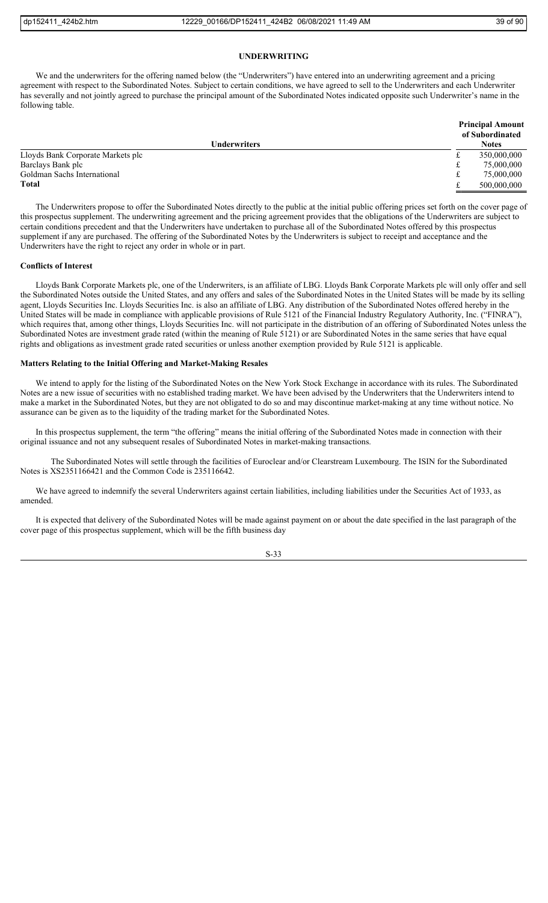# **UNDERWRITING**

We and the underwriters for the offering named below (the "Underwriters") have entered into an underwriting agreement and a pricing agreement with respect to the Subordinated Notes. Subject to certain conditions, we have agreed to sell to the Underwriters and each Underwriter has severally and not jointly agreed to purchase the principal amount of the Subordinated Notes indicated opposite such Underwriter's name in the following table.

|                                   | <b>Principal Amount</b><br>of Subordinated |              |
|-----------------------------------|--------------------------------------------|--------------|
| Underwriters                      |                                            | <b>Notes</b> |
| Lloyds Bank Corporate Markets plc | ىل                                         | 350,000,000  |
| Barclays Bank plc                 | t                                          | 75,000,000   |
| Goldman Sachs International       | t                                          | 75,000,000   |
| <b>Total</b>                      | ىم                                         | 500,000,000  |

The Underwriters propose to offer the Subordinated Notes directly to the public at the initial public offering prices set forth on the cover page of this prospectus supplement. The underwriting agreement and the pricing agreement provides that the obligations of the Underwriters are subject to certain conditions precedent and that the Underwriters have undertaken to purchase all of the Subordinated Notes offered by this prospectus supplement if any are purchased. The offering of the Subordinated Notes by the Underwriters is subject to receipt and acceptance and the Underwriters have the right to reject any order in whole or in part.

# **Conflicts of Interest**

Lloyds Bank Corporate Markets plc, one of the Underwriters, is an affiliate of LBG. Lloyds Bank Corporate Markets plc will only offer and sell the Subordinated Notes outside the United States, and any offers and sales of the Subordinated Notes in the United States will be made by its selling agent, Lloyds Securities Inc. Lloyds Securities Inc. is also an affiliate of LBG. Any distribution of the Subordinated Notes offered hereby in the United States will be made in compliance with applicable provisions of Rule 5121 of the Financial Industry Regulatory Authority, Inc. ("FINRA"), which requires that, among other things, Lloyds Securities Inc. will not participate in the distribution of an offering of Subordinated Notes unless the Subordinated Notes are investment grade rated (within the meaning of Rule 5121) or are Subordinated Notes in the same series that have equal rights and obligations as investment grade rated securities or unless another exemption provided by Rule 5121 is applicable.

# **Matters Relating to the Initial Offering and Market-Making Resales**

We intend to apply for the listing of the Subordinated Notes on the New York Stock Exchange in accordance with its rules. The Subordinated Notes are a new issue of securities with no established trading market. We have been advised by the Underwriters that the Underwriters intend to make a market in the Subordinated Notes, but they are not obligated to do so and may discontinue market-making at any time without notice. No assurance can be given as to the liquidity of the trading market for the Subordinated Notes.

In this prospectus supplement, the term "the offering" means the initial offering of the Subordinated Notes made in connection with their original issuance and not any subsequent resales of Subordinated Notes in market-making transactions.

The Subordinated Notes will settle through the facilities of Euroclear and/or Clearstream Luxembourg. The ISIN for the Subordinated Notes is XS2351166421 and the Common Code is 235116642.

We have agreed to indemnify the several Underwriters against certain liabilities, including liabilities under the Securities Act of 1933, as amended.

It is expected that delivery of the Subordinated Notes will be made against payment on or about the date specified in the last paragraph of the cover page of this prospectus supplement, which will be the fifth business day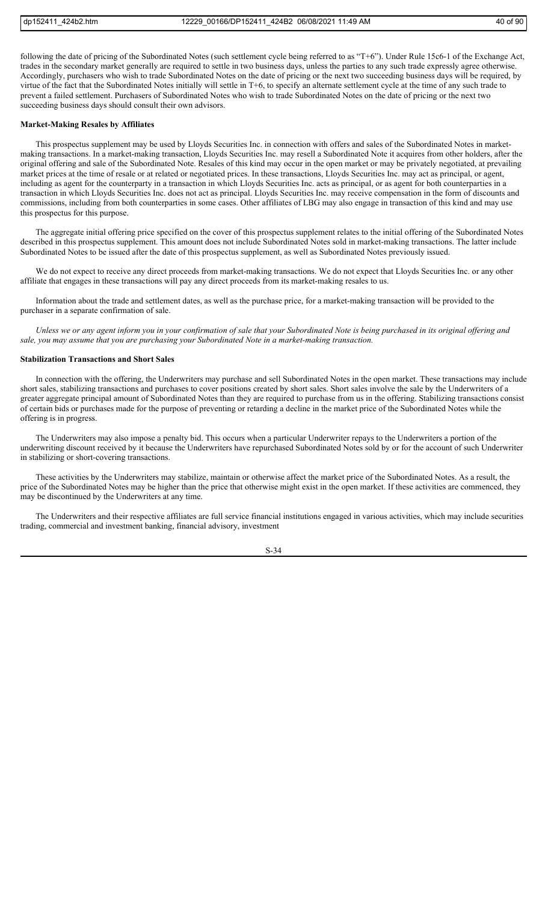following the date of pricing of the Subordinated Notes (such settlement cycle being referred to as "T+6"). Under Rule 15c6-1 of the Exchange Act, trades in the secondary market generally are required to settle in two business days, unless the parties to any such trade expressly agree otherwise. Accordingly, purchasers who wish to trade Subordinated Notes on the date of pricing or the next two succeeding business days will be required, by virtue of the fact that the Subordinated Notes initially will settle in T+6, to specify an alternate settlement cycle at the time of any such trade to prevent a failed settlement. Purchasers of Subordinated Notes who wish to trade Subordinated Notes on the date of pricing or the next two succeeding business days should consult their own advisors.

#### **Market-Making Resales by Affiliates**

This prospectus supplement may be used by Lloyds Securities Inc. in connection with offers and sales of the Subordinated Notes in marketmaking transactions. In a market-making transaction, Lloyds Securities Inc. may resell a Subordinated Note it acquires from other holders, after the original offering and sale of the Subordinated Note. Resales of this kind may occur in the open market or may be privately negotiated, at prevailing market prices at the time of resale or at related or negotiated prices. In these transactions, Lloyds Securities Inc. may act as principal, or agent, including as agent for the counterparty in a transaction in which Lloyds Securities Inc. acts as principal, or as agent for both counterparties in a transaction in which Lloyds Securities Inc. does not act as principal. Lloyds Securities Inc. may receive compensation in the form of discounts and commissions, including from both counterparties in some cases. Other affiliates of LBG may also engage in transaction of this kind and may use this prospectus for this purpose.

The aggregate initial offering price specified on the cover of this prospectus supplement relates to the initial offering of the Subordinated Notes described in this prospectus supplement. This amount does not include Subordinated Notes sold in market-making transactions. The latter include Subordinated Notes to be issued after the date of this prospectus supplement, as well as Subordinated Notes previously issued.

We do not expect to receive any direct proceeds from market-making transactions. We do not expect that Lloyds Securities Inc. or any other affiliate that engages in these transactions will pay any direct proceeds from its market-making resales to us.

Information about the trade and settlement dates, as well as the purchase price, for a market-making transaction will be provided to the purchaser in a separate confirmation of sale.

*Unless we or any agent inform you in your confirmation of sale that your Subordinated Note is being purchased in its original offering and sale, you may assume that you are purchasing your Subordinated Note in a market-making transaction.*

# **Stabilization Transactions and Short Sales**

In connection with the offering, the Underwriters may purchase and sell Subordinated Notes in the open market. These transactions may include short sales, stabilizing transactions and purchases to cover positions created by short sales. Short sales involve the sale by the Underwriters of a greater aggregate principal amount of Subordinated Notes than they are required to purchase from us in the offering. Stabilizing transactions consist of certain bids or purchases made for the purpose of preventing or retarding a decline in the market price of the Subordinated Notes while the offering is in progress.

The Underwriters may also impose a penalty bid. This occurs when a particular Underwriter repays to the Underwriters a portion of the underwriting discount received by it because the Underwriters have repurchased Subordinated Notes sold by or for the account of such Underwriter in stabilizing or short-covering transactions.

These activities by the Underwriters may stabilize, maintain or otherwise affect the market price of the Subordinated Notes. As a result, the price of the Subordinated Notes may be higher than the price that otherwise might exist in the open market. If these activities are commenced, they may be discontinued by the Underwriters at any time.

The Underwriters and their respective affiliates are full service financial institutions engaged in various activities, which may include securities trading, commercial and investment banking, financial advisory, investment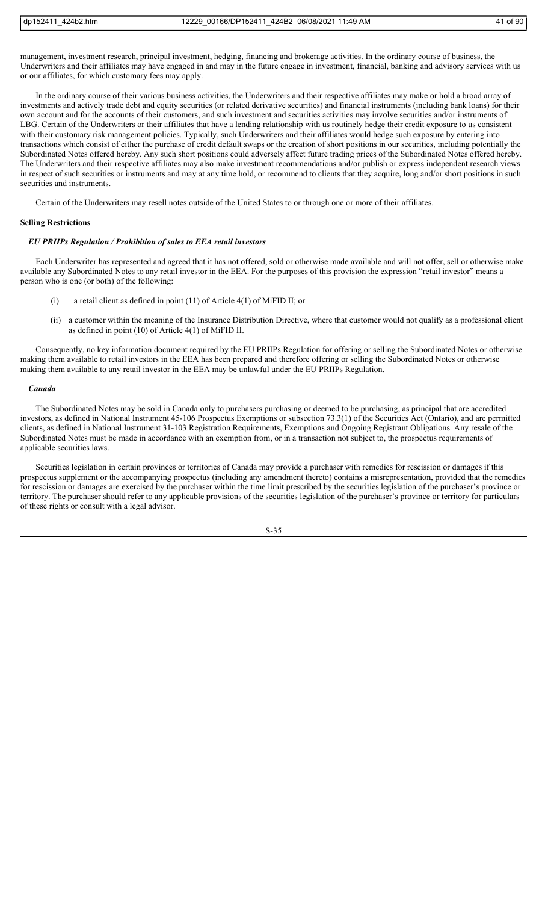management, investment research, principal investment, hedging, financing and brokerage activities. In the ordinary course of business, the Underwriters and their affiliates may have engaged in and may in the future engage in investment, financial, banking and advisory services with us or our affiliates, for which customary fees may apply.

In the ordinary course of their various business activities, the Underwriters and their respective affiliates may make or hold a broad array of investments and actively trade debt and equity securities (or related derivative securities) and financial instruments (including bank loans) for their own account and for the accounts of their customers, and such investment and securities activities may involve securities and/or instruments of LBG. Certain of the Underwriters or their affiliates that have a lending relationship with us routinely hedge their credit exposure to us consistent with their customary risk management policies. Typically, such Underwriters and their affiliates would hedge such exposure by entering into transactions which consist of either the purchase of credit default swaps or the creation of short positions in our securities, including potentially the Subordinated Notes offered hereby. Any such short positions could adversely affect future trading prices of the Subordinated Notes offered hereby. The Underwriters and their respective affiliates may also make investment recommendations and/or publish or express independent research views in respect of such securities or instruments and may at any time hold, or recommend to clients that they acquire, long and/or short positions in such securities and instruments.

Certain of the Underwriters may resell notes outside of the United States to or through one or more of their affiliates.

#### **Selling Restrictions**

#### *EU PRIIPs Regulation / Prohibition of sales to EEA retail investors*

Each Underwriter has represented and agreed that it has not offered, sold or otherwise made available and will not offer, sell or otherwise make available any Subordinated Notes to any retail investor in the EEA. For the purposes of this provision the expression "retail investor" means a person who is one (or both) of the following:

- (i) a retail client as defined in point (11) of Article 4(1) of MiFID II; or
- (ii) a customer within the meaning of the Insurance Distribution Directive, where that customer would not qualify as a professional client as defined in point (10) of Article 4(1) of MiFID II.

Consequently, no key information document required by the EU PRIIPs Regulation for offering or selling the Subordinated Notes or otherwise making them available to retail investors in the EEA has been prepared and therefore offering or selling the Subordinated Notes or otherwise making them available to any retail investor in the EEA may be unlawful under the EU PRIIPs Regulation.

#### *Canada*

The Subordinated Notes may be sold in Canada only to purchasers purchasing or deemed to be purchasing, as principal that are accredited investors, as defined in National Instrument 45-106 Prospectus Exemptions or subsection 73.3(1) of the Securities Act (Ontario), and are permitted clients, as defined in National Instrument 31-103 Registration Requirements, Exemptions and Ongoing Registrant Obligations. Any resale of the Subordinated Notes must be made in accordance with an exemption from, or in a transaction not subject to, the prospectus requirements of applicable securities laws.

Securities legislation in certain provinces or territories of Canada may provide a purchaser with remedies for rescission or damages if this prospectus supplement or the accompanying prospectus (including any amendment thereto) contains a misrepresentation, provided that the remedies for rescission or damages are exercised by the purchaser within the time limit prescribed by the securities legislation of the purchaser's province or territory. The purchaser should refer to any applicable provisions of the securities legislation of the purchaser's province or territory for particulars of these rights or consult with a legal advisor.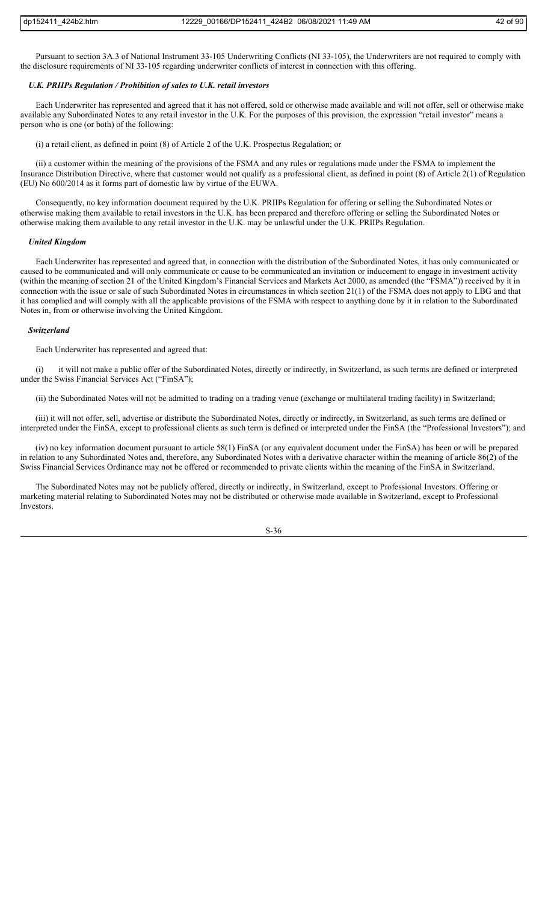Pursuant to section 3A.3 of National Instrument 33-105 Underwriting Conflicts (NI 33-105), the Underwriters are not required to comply with the disclosure requirements of NI 33-105 regarding underwriter conflicts of interest in connection with this offering.

#### *U.K. PRIIPs Regulation / Prohibition of sales to U.K. retail investors*

Each Underwriter has represented and agreed that it has not offered, sold or otherwise made available and will not offer, sell or otherwise make available any Subordinated Notes to any retail investor in the U.K. For the purposes of this provision, the expression "retail investor" means a person who is one (or both) of the following:

(i) a retail client, as defined in point (8) of Article 2 of the U.K. Prospectus Regulation; or

(ii) a customer within the meaning of the provisions of the FSMA and any rules or regulations made under the FSMA to implement the Insurance Distribution Directive, where that customer would not qualify as a professional client, as defined in point (8) of Article 2(1) of Regulation (EU) No 600/2014 as it forms part of domestic law by virtue of the EUWA.

Consequently, no key information document required by the U.K. PRIIPs Regulation for offering or selling the Subordinated Notes or otherwise making them available to retail investors in the U.K. has been prepared and therefore offering or selling the Subordinated Notes or otherwise making them available to any retail investor in the U.K. may be unlawful under the U.K. PRIIPs Regulation.

#### *United Kingdom*

Each Underwriter has represented and agreed that, in connection with the distribution of the Subordinated Notes, it has only communicated or caused to be communicated and will only communicate or cause to be communicated an invitation or inducement to engage in investment activity (within the meaning of section 21 of the United Kingdom's Financial Services and Markets Act 2000, as amended (the "FSMA")) received by it in connection with the issue or sale of such Subordinated Notes in circumstances in which section 21(1) of the FSMA does not apply to LBG and that it has complied and will comply with all the applicable provisions of the FSMA with respect to anything done by it in relation to the Subordinated Notes in, from or otherwise involving the United Kingdom.

#### *Switzerland*

Each Underwriter has represented and agreed that:

it will not make a public offer of the Subordinated Notes, directly or indirectly, in Switzerland, as such terms are defined or interpreted under the Swiss Financial Services Act ("FinSA");

(ii) the Subordinated Notes will not be admitted to trading on a trading venue (exchange or multilateral trading facility) in Switzerland;

(iii) it will not offer, sell, advertise or distribute the Subordinated Notes, directly or indirectly, in Switzerland, as such terms are defined or interpreted under the FinSA, except to professional clients as such term is defined or interpreted under the FinSA (the "Professional Investors"); and

(iv) no key information document pursuant to article 58(1) FinSA (or any equivalent document under the FinSA) has been or will be prepared in relation to any Subordinated Notes and, therefore, any Subordinated Notes with a derivative character within the meaning of article 86(2) of the Swiss Financial Services Ordinance may not be offered or recommended to private clients within the meaning of the FinSA in Switzerland.

The Subordinated Notes may not be publicly offered, directly or indirectly, in Switzerland, except to Professional Investors. Offering or marketing material relating to Subordinated Notes may not be distributed or otherwise made available in Switzerland, except to Professional Investors.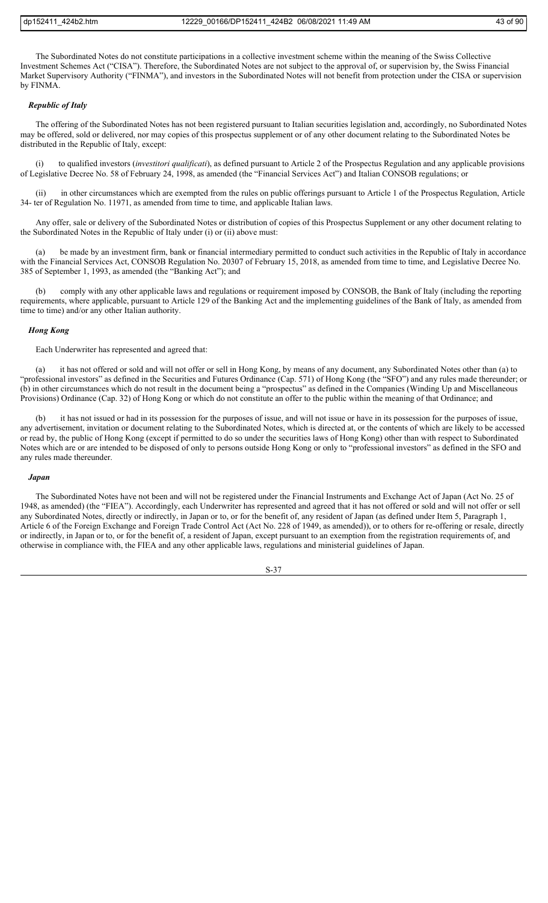The Subordinated Notes do not constitute participations in a collective investment scheme within the meaning of the Swiss Collective Investment Schemes Act ("CISA"). Therefore, the Subordinated Notes are not subject to the approval of, or supervision by, the Swiss Financial Market Supervisory Authority ("FINMA"), and investors in the Subordinated Notes will not benefit from protection under the CISA or supervision by FINMA.

# *Republic of Italy*

The offering of the Subordinated Notes has not been registered pursuant to Italian securities legislation and, accordingly, no Subordinated Notes may be offered, sold or delivered, nor may copies of this prospectus supplement or of any other document relating to the Subordinated Notes be distributed in the Republic of Italy, except:

(i) to qualified investors (*investitori qualificati*), as defined pursuant to Article 2 of the Prospectus Regulation and any applicable provisions of Legislative Decree No. 58 of February 24, 1998, as amended (the "Financial Services Act") and Italian CONSOB regulations; or

(ii) in other circumstances which are exempted from the rules on public offerings pursuant to Article 1 of the Prospectus Regulation, Article 34- ter of Regulation No. 11971, as amended from time to time, and applicable Italian laws.

Any offer, sale or delivery of the Subordinated Notes or distribution of copies of this Prospectus Supplement or any other document relating to the Subordinated Notes in the Republic of Italy under (i) or (ii) above must:

(a) be made by an investment firm, bank or financial intermediary permitted to conduct such activities in the Republic of Italy in accordance with the Financial Services Act, CONSOB Regulation No. 20307 of February 15, 2018, as amended from time to time, and Legislative Decree No. 385 of September 1, 1993, as amended (the "Banking Act"); and

(b) comply with any other applicable laws and regulations or requirement imposed by CONSOB, the Bank of Italy (including the reporting requirements, where applicable, pursuant to Article 129 of the Banking Act and the implementing guidelines of the Bank of Italy, as amended from time to time) and/or any other Italian authority.

#### *Hong Kong*

Each Underwriter has represented and agreed that:

(a) it has not offered or sold and will not offer or sell in Hong Kong, by means of any document, any Subordinated Notes other than (a) to "professional investors" as defined in the Securities and Futures Ordinance (Cap. 571) of Hong Kong (the "SFO") and any rules made thereunder; or (b) in other circumstances which do not result in the document being a "prospectus" as defined in the Companies (Winding Up and Miscellaneous Provisions) Ordinance (Cap. 32) of Hong Kong or which do not constitute an offer to the public within the meaning of that Ordinance; and

(b) it has not issued or had in its possession for the purposes of issue, and will not issue or have in its possession for the purposes of issue, any advertisement, invitation or document relating to the Subordinated Notes, which is directed at, or the contents of which are likely to be accessed or read by, the public of Hong Kong (except if permitted to do so under the securities laws of Hong Kong) other than with respect to Subordinated Notes which are or are intended to be disposed of only to persons outside Hong Kong or only to "professional investors" as defined in the SFO and any rules made thereunder.

#### *Japan*

The Subordinated Notes have not been and will not be registered under the Financial Instruments and Exchange Act of Japan (Act No. 25 of 1948, as amended) (the "FIEA"). Accordingly, each Underwriter has represented and agreed that it has not offered or sold and will not offer or sell any Subordinated Notes, directly or indirectly, in Japan or to, or for the benefit of, any resident of Japan (as defined under Item 5, Paragraph 1, Article 6 of the Foreign Exchange and Foreign Trade Control Act (Act No. 228 of 1949, as amended)), or to others for re-offering or resale, directly or indirectly, in Japan or to, or for the benefit of, a resident of Japan, except pursuant to an exemption from the registration requirements of, and otherwise in compliance with, the FIEA and any other applicable laws, regulations and ministerial guidelines of Japan.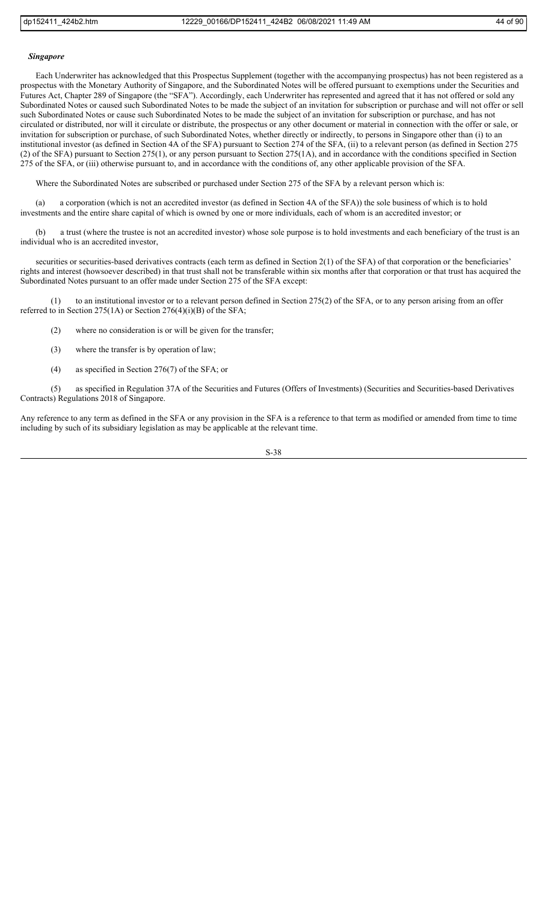#### *Singapore*

Each Underwriter has acknowledged that this Prospectus Supplement (together with the accompanying prospectus) has not been registered as a prospectus with the Monetary Authority of Singapore, and the Subordinated Notes will be offered pursuant to exemptions under the Securities and Futures Act, Chapter 289 of Singapore (the "SFA"). Accordingly, each Underwriter has represented and agreed that it has not offered or sold any Subordinated Notes or caused such Subordinated Notes to be made the subject of an invitation for subscription or purchase and will not offer or sell such Subordinated Notes or cause such Subordinated Notes to be made the subject of an invitation for subscription or purchase, and has not circulated or distributed, nor will it circulate or distribute, the prospectus or any other document or material in connection with the offer or sale, or invitation for subscription or purchase, of such Subordinated Notes, whether directly or indirectly, to persons in Singapore other than (i) to an institutional investor (as defined in Section 4A of the SFA) pursuant to Section 274 of the SFA, (ii) to a relevant person (as defined in Section 275 (2) of the SFA) pursuant to Section 275(1), or any person pursuant to Section 275(1A), and in accordance with the conditions specified in Section 275 of the SFA, or (iii) otherwise pursuant to, and in accordance with the conditions of, any other applicable provision of the SFA.

Where the Subordinated Notes are subscribed or purchased under Section 275 of the SFA by a relevant person which is:

(a) a corporation (which is not an accredited investor (as defined in Section 4A of the SFA)) the sole business of which is to hold investments and the entire share capital of which is owned by one or more individuals, each of whom is an accredited investor; or

(b) a trust (where the trustee is not an accredited investor) whose sole purpose is to hold investments and each beneficiary of the trust is an individual who is an accredited investor,

securities or securities-based derivatives contracts (each term as defined in Section 2(1) of the SFA) of that corporation or the beneficiaries' rights and interest (howsoever described) in that trust shall not be transferable within six months after that corporation or that trust has acquired the Subordinated Notes pursuant to an offer made under Section 275 of the SFA except:

(1) to an institutional investor or to a relevant person defined in Section 275(2) of the SFA, or to any person arising from an offer referred to in Section 275(1A) or Section 276(4)(i)(B) of the SFA;

- (2) where no consideration is or will be given for the transfer;
- (3) where the transfer is by operation of law;
- (4) as specified in Section 276(7) of the SFA; or

(5) as specified in Regulation 37A of the Securities and Futures (Offers of Investments) (Securities and Securities-based Derivatives Contracts) Regulations 2018 of Singapore.

Any reference to any term as defined in the SFA or any provision in the SFA is a reference to that term as modified or amended from time to time including by such of its subsidiary legislation as may be applicable at the relevant time.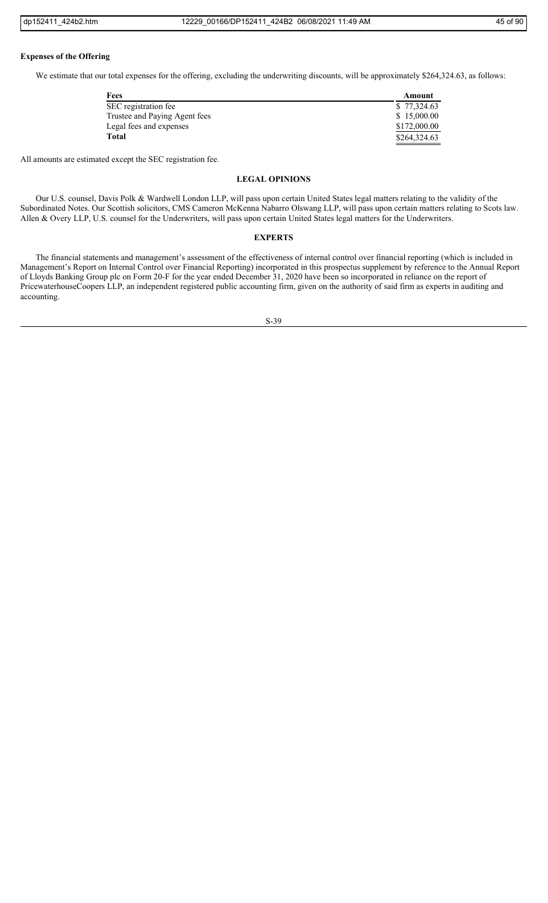#### **Expenses of the Offering**

We estimate that our total expenses for the offering, excluding the underwriting discounts, will be approximately \$264,324.63, as follows:

| Fees                          | Amount       |
|-------------------------------|--------------|
| SEC registration fee          | \$77,324.63  |
| Trustee and Paying Agent fees | \$15,000.00  |
| Legal fees and expenses       | \$172,000.00 |
| <b>Total</b>                  | \$264,324.63 |

All amounts are estimated except the SEC registration fee.

# **LEGAL OPINIONS**

Our U.S. counsel, Davis Polk & Wardwell London LLP, will pass upon certain United States legal matters relating to the validity of the Subordinated Notes. Our Scottish solicitors, CMS Cameron McKenna Nabarro Olswang LLP, will pass upon certain matters relating to Scots law. Allen & Overy LLP, U.S. counsel for the Underwriters, will pass upon certain United States legal matters for the Underwriters.

# **EXPERTS**

The financial statements and management's assessment of the effectiveness of internal control over financial reporting (which is included in Management's Report on Internal Control over Financial Reporting) incorporated in this prospectus supplement by reference to the Annual Report of Lloyds Banking Group plc on Form 20-F for the year ended December 31, 2020 have been so incorporated in reliance on the report of PricewaterhouseCoopers LLP, an independent registered public accounting firm, given on the authority of said firm as experts in auditing and accounting.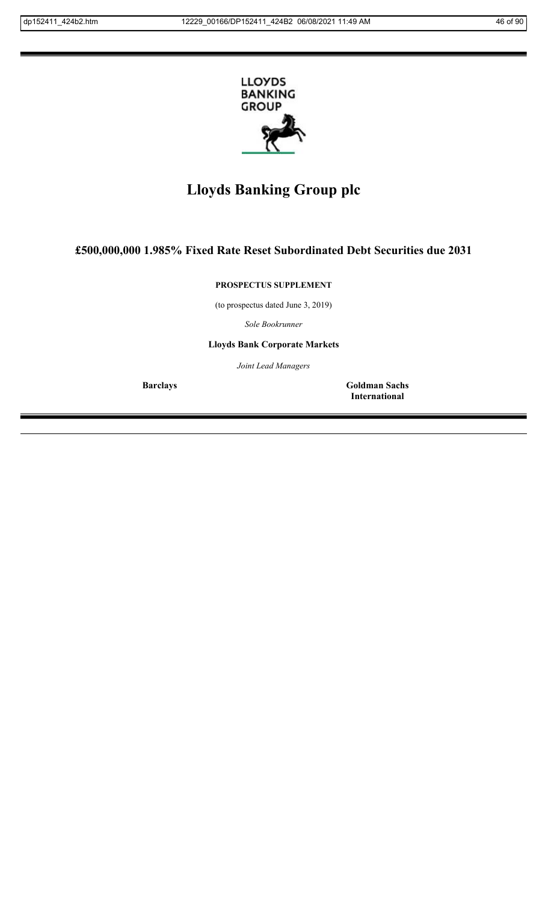

# **Lloyds Banking Group plc**

# **£500,000,000 1.985% Fixed Rate Reset Subordinated Debt Securities due 2031**

**PROSPECTUS SUPPLEMENT**

(to prospectus dated June 3, 2019)

*Sole Bookrunner*

**Lloyds Bank Corporate Markets**

*Joint Lead Managers*

**Barclays Goldman Sachs International**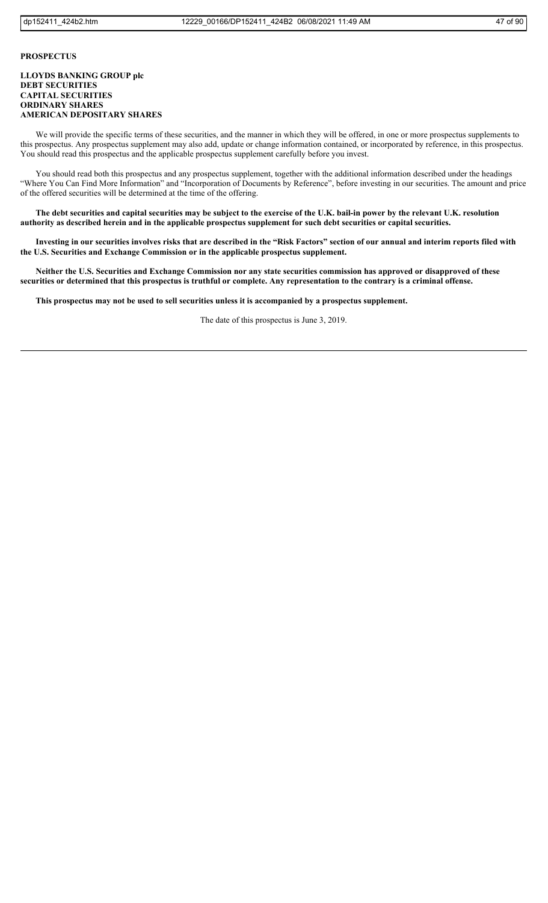# **PROSPECTUS**

# **LLOYDS BANKING GROUP plc DEBT SECURITIES CAPITAL SECURITIES ORDINARY SHARES AMERICAN DEPOSITARY SHARES**

We will provide the specific terms of these securities, and the manner in which they will be offered, in one or more prospectus supplements to this prospectus. Any prospectus supplement may also add, update or change information contained, or incorporated by reference, in this prospectus. You should read this prospectus and the applicable prospectus supplement carefully before you invest.

You should read both this prospectus and any prospectus supplement, together with the additional information described under the headings "Where You Can Find More Information" and "Incorporation of Documents by Reference", before investing in our securities. The amount and price of the offered securities will be determined at the time of the offering.

**The debt securities and capital securities may be subject to the exercise of the U.K. bail-in power by the relevant U.K. resolution authority as described herein and in the applicable prospectus supplement for such debt securities or capital securities.**

**Investing in our securities involves risks that are described in the "Risk Factors" section of our annual and interim reports filed with the U.S. Securities and Exchange Commission or in the applicable prospectus supplement.**

**Neither the U.S. Securities and Exchange Commission nor any state securities commission has approved or disapproved of these securities or determined that this prospectus is truthful or complete. Any representation to the contrary is a criminal offense.**

**This prospectus may not be used to sell securities unless it is accompanied by a prospectus supplement.**

The date of this prospectus is June 3, 2019.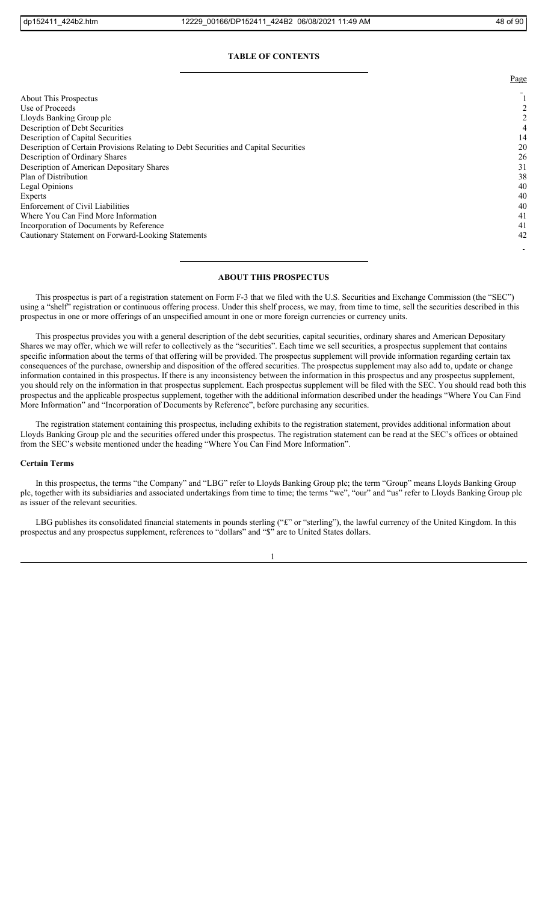#### **TABLE OF CONTENTS**

About This Prospectus 1<br>Use of Proceeds 2 Use of Proceeds Lloyds Banking Group plc 2<br>Description of Debt Securities 2 Description of Debt Securities Description of Capital Securities 14 Description of Certain Provisions Relating to Debt Securities and Capital Securities 20<br>Description of Ordinary Shares 26 Description of Ordinary Shares Description of American Depositary Shares 31 Plan of Distribution 38 Legal Opinions (40)<br>Experts (40) Experts 40 Enforcement of Civil Liabilities 40 Where You Can Find More Information 41 Incorporation of Documents by Reference 41 Cautionary Statement on Forward-Looking Statements 42

# **ABOUT THIS PROSPECTUS**

This prospectus is part of a registration statement on Form F-3 that we filed with the U.S. Securities and Exchange Commission (the "SEC") using a "shelf" registration or continuous offering process. Under this shelf process, we may, from time to time, sell the securities described in this prospectus in one or more offerings of an unspecified amount in one or more foreign currencies or currency units.

This prospectus provides you with a general description of the debt securities, capital securities, ordinary shares and American Depositary Shares we may offer, which we will refer to collectively as the "securities". Each time we sell securities, a prospectus supplement that contains specific information about the terms of that offering will be provided. The prospectus supplement will provide information regarding certain tax consequences of the purchase, ownership and disposition of the offered securities. The prospectus supplement may also add to, update or change information contained in this prospectus. If there is any inconsistency between the information in this prospectus and any prospectus supplement, you should rely on the information in that prospectus supplement. Each prospectus supplement will be filed with the SEC. You should read both this prospectus and the applicable prospectus supplement, together with the additional information described under the headings "Where You Can Find More Information" and "Incorporation of Documents by Reference", before purchasing any securities.

The registration statement containing this prospectus, including exhibits to the registration statement, provides additional information about Lloyds Banking Group plc and the securities offered under this prospectus. The registration statement can be read at the SEC's offices or obtained from the SEC's website mentioned under the heading "Where You Can Find More Information".

#### **Certain Terms**

In this prospectus, the terms "the Company" and "LBG" refer to Lloyds Banking Group plc; the term "Group" means Lloyds Banking Group plc, together with its subsidiaries and associated undertakings from time to time; the terms "we", "our" and "us" refer to Lloyds Banking Group plc as issuer of the relevant securities.

LBG publishes its consolidated financial statements in pounds sterling ("£" or "sterling"), the lawful currency of the United Kingdom. In this prospectus and any prospectus supplement, references to "dollars" and "\$" are to United States dollars.

1

Page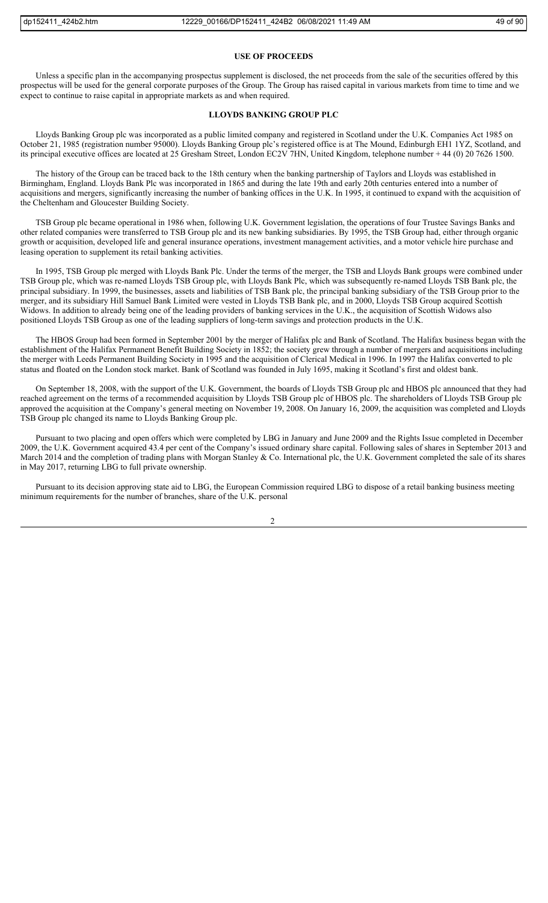#### **USE OF PROCEEDS**

Unless a specific plan in the accompanying prospectus supplement is disclosed, the net proceeds from the sale of the securities offered by this prospectus will be used for the general corporate purposes of the Group. The Group has raised capital in various markets from time to time and we expect to continue to raise capital in appropriate markets as and when required.

# **LLOYDS BANKING GROUP PLC**

Lloyds Banking Group plc was incorporated as a public limited company and registered in Scotland under the U.K. Companies Act 1985 on October 21, 1985 (registration number 95000). Lloyds Banking Group plc's registered office is at The Mound, Edinburgh EH1 1YZ, Scotland, and its principal executive offices are located at 25 Gresham Street, London EC2V 7HN, United Kingdom, telephone number + 44 (0) 20 7626 1500.

The history of the Group can be traced back to the 18th century when the banking partnership of Taylors and Lloyds was established in Birmingham, England. Lloyds Bank Plc was incorporated in 1865 and during the late 19th and early 20th centuries entered into a number of acquisitions and mergers, significantly increasing the number of banking offices in the U.K. In 1995, it continued to expand with the acquisition of the Cheltenham and Gloucester Building Society.

TSB Group plc became operational in 1986 when, following U.K. Government legislation, the operations of four Trustee Savings Banks and other related companies were transferred to TSB Group plc and its new banking subsidiaries. By 1995, the TSB Group had, either through organic growth or acquisition, developed life and general insurance operations, investment management activities, and a motor vehicle hire purchase and leasing operation to supplement its retail banking activities.

In 1995, TSB Group plc merged with Lloyds Bank Plc. Under the terms of the merger, the TSB and Lloyds Bank groups were combined under TSB Group plc, which was re-named Lloyds TSB Group plc, with Lloyds Bank Plc, which was subsequently re-named Lloyds TSB Bank plc, the principal subsidiary. In 1999, the businesses, assets and liabilities of TSB Bank plc, the principal banking subsidiary of the TSB Group prior to the merger, and its subsidiary Hill Samuel Bank Limited were vested in Lloyds TSB Bank plc, and in 2000, Lloyds TSB Group acquired Scottish Widows. In addition to already being one of the leading providers of banking services in the U.K., the acquisition of Scottish Widows also positioned Lloyds TSB Group as one of the leading suppliers of long-term savings and protection products in the U.K.

The HBOS Group had been formed in September 2001 by the merger of Halifax plc and Bank of Scotland. The Halifax business began with the establishment of the Halifax Permanent Benefit Building Society in 1852; the society grew through a number of mergers and acquisitions including the merger with Leeds Permanent Building Society in 1995 and the acquisition of Clerical Medical in 1996. In 1997 the Halifax converted to plc status and floated on the London stock market. Bank of Scotland was founded in July 1695, making it Scotland's first and oldest bank.

On September 18, 2008, with the support of the U.K. Government, the boards of Lloyds TSB Group plc and HBOS plc announced that they had reached agreement on the terms of a recommended acquisition by Lloyds TSB Group plc of HBOS plc. The shareholders of Lloyds TSB Group plc approved the acquisition at the Company's general meeting on November 19, 2008. On January 16, 2009, the acquisition was completed and Lloyds TSB Group plc changed its name to Lloyds Banking Group plc.

Pursuant to two placing and open offers which were completed by LBG in January and June 2009 and the Rights Issue completed in December 2009, the U.K. Government acquired 43.4 per cent of the Company's issued ordinary share capital. Following sales of shares in September 2013 and March 2014 and the completion of trading plans with Morgan Stanley & Co. International plc, the U.K. Government completed the sale of its shares in May 2017, returning LBG to full private ownership.

Pursuant to its decision approving state aid to LBG, the European Commission required LBG to dispose of a retail banking business meeting minimum requirements for the number of branches, share of the U.K. personal

 $\overline{2}$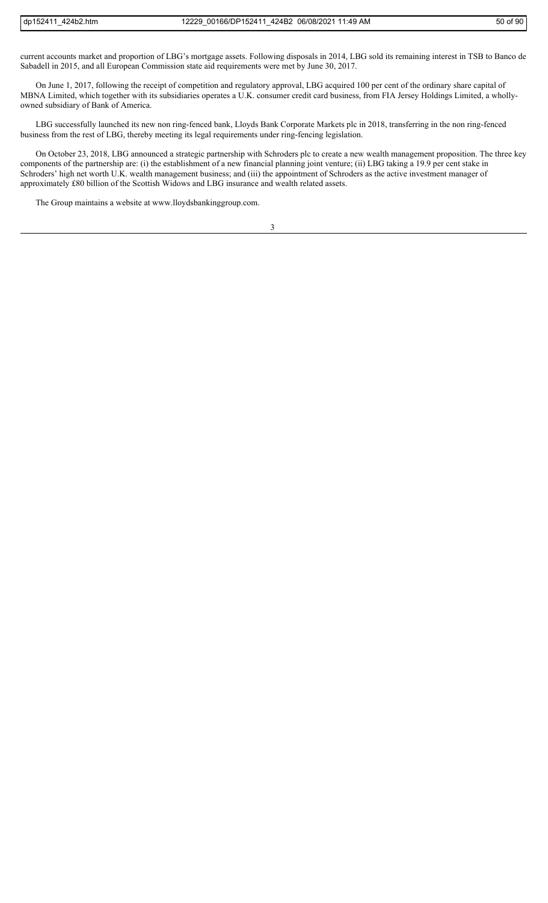current accounts market and proportion of LBG's mortgage assets. Following disposals in 2014, LBG sold its remaining interest in TSB to Banco de Sabadell in 2015, and all European Commission state aid requirements were met by June 30, 2017.

On June 1, 2017, following the receipt of competition and regulatory approval, LBG acquired 100 per cent of the ordinary share capital of MBNA Limited, which together with its subsidiaries operates a U.K. consumer credit card business, from FIA Jersey Holdings Limited, a whollyowned subsidiary of Bank of America.

LBG successfully launched its new non ring-fenced bank, Lloyds Bank Corporate Markets plc in 2018, transferring in the non ring-fenced business from the rest of LBG, thereby meeting its legal requirements under ring-fencing legislation.

On October 23, 2018, LBG announced a strategic partnership with Schroders plc to create a new wealth management proposition. The three key components of the partnership are: (i) the establishment of a new financial planning joint venture; (ii) LBG taking a 19.9 per cent stake in Schroders' high net worth U.K. wealth management business; and (iii) the appointment of Schroders as the active investment manager of approximately £80 billion of the Scottish Widows and LBG insurance and wealth related assets.

The Group maintains a website at www.lloydsbankinggroup.com.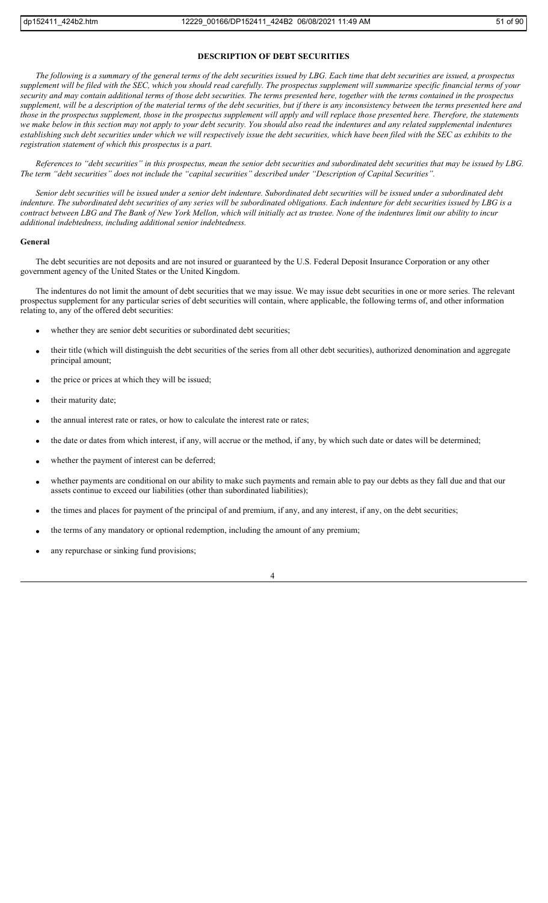# **DESCRIPTION OF DEBT SECURITIES**

*The following is a summary of the general terms of the debt securities issued by LBG. Each time that debt securities are issued, a prospectus supplement will be filed with the SEC, which you should read carefully. The prospectus supplement will summarize specific financial terms of your security and may contain additional terms of those debt securities. The terms presented here, together with the terms contained in the prospectus supplement, will be a description of the material terms of the debt securities, but if there is any inconsistency between the terms presented here and those in the prospectus supplement, those in the prospectus supplement will apply and will replace those presented here. Therefore, the statements*  we make below in this section may not apply to your debt security. You should also read the indentures and any related supplemental indentures establishing such debt securities under which we will respectively issue the debt securities, which have been filed with the SEC as exhibits to the *registration statement of which this prospectus is a part.*

*References to "debt securities" in this prospectus, mean the senior debt securities and subordinated debt securities that may be issued by LBG. The term "debt securities" does not include the "capital securities" described under "Description of Capital Securities".*

*Senior debt securities will be issued under a senior debt indenture. Subordinated debt securities will be issued under a subordinated debt indenture. The subordinated debt securities of any series will be subordinated obligations. Each indenture for debt securities issued by LBG is a contract between LBG and The Bank of New York Mellon, which will initially act as trustee. None of the indentures limit our ability to incur additional indebtedness, including additional senior indebtedness.*

#### **General**

The debt securities are not deposits and are not insured or guaranteed by the U.S. Federal Deposit Insurance Corporation or any other government agency of the United States or the United Kingdom.

The indentures do not limit the amount of debt securities that we may issue. We may issue debt securities in one or more series. The relevant prospectus supplement for any particular series of debt securities will contain, where applicable, the following terms of, and other information relating to, any of the offered debt securities:

- whether they are senior debt securities or subordinated debt securities;
- their title (which will distinguish the debt securities of the series from all other debt securities), authorized denomination and aggregate principal amount;
- the price or prices at which they will be issued;
- their maturity date;
- the annual interest rate or rates, or how to calculate the interest rate or rates;
- the date or dates from which interest, if any, will accrue or the method, if any, by which such date or dates will be determined;
- whether the payment of interest can be deferred;
- whether payments are conditional on our ability to make such payments and remain able to pay our debts as they fall due and that our assets continue to exceed our liabilities (other than subordinated liabilities);
- the times and places for payment of the principal of and premium, if any, and any interest, if any, on the debt securities;
- the terms of any mandatory or optional redemption, including the amount of any premium;
- any repurchase or sinking fund provisions;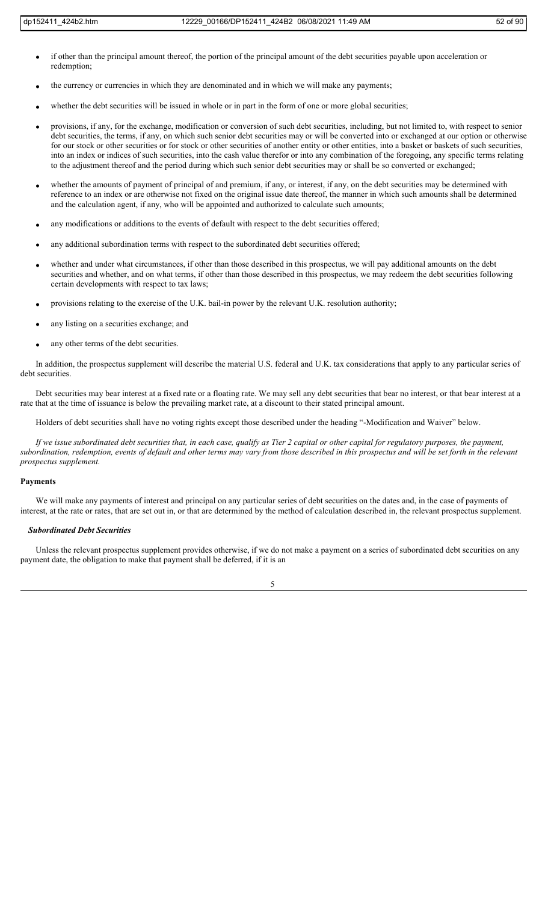- if other than the principal amount thereof, the portion of the principal amount of the debt securities payable upon acceleration or redemption;
- the currency or currencies in which they are denominated and in which we will make any payments;
- whether the debt securities will be issued in whole or in part in the form of one or more global securities;
- provisions, if any, for the exchange, modification or conversion of such debt securities, including, but not limited to, with respect to senior debt securities, the terms, if any, on which such senior debt securities may or will be converted into or exchanged at our option or otherwise for our stock or other securities or for stock or other securities of another entity or other entities, into a basket or baskets of such securities, into an index or indices of such securities, into the cash value therefor or into any combination of the foregoing, any specific terms relating to the adjustment thereof and the period during which such senior debt securities may or shall be so converted or exchanged;
- whether the amounts of payment of principal of and premium, if any, or interest, if any, on the debt securities may be determined with reference to an index or are otherwise not fixed on the original issue date thereof, the manner in which such amounts shall be determined and the calculation agent, if any, who will be appointed and authorized to calculate such amounts;
- any modifications or additions to the events of default with respect to the debt securities offered;
- any additional subordination terms with respect to the subordinated debt securities offered;
- whether and under what circumstances, if other than those described in this prospectus, we will pay additional amounts on the debt securities and whether, and on what terms, if other than those described in this prospectus, we may redeem the debt securities following certain developments with respect to tax laws;
- provisions relating to the exercise of the U.K. bail-in power by the relevant U.K. resolution authority;
- any listing on a securities exchange; and
- any other terms of the debt securities.

In addition, the prospectus supplement will describe the material U.S. federal and U.K. tax considerations that apply to any particular series of debt securities.

Debt securities may bear interest at a fixed rate or a floating rate. We may sell any debt securities that bear no interest, or that bear interest at a rate that at the time of issuance is below the prevailing market rate, at a discount to their stated principal amount.

Holders of debt securities shall have no voting rights except those described under the heading "-Modification and Waiver" below.

*If we issue subordinated debt securities that, in each case, qualify as Tier 2 capital or other capital for regulatory purposes, the payment, subordination, redemption, events of default and other terms may vary from those described in this prospectus and will be set forth in the relevant prospectus supplement.*

#### **Payments**

We will make any payments of interest and principal on any particular series of debt securities on the dates and, in the case of payments of interest, at the rate or rates, that are set out in, or that are determined by the method of calculation described in, the relevant prospectus supplement.

#### *Subordinated Debt Securities*

Unless the relevant prospectus supplement provides otherwise, if we do not make a payment on a series of subordinated debt securities on any payment date, the obligation to make that payment shall be deferred, if it is an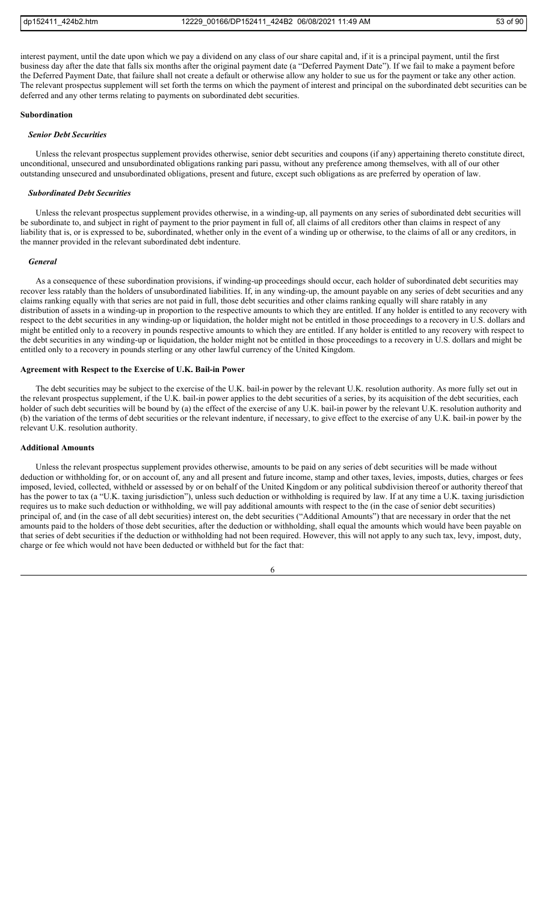interest payment, until the date upon which we pay a dividend on any class of our share capital and, if it is a principal payment, until the first business day after the date that falls six months after the original payment date (a "Deferred Payment Date"). If we fail to make a payment before the Deferred Payment Date, that failure shall not create a default or otherwise allow any holder to sue us for the payment or take any other action. The relevant prospectus supplement will set forth the terms on which the payment of interest and principal on the subordinated debt securities can be deferred and any other terms relating to payments on subordinated debt securities.

# **Subordination**

#### *Senior Debt Securities*

Unless the relevant prospectus supplement provides otherwise, senior debt securities and coupons (if any) appertaining thereto constitute direct, unconditional, unsecured and unsubordinated obligations ranking pari passu, without any preference among themselves, with all of our other outstanding unsecured and unsubordinated obligations, present and future, except such obligations as are preferred by operation of law.

#### *Subordinated Debt Securities*

Unless the relevant prospectus supplement provides otherwise, in a winding-up, all payments on any series of subordinated debt securities will be subordinate to, and subject in right of payment to the prior payment in full of, all claims of all creditors other than claims in respect of any liability that is, or is expressed to be, subordinated, whether only in the event of a winding up or otherwise, to the claims of all or any creditors, in the manner provided in the relevant subordinated debt indenture.

#### *General*

As a consequence of these subordination provisions, if winding-up proceedings should occur, each holder of subordinated debt securities may recover less ratably than the holders of unsubordinated liabilities. If, in any winding-up, the amount payable on any series of debt securities and any claims ranking equally with that series are not paid in full, those debt securities and other claims ranking equally will share ratably in any distribution of assets in a winding-up in proportion to the respective amounts to which they are entitled. If any holder is entitled to any recovery with respect to the debt securities in any winding-up or liquidation, the holder might not be entitled in those proceedings to a recovery in U.S. dollars and might be entitled only to a recovery in pounds respective amounts to which they are entitled. If any holder is entitled to any recovery with respect to the debt securities in any winding-up or liquidation, the holder might not be entitled in those proceedings to a recovery in U.S. dollars and might be entitled only to a recovery in pounds sterling or any other lawful currency of the United Kingdom.

#### **Agreement with Respect to the Exercise of U.K. Bail-in Power**

The debt securities may be subject to the exercise of the U.K. bail-in power by the relevant U.K. resolution authority. As more fully set out in the relevant prospectus supplement, if the U.K. bail-in power applies to the debt securities of a series, by its acquisition of the debt securities, each holder of such debt securities will be bound by (a) the effect of the exercise of any U.K. bail-in power by the relevant U.K. resolution authority and (b) the variation of the terms of debt securities or the relevant indenture, if necessary, to give effect to the exercise of any U.K. bail-in power by the relevant U.K. resolution authority.

#### **Additional Amounts**

Unless the relevant prospectus supplement provides otherwise, amounts to be paid on any series of debt securities will be made without deduction or withholding for, or on account of, any and all present and future income, stamp and other taxes, levies, imposts, duties, charges or fees imposed, levied, collected, withheld or assessed by or on behalf of the United Kingdom or any political subdivision thereof or authority thereof that has the power to tax (a "U.K. taxing jurisdiction"), unless such deduction or withholding is required by law. If at any time a U.K. taxing jurisdiction requires us to make such deduction or withholding, we will pay additional amounts with respect to the (in the case of senior debt securities) principal of, and (in the case of all debt securities) interest on, the debt securities ("Additional Amounts") that are necessary in order that the net amounts paid to the holders of those debt securities, after the deduction or withholding, shall equal the amounts which would have been payable on that series of debt securities if the deduction or withholding had not been required. However, this will not apply to any such tax, levy, impost, duty, charge or fee which would not have been deducted or withheld but for the fact that:

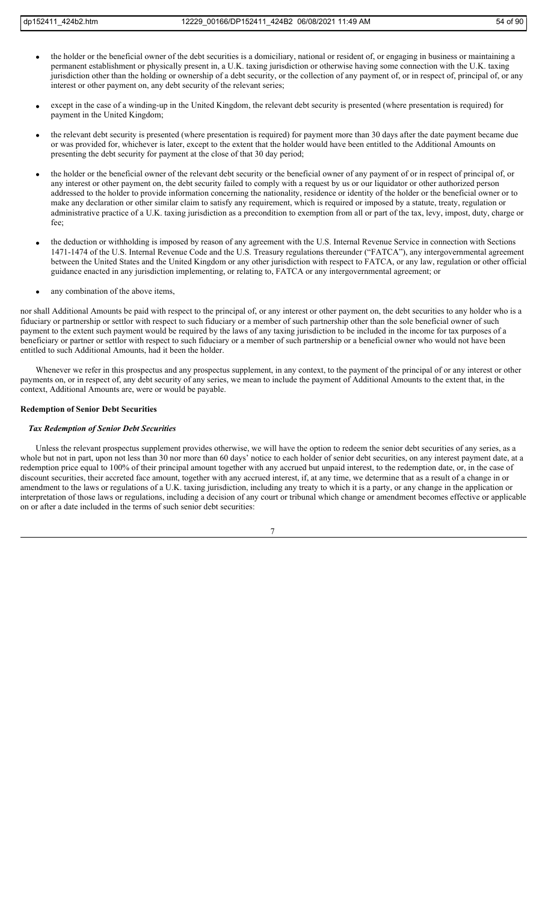- the holder or the beneficial owner of the debt securities is a domiciliary, national or resident of, or engaging in business or maintaining a permanent establishment or physically present in, a U.K. taxing jurisdiction or otherwise having some connection with the U.K. taxing jurisdiction other than the holding or ownership of a debt security, or the collection of any payment of, or in respect of, principal of, or any interest or other payment on, any debt security of the relevant series;
- except in the case of a winding-up in the United Kingdom, the relevant debt security is presented (where presentation is required) for payment in the United Kingdom;
- the relevant debt security is presented (where presentation is required) for payment more than 30 days after the date payment became due or was provided for, whichever is later, except to the extent that the holder would have been entitled to the Additional Amounts on presenting the debt security for payment at the close of that 30 day period;
- the holder or the beneficial owner of the relevant debt security or the beneficial owner of any payment of or in respect of principal of, or any interest or other payment on, the debt security failed to comply with a request by us or our liquidator or other authorized person addressed to the holder to provide information concerning the nationality, residence or identity of the holder or the beneficial owner or to make any declaration or other similar claim to satisfy any requirement, which is required or imposed by a statute, treaty, regulation or administrative practice of a U.K. taxing jurisdiction as a precondition to exemption from all or part of the tax, levy, impost, duty, charge or fee;
- the deduction or withholding is imposed by reason of any agreement with the U.S. Internal Revenue Service in connection with Sections 1471-1474 of the U.S. Internal Revenue Code and the U.S. Treasury regulations thereunder ("FATCA"), any intergovernmental agreement between the United States and the United Kingdom or any other jurisdiction with respect to FATCA, or any law, regulation or other official guidance enacted in any jurisdiction implementing, or relating to, FATCA or any intergovernmental agreement; or
- any combination of the above items,

nor shall Additional Amounts be paid with respect to the principal of, or any interest or other payment on, the debt securities to any holder who is a fiduciary or partnership or settlor with respect to such fiduciary or a member of such partnership other than the sole beneficial owner of such payment to the extent such payment would be required by the laws of any taxing jurisdiction to be included in the income for tax purposes of a beneficiary or partner or settlor with respect to such fiduciary or a member of such partnership or a beneficial owner who would not have been entitled to such Additional Amounts, had it been the holder.

Whenever we refer in this prospectus and any prospectus supplement, in any context, to the payment of the principal of or any interest or other payments on, or in respect of, any debt security of any series, we mean to include the payment of Additional Amounts to the extent that, in the context, Additional Amounts are, were or would be payable.

# **Redemption of Senior Debt Securities**

## *Tax Redemption of Senior Debt Securities*

Unless the relevant prospectus supplement provides otherwise, we will have the option to redeem the senior debt securities of any series, as a whole but not in part, upon not less than 30 nor more than 60 days' notice to each holder of senior debt securities, on any interest payment date, at a redemption price equal to 100% of their principal amount together with any accrued but unpaid interest, to the redemption date, or, in the case of discount securities, their accreted face amount, together with any accrued interest, if, at any time, we determine that as a result of a change in or amendment to the laws or regulations of a U.K. taxing jurisdiction, including any treaty to which it is a party, or any change in the application or interpretation of those laws or regulations, including a decision of any court or tribunal which change or amendment becomes effective or applicable on or after a date included in the terms of such senior debt securities: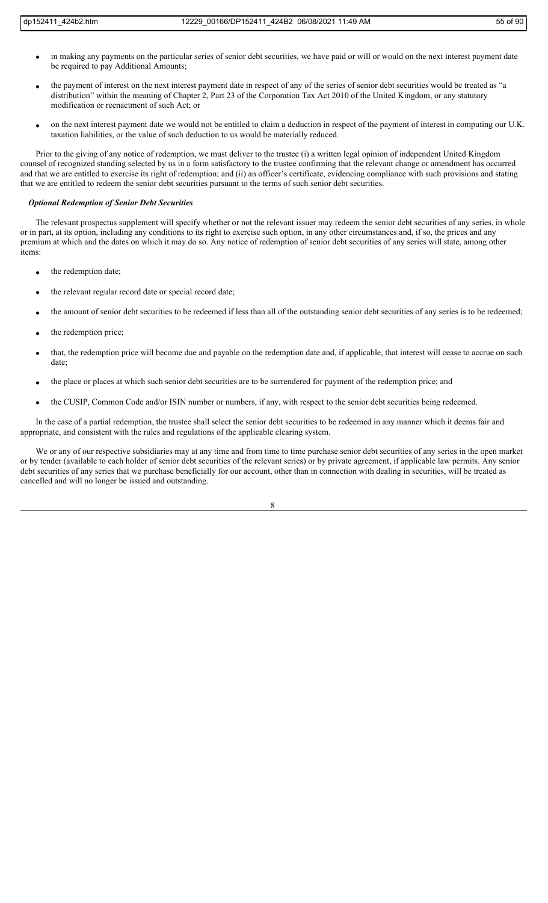- in making any payments on the particular series of senior debt securities, we have paid or will or would on the next interest payment date be required to pay Additional Amounts;
- the payment of interest on the next interest payment date in respect of any of the series of senior debt securities would be treated as "a distribution" within the meaning of Chapter 2, Part 23 of the Corporation Tax Act 2010 of the United Kingdom, or any statutory modification or reenactment of such Act; or
- on the next interest payment date we would not be entitled to claim a deduction in respect of the payment of interest in computing our U.K. taxation liabilities, or the value of such deduction to us would be materially reduced.

Prior to the giving of any notice of redemption, we must deliver to the trustee (i) a written legal opinion of independent United Kingdom counsel of recognized standing selected by us in a form satisfactory to the trustee confirming that the relevant change or amendment has occurred and that we are entitled to exercise its right of redemption; and (ii) an officer's certificate, evidencing compliance with such provisions and stating that we are entitled to redeem the senior debt securities pursuant to the terms of such senior debt securities.

#### *Optional Redemption of Senior Debt Securities*

The relevant prospectus supplement will specify whether or not the relevant issuer may redeem the senior debt securities of any series, in whole or in part, at its option, including any conditions to its right to exercise such option, in any other circumstances and, if so, the prices and any premium at which and the dates on which it may do so. Any notice of redemption of senior debt securities of any series will state, among other items:

- the redemption date;
- the relevant regular record date or special record date;
- the amount of senior debt securities to be redeemed if less than all of the outstanding senior debt securities of any series is to be redeemed;
- the redemption price;
- that, the redemption price will become due and payable on the redemption date and, if applicable, that interest will cease to accrue on such date;
- the place or places at which such senior debt securities are to be surrendered for payment of the redemption price; and
- the CUSIP, Common Code and/or ISIN number or numbers, if any, with respect to the senior debt securities being redeemed.

In the case of a partial redemption, the trustee shall select the senior debt securities to be redeemed in any manner which it deems fair and appropriate, and consistent with the rules and regulations of the applicable clearing system.

We or any of our respective subsidiaries may at any time and from time to time purchase senior debt securities of any series in the open market or by tender (available to each holder of senior debt securities of the relevant series) or by private agreement, if applicable law permits. Any senior debt securities of any series that we purchase beneficially for our account, other than in connection with dealing in securities, will be treated as cancelled and will no longer be issued and outstanding.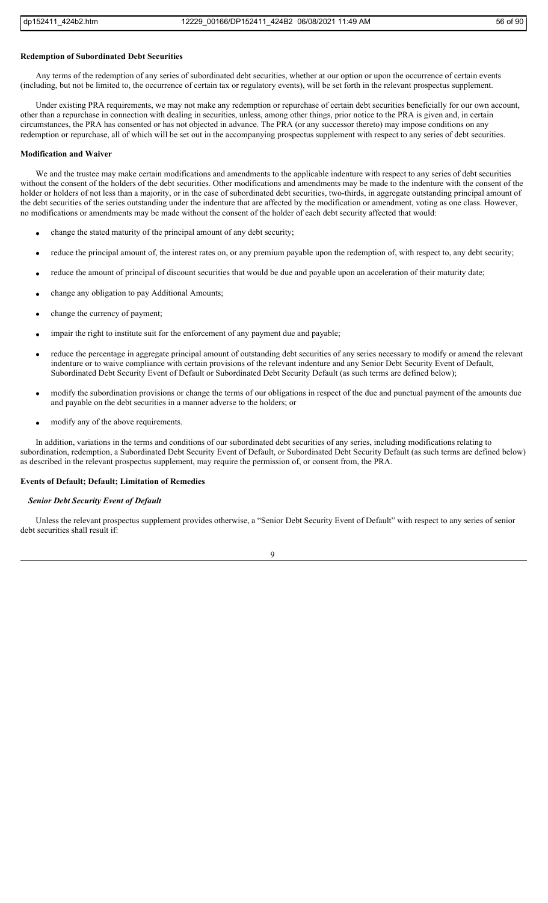#### **Redemption of Subordinated Debt Securities**

Any terms of the redemption of any series of subordinated debt securities, whether at our option or upon the occurrence of certain events (including, but not be limited to, the occurrence of certain tax or regulatory events), will be set forth in the relevant prospectus supplement.

Under existing PRA requirements, we may not make any redemption or repurchase of certain debt securities beneficially for our own account, other than a repurchase in connection with dealing in securities, unless, among other things, prior notice to the PRA is given and, in certain circumstances, the PRA has consented or has not objected in advance. The PRA (or any successor thereto) may impose conditions on any redemption or repurchase, all of which will be set out in the accompanying prospectus supplement with respect to any series of debt securities.

#### **Modification and Waiver**

We and the trustee may make certain modifications and amendments to the applicable indenture with respect to any series of debt securities without the consent of the holders of the debt securities. Other modifications and amendments may be made to the indenture with the consent of the holder or holders of not less than a majority, or in the case of subordinated debt securities, two-thirds, in aggregate outstanding principal amount of the debt securities of the series outstanding under the indenture that are affected by the modification or amendment, voting as one class. However, no modifications or amendments may be made without the consent of the holder of each debt security affected that would:

- change the stated maturity of the principal amount of any debt security;
- reduce the principal amount of, the interest rates on, or any premium payable upon the redemption of, with respect to, any debt security;
- reduce the amount of principal of discount securities that would be due and payable upon an acceleration of their maturity date;
- change any obligation to pay Additional Amounts;
- change the currency of payment;
- impair the right to institute suit for the enforcement of any payment due and payable;
- reduce the percentage in aggregate principal amount of outstanding debt securities of any series necessary to modify or amend the relevant indenture or to waive compliance with certain provisions of the relevant indenture and any Senior Debt Security Event of Default, Subordinated Debt Security Event of Default or Subordinated Debt Security Default (as such terms are defined below);
- modify the subordination provisions or change the terms of our obligations in respect of the due and punctual payment of the amounts due and payable on the debt securities in a manner adverse to the holders; or
- modify any of the above requirements.

In addition, variations in the terms and conditions of our subordinated debt securities of any series, including modifications relating to subordination, redemption, a Subordinated Debt Security Event of Default, or Subordinated Debt Security Default (as such terms are defined below) as described in the relevant prospectus supplement, may require the permission of, or consent from, the PRA.

#### **Events of Default; Default; Limitation of Remedies**

#### *Senior Debt Security Event of Default*

Unless the relevant prospectus supplement provides otherwise, a "Senior Debt Security Event of Default" with respect to any series of senior debt securities shall result if:

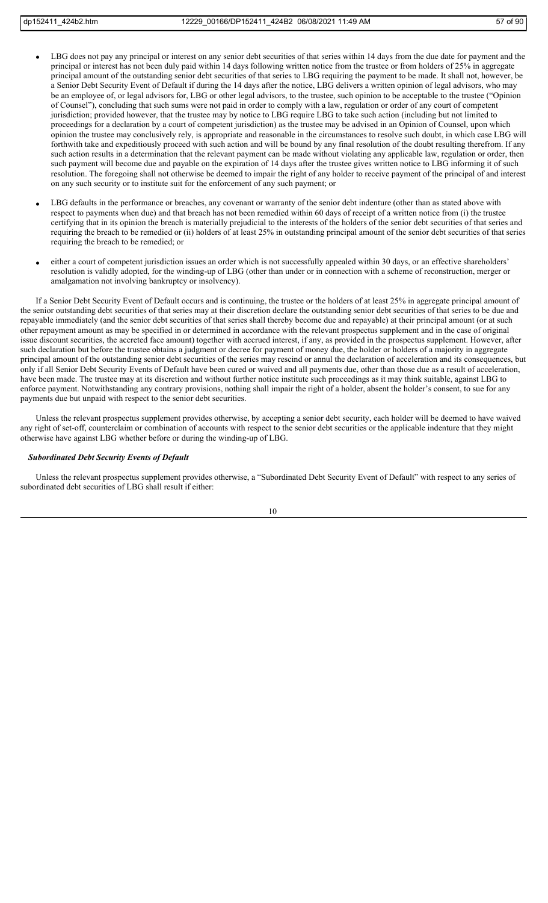- LBG does not pay any principal or interest on any senior debt securities of that series within 14 days from the due date for payment and the principal or interest has not been duly paid within 14 days following written notice from the trustee or from holders of 25% in aggregate principal amount of the outstanding senior debt securities of that series to LBG requiring the payment to be made. It shall not, however, be a Senior Debt Security Event of Default if during the 14 days after the notice, LBG delivers a written opinion of legal advisors, who may be an employee of, or legal advisors for, LBG or other legal advisors, to the trustee, such opinion to be acceptable to the trustee ("Opinion of Counsel"), concluding that such sums were not paid in order to comply with a law, regulation or order of any court of competent jurisdiction; provided however, that the trustee may by notice to LBG require LBG to take such action (including but not limited to proceedings for a declaration by a court of competent jurisdiction) as the trustee may be advised in an Opinion of Counsel, upon which opinion the trustee may conclusively rely, is appropriate and reasonable in the circumstances to resolve such doubt, in which case LBG will forthwith take and expeditiously proceed with such action and will be bound by any final resolution of the doubt resulting therefrom. If any such action results in a determination that the relevant payment can be made without violating any applicable law, regulation or order, then such payment will become due and payable on the expiration of 14 days after the trustee gives written notice to LBG informing it of such resolution. The foregoing shall not otherwise be deemed to impair the right of any holder to receive payment of the principal of and interest on any such security or to institute suit for the enforcement of any such payment; or
- LBG defaults in the performance or breaches, any covenant or warranty of the senior debt indenture (other than as stated above with respect to payments when due) and that breach has not been remedied within 60 days of receipt of a written notice from (i) the trustee certifying that in its opinion the breach is materially prejudicial to the interests of the holders of the senior debt securities of that series and requiring the breach to be remedied or (ii) holders of at least 25% in outstanding principal amount of the senior debt securities of that series requiring the breach to be remedied; or
- either a court of competent jurisdiction issues an order which is not successfully appealed within 30 days, or an effective shareholders' resolution is validly adopted, for the winding-up of LBG (other than under or in connection with a scheme of reconstruction, merger or amalgamation not involving bankruptcy or insolvency).

If a Senior Debt Security Event of Default occurs and is continuing, the trustee or the holders of at least 25% in aggregate principal amount of the senior outstanding debt securities of that series may at their discretion declare the outstanding senior debt securities of that series to be due and repayable immediately (and the senior debt securities of that series shall thereby become due and repayable) at their principal amount (or at such other repayment amount as may be specified in or determined in accordance with the relevant prospectus supplement and in the case of original issue discount securities, the accreted face amount) together with accrued interest, if any, as provided in the prospectus supplement. However, after such declaration but before the trustee obtains a judgment or decree for payment of money due, the holder or holders of a majority in aggregate principal amount of the outstanding senior debt securities of the series may rescind or annul the declaration of acceleration and its consequences, but only if all Senior Debt Security Events of Default have been cured or waived and all payments due, other than those due as a result of acceleration, have been made. The trustee may at its discretion and without further notice institute such proceedings as it may think suitable, against LBG to enforce payment. Notwithstanding any contrary provisions, nothing shall impair the right of a holder, absent the holder's consent, to sue for any payments due but unpaid with respect to the senior debt securities.

Unless the relevant prospectus supplement provides otherwise, by accepting a senior debt security, each holder will be deemed to have waived any right of set-off, counterclaim or combination of accounts with respect to the senior debt securities or the applicable indenture that they might otherwise have against LBG whether before or during the winding-up of LBG.

# *Subordinated Debt Security Events of Default*

Unless the relevant prospectus supplement provides otherwise, a "Subordinated Debt Security Event of Default" with respect to any series of subordinated debt securities of LBG shall result if either: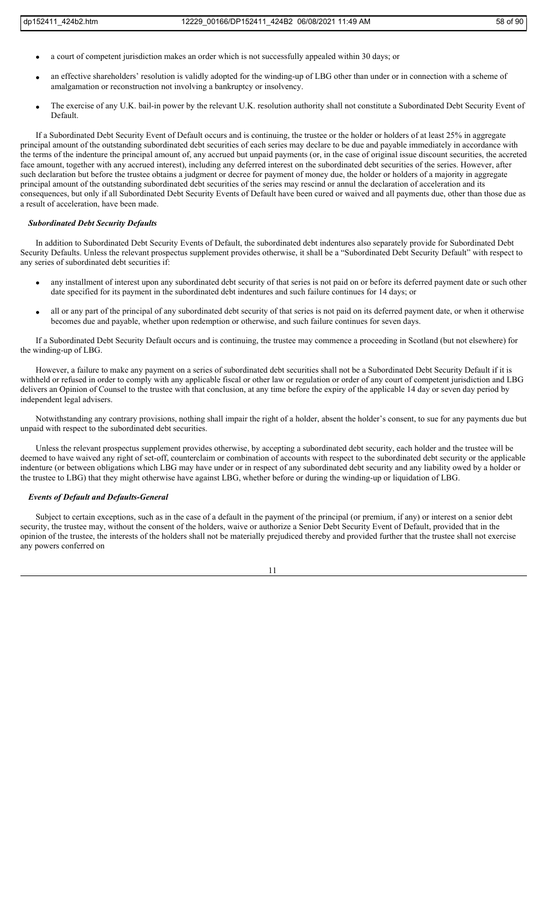- a court of competent jurisdiction makes an order which is not successfully appealed within 30 days; or
- an effective shareholders' resolution is validly adopted for the winding-up of LBG other than under or in connection with a scheme of amalgamation or reconstruction not involving a bankruptcy or insolvency.
- The exercise of any U.K. bail-in power by the relevant U.K. resolution authority shall not constitute a Subordinated Debt Security Event of Default.

If a Subordinated Debt Security Event of Default occurs and is continuing, the trustee or the holder or holders of at least 25% in aggregate principal amount of the outstanding subordinated debt securities of each series may declare to be due and payable immediately in accordance with the terms of the indenture the principal amount of, any accrued but unpaid payments (or, in the case of original issue discount securities, the accreted face amount, together with any accrued interest), including any deferred interest on the subordinated debt securities of the series. However, after such declaration but before the trustee obtains a judgment or decree for payment of money due, the holder or holders of a majority in aggregate principal amount of the outstanding subordinated debt securities of the series may rescind or annul the declaration of acceleration and its consequences, but only if all Subordinated Debt Security Events of Default have been cured or waived and all payments due, other than those due as a result of acceleration, have been made.

# *Subordinated Debt Security Defaults*

In addition to Subordinated Debt Security Events of Default, the subordinated debt indentures also separately provide for Subordinated Debt Security Defaults. Unless the relevant prospectus supplement provides otherwise, it shall be a "Subordinated Debt Security Default" with respect to any series of subordinated debt securities if:

- any installment of interest upon any subordinated debt security of that series is not paid on or before its deferred payment date or such other date specified for its payment in the subordinated debt indentures and such failure continues for 14 days; or
- all or any part of the principal of any subordinated debt security of that series is not paid on its deferred payment date, or when it otherwise becomes due and payable, whether upon redemption or otherwise, and such failure continues for seven days.

If a Subordinated Debt Security Default occurs and is continuing, the trustee may commence a proceeding in Scotland (but not elsewhere) for the winding-up of LBG.

However, a failure to make any payment on a series of subordinated debt securities shall not be a Subordinated Debt Security Default if it is withheld or refused in order to comply with any applicable fiscal or other law or regulation or order of any court of competent jurisdiction and LBG delivers an Opinion of Counsel to the trustee with that conclusion, at any time before the expiry of the applicable 14 day or seven day period by independent legal advisers.

Notwithstanding any contrary provisions, nothing shall impair the right of a holder, absent the holder's consent, to sue for any payments due but unpaid with respect to the subordinated debt securities.

Unless the relevant prospectus supplement provides otherwise, by accepting a subordinated debt security, each holder and the trustee will be deemed to have waived any right of set-off, counterclaim or combination of accounts with respect to the subordinated debt security or the applicable indenture (or between obligations which LBG may have under or in respect of any subordinated debt security and any liability owed by a holder or the trustee to LBG) that they might otherwise have against LBG, whether before or during the winding-up or liquidation of LBG.

# *Events of Default and Defaults-General*

Subject to certain exceptions, such as in the case of a default in the payment of the principal (or premium, if any) or interest on a senior debt security, the trustee may, without the consent of the holders, waive or authorize a Senior Debt Security Event of Default, provided that in the opinion of the trustee, the interests of the holders shall not be materially prejudiced thereby and provided further that the trustee shall not exercise any powers conferred on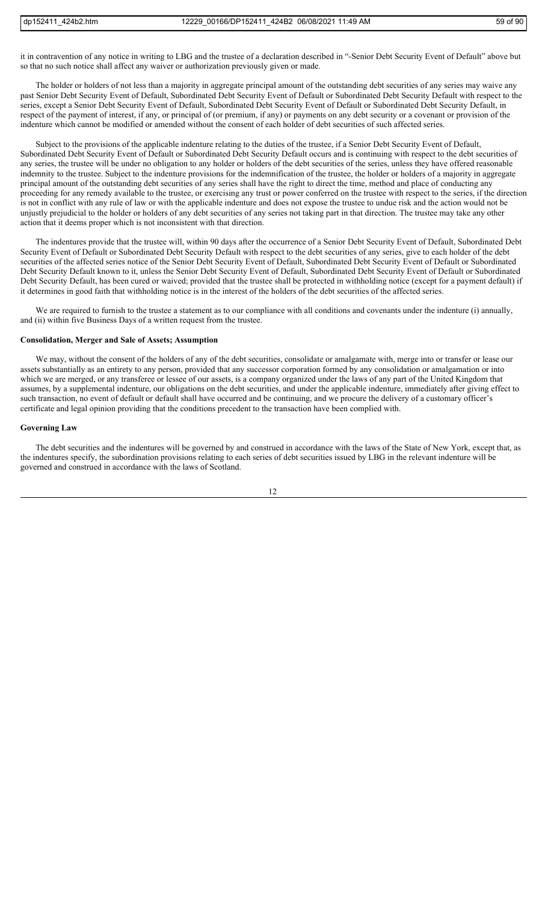it in contravention of any notice in writing to LBG and the trustee of a declaration described in "-Senior Debt Security Event of Default" above but so that no such notice shall affect any waiver or authorization previously given or made.

The holder or holders of not less than a majority in aggregate principal amount of the outstanding debt securities of any series may waive any past Senior Debt Security Event of Default, Subordinated Debt Security Event of Default or Subordinated Debt Security Default with respect to the series, except a Senior Debt Security Event of Default, Subordinated Debt Security Event of Default or Subordinated Debt Security Default, in respect of the payment of interest, if any, or principal of (or premium, if any) or payments on any debt security or a covenant or provision of the indenture which cannot be modified or amended without the consent of each holder of debt securities of such affected series.

Subject to the provisions of the applicable indenture relating to the duties of the trustee, if a Senior Debt Security Event of Default, Subordinated Debt Security Event of Default or Subordinated Debt Security Default occurs and is continuing with respect to the debt securities of any series, the trustee will be under no obligation to any holder or holders of the debt securities of the series, unless they have offered reasonable indemnity to the trustee. Subject to the indenture provisions for the indemnification of the trustee, the holder or holders of a majority in aggregate principal amount of the outstanding debt securities of any series shall have the right to direct the time, method and place of conducting any proceeding for any remedy available to the trustee, or exercising any trust or power conferred on the trustee with respect to the series, if the direction is not in conflict with any rule of law or with the applicable indenture and does not expose the trustee to undue risk and the action would not be unjustly prejudicial to the holder or holders of any debt securities of any series not taking part in that direction. The trustee may take any other action that it deems proper which is not inconsistent with that direction.

The indentures provide that the trustee will, within 90 days after the occurrence of a Senior Debt Security Event of Default, Subordinated Debt Security Event of Default or Subordinated Debt Security Default with respect to the debt securities of any series, give to each holder of the debt securities of the affected series notice of the Senior Debt Security Event of Default, Subordinated Debt Security Event of Default or Subordinated Debt Security Default known to it, unless the Senior Debt Security Event of Default, Subordinated Debt Security Event of Default or Subordinated Debt Security Default, has been cured or waived; provided that the trustee shall be protected in withholding notice (except for a payment default) if it determines in good faith that withholding notice is in the interest of the holders of the debt securities of the affected series.

We are required to furnish to the trustee a statement as to our compliance with all conditions and covenants under the indenture (i) annually, and (ii) within five Business Days of a written request from the trustee.

# **Consolidation, Merger and Sale of Assets; Assumption**

We may, without the consent of the holders of any of the debt securities, consolidate or amalgamate with, merge into or transfer or lease our assets substantially as an entirety to any person, provided that any successor corporation formed by any consolidation or amalgamation or into which we are merged, or any transferee or lessee of our assets, is a company organized under the laws of any part of the United Kingdom that assumes, by a supplemental indenture, our obligations on the debt securities, and under the applicable indenture, immediately after giving effect to such transaction, no event of default or default shall have occurred and be continuing, and we procure the delivery of a customary officer's certificate and legal opinion providing that the conditions precedent to the transaction have been complied with.

## **Governing Law**

The debt securities and the indentures will be governed by and construed in accordance with the laws of the State of New York, except that, as the indentures specify, the subordination provisions relating to each series of debt securities issued by LBG in the relevant indenture will be governed and construed in accordance with the laws of Scotland.

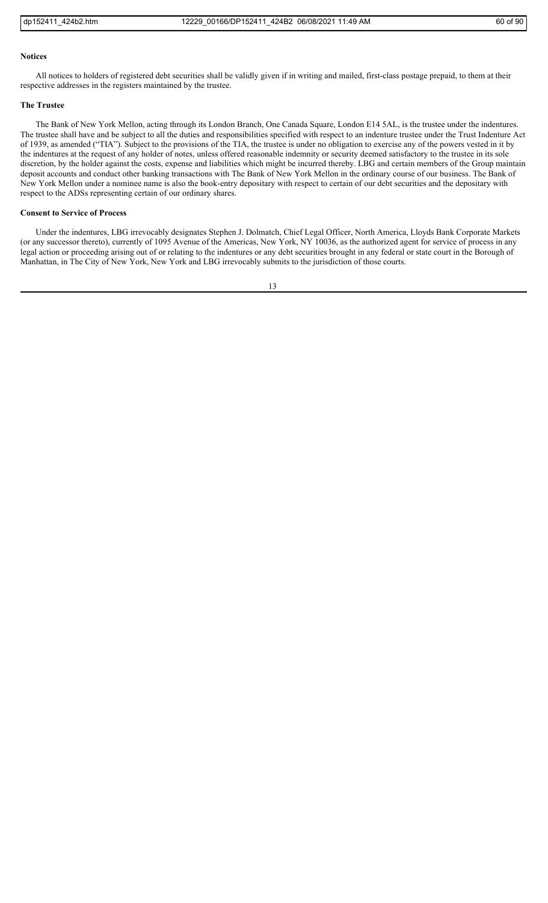# **Notices**

All notices to holders of registered debt securities shall be validly given if in writing and mailed, first-class postage prepaid, to them at their respective addresses in the registers maintained by the trustee.

#### **The Trustee**

The Bank of New York Mellon, acting through its London Branch, One Canada Square, London E14 5AL, is the trustee under the indentures. The trustee shall have and be subject to all the duties and responsibilities specified with respect to an indenture trustee under the Trust Indenture Act of 1939, as amended ("TIA"). Subject to the provisions of the TIA, the trustee is under no obligation to exercise any of the powers vested in it by the indentures at the request of any holder of notes, unless offered reasonable indemnity or security deemed satisfactory to the trustee in its sole discretion, by the holder against the costs, expense and liabilities which might be incurred thereby. LBG and certain members of the Group maintain deposit accounts and conduct other banking transactions with The Bank of New York Mellon in the ordinary course of our business. The Bank of New York Mellon under a nominee name is also the book-entry depositary with respect to certain of our debt securities and the depositary with respect to the ADSs representing certain of our ordinary shares.

# **Consent to Service of Process**

Under the indentures, LBG irrevocably designates Stephen J. Dolmatch, Chief Legal Officer, North America, Lloyds Bank Corporate Markets (or any successor thereto), currently of 1095 Avenue of the Americas, New York, NY 10036, as the authorized agent for service of process in any legal action or proceeding arising out of or relating to the indentures or any debt securities brought in any federal or state court in the Borough of Manhattan, in The City of New York, New York and LBG irrevocably submits to the jurisdiction of those courts.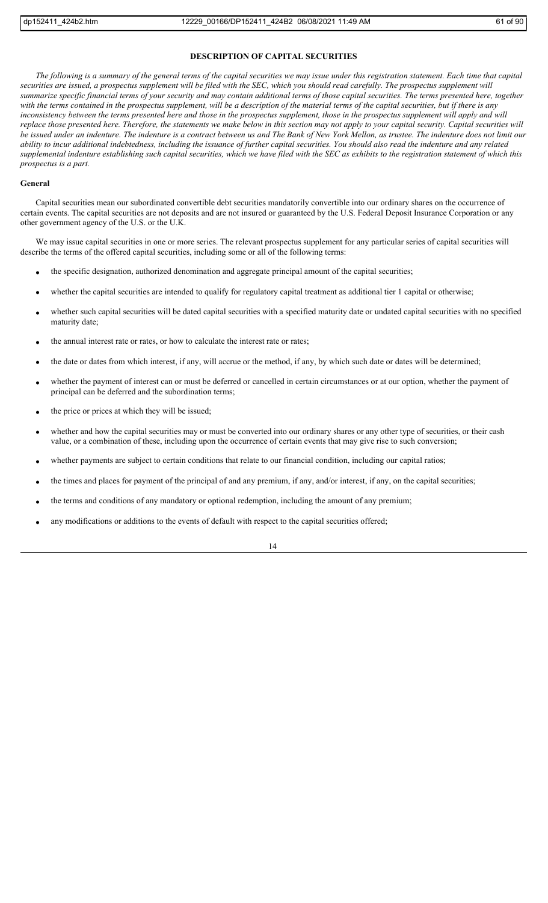# **DESCRIPTION OF CAPITAL SECURITIES**

*The following is a summary of the general terms of the capital securities we may issue under this registration statement. Each time that capital securities are issued, a prospectus supplement will be filed with the SEC, which you should read carefully. The prospectus supplement will summarize specific financial terms of your security and may contain additional terms of those capital securities. The terms presented here, together with the terms contained in the prospectus supplement, will be a description of the material terms of the capital securities, but if there is any*  inconsistency between the terms presented here and those in the prospectus supplement, those in the prospectus supplement will apply and will *replace those presented here. Therefore, the statements we make below in this section may not apply to your capital security. Capital securities will be issued under an indenture. The indenture is a contract between us and The Bank of New York Mellon, as trustee. The indenture does not limit our ability to incur additional indebtedness, including the issuance of further capital securities. You should also read the indenture and any related supplemental indenture establishing such capital securities, which we have filed with the SEC as exhibits to the registration statement of which this prospectus is a part.*

#### **General**

Capital securities mean our subordinated convertible debt securities mandatorily convertible into our ordinary shares on the occurrence of certain events. The capital securities are not deposits and are not insured or guaranteed by the U.S. Federal Deposit Insurance Corporation or any other government agency of the U.S. or the U.K.

We may issue capital securities in one or more series. The relevant prospectus supplement for any particular series of capital securities will describe the terms of the offered capital securities, including some or all of the following terms:

- the specific designation, authorized denomination and aggregate principal amount of the capital securities;
- whether the capital securities are intended to qualify for regulatory capital treatment as additional tier 1 capital or otherwise;
- whether such capital securities will be dated capital securities with a specified maturity date or undated capital securities with no specified maturity date;
- the annual interest rate or rates, or how to calculate the interest rate or rates;
- the date or dates from which interest, if any, will accrue or the method, if any, by which such date or dates will be determined;
- whether the payment of interest can or must be deferred or cancelled in certain circumstances or at our option, whether the payment of principal can be deferred and the subordination terms;
- the price or prices at which they will be issued;
- whether and how the capital securities may or must be converted into our ordinary shares or any other type of securities, or their cash value, or a combination of these, including upon the occurrence of certain events that may give rise to such conversion;
- whether payments are subject to certain conditions that relate to our financial condition, including our capital ratios;
- the times and places for payment of the principal of and any premium, if any, and/or interest, if any, on the capital securities;
- the terms and conditions of any mandatory or optional redemption, including the amount of any premium;
- any modifications or additions to the events of default with respect to the capital securities offered;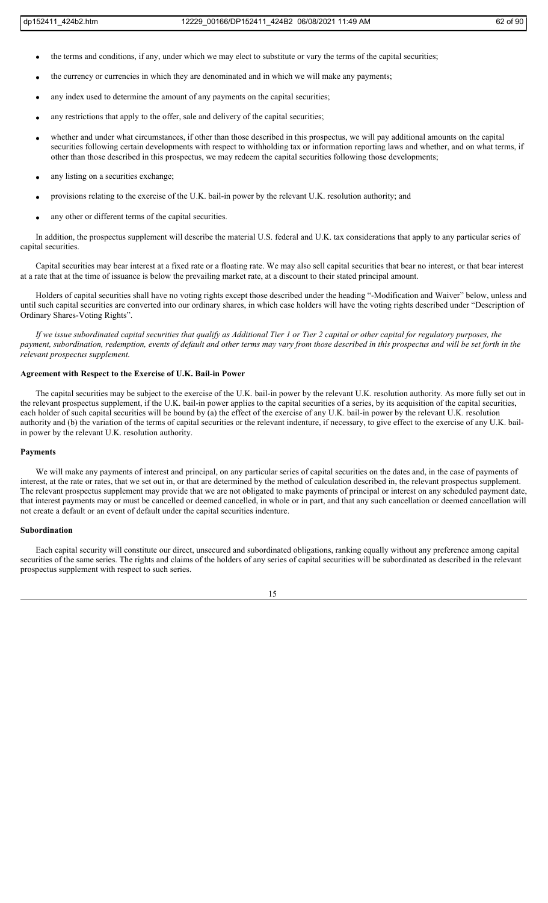- the terms and conditions, if any, under which we may elect to substitute or vary the terms of the capital securities;
- the currency or currencies in which they are denominated and in which we will make any payments;
- any index used to determine the amount of any payments on the capital securities;
- any restrictions that apply to the offer, sale and delivery of the capital securities;
- whether and under what circumstances, if other than those described in this prospectus, we will pay additional amounts on the capital securities following certain developments with respect to withholding tax or information reporting laws and whether, and on what terms, if other than those described in this prospectus, we may redeem the capital securities following those developments;
- any listing on a securities exchange;
- provisions relating to the exercise of the U.K. bail-in power by the relevant U.K. resolution authority; and
- any other or different terms of the capital securities.

In addition, the prospectus supplement will describe the material U.S. federal and U.K. tax considerations that apply to any particular series of capital securities.

Capital securities may bear interest at a fixed rate or a floating rate. We may also sell capital securities that bear no interest, or that bear interest at a rate that at the time of issuance is below the prevailing market rate, at a discount to their stated principal amount.

Holders of capital securities shall have no voting rights except those described under the heading "-Modification and Waiver" below, unless and until such capital securities are converted into our ordinary shares, in which case holders will have the voting rights described under "Description of Ordinary Shares-Voting Rights".

*If we issue subordinated capital securities that qualify as Additional Tier 1 or Tier 2 capital or other capital for regulatory purposes, the payment, subordination, redemption, events of default and other terms may vary from those described in this prospectus and will be set forth in the relevant prospectus supplement.*

# **Agreement with Respect to the Exercise of U.K. Bail-in Power**

The capital securities may be subject to the exercise of the U.K. bail-in power by the relevant U.K. resolution authority. As more fully set out in the relevant prospectus supplement, if the U.K. bail-in power applies to the capital securities of a series, by its acquisition of the capital securities, each holder of such capital securities will be bound by (a) the effect of the exercise of any U.K. bail-in power by the relevant U.K. resolution authority and (b) the variation of the terms of capital securities or the relevant indenture, if necessary, to give effect to the exercise of any U.K. bailin power by the relevant U.K. resolution authority.

#### **Payments**

We will make any payments of interest and principal, on any particular series of capital securities on the dates and, in the case of payments of interest, at the rate or rates, that we set out in, or that are determined by the method of calculation described in, the relevant prospectus supplement. The relevant prospectus supplement may provide that we are not obligated to make payments of principal or interest on any scheduled payment date, that interest payments may or must be cancelled or deemed cancelled, in whole or in part, and that any such cancellation or deemed cancellation will not create a default or an event of default under the capital securities indenture.

# **Subordination**

Each capital security will constitute our direct, unsecured and subordinated obligations, ranking equally without any preference among capital securities of the same series. The rights and claims of the holders of any series of capital securities will be subordinated as described in the relevant prospectus supplement with respect to such series.

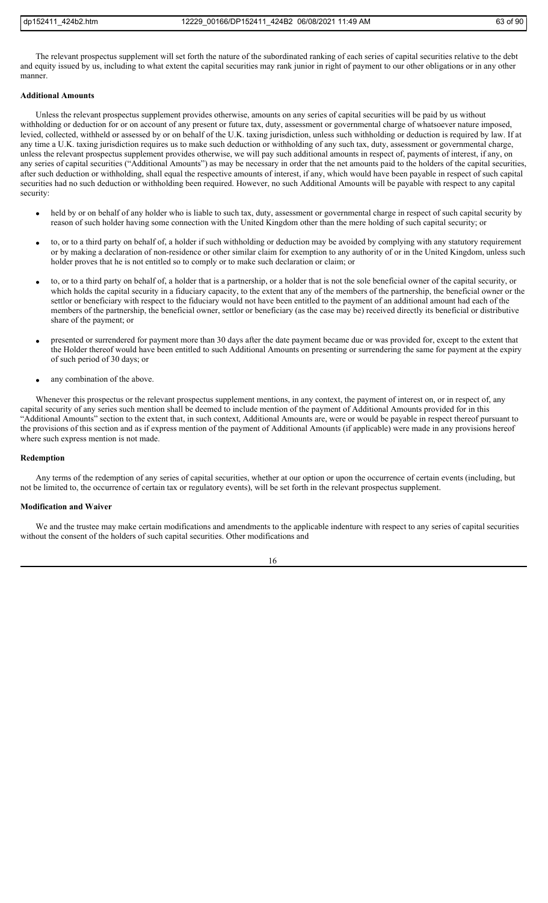The relevant prospectus supplement will set forth the nature of the subordinated ranking of each series of capital securities relative to the debt and equity issued by us, including to what extent the capital securities may rank junior in right of payment to our other obligations or in any other manner.

# **Additional Amounts**

Unless the relevant prospectus supplement provides otherwise, amounts on any series of capital securities will be paid by us without withholding or deduction for or on account of any present or future tax, duty, assessment or governmental charge of whatsoever nature imposed, levied, collected, withheld or assessed by or on behalf of the U.K. taxing jurisdiction, unless such withholding or deduction is required by law. If at any time a U.K. taxing jurisdiction requires us to make such deduction or withholding of any such tax, duty, assessment or governmental charge, unless the relevant prospectus supplement provides otherwise, we will pay such additional amounts in respect of, payments of interest, if any, on any series of capital securities ("Additional Amounts") as may be necessary in order that the net amounts paid to the holders of the capital securities, after such deduction or withholding, shall equal the respective amounts of interest, if any, which would have been payable in respect of such capital securities had no such deduction or withholding been required. However, no such Additional Amounts will be payable with respect to any capital security:

- held by or on behalf of any holder who is liable to such tax, duty, assessment or governmental charge in respect of such capital security by reason of such holder having some connection with the United Kingdom other than the mere holding of such capital security; or
- to, or to a third party on behalf of, a holder if such withholding or deduction may be avoided by complying with any statutory requirement or by making a declaration of non-residence or other similar claim for exemption to any authority of or in the United Kingdom, unless such holder proves that he is not entitled so to comply or to make such declaration or claim; or
- to, or to a third party on behalf of, a holder that is a partnership, or a holder that is not the sole beneficial owner of the capital security, or which holds the capital security in a fiduciary capacity, to the extent that any of the members of the partnership, the beneficial owner or the settlor or beneficiary with respect to the fiduciary would not have been entitled to the payment of an additional amount had each of the members of the partnership, the beneficial owner, settlor or beneficiary (as the case may be) received directly its beneficial or distributive share of the payment; or
- presented or surrendered for payment more than 30 days after the date payment became due or was provided for, except to the extent that the Holder thereof would have been entitled to such Additional Amounts on presenting or surrendering the same for payment at the expiry of such period of 30 days; or
- any combination of the above.

Whenever this prospectus or the relevant prospectus supplement mentions, in any context, the payment of interest on, or in respect of, any capital security of any series such mention shall be deemed to include mention of the payment of Additional Amounts provided for in this "Additional Amounts" section to the extent that, in such context, Additional Amounts are, were or would be payable in respect thereof pursuant to the provisions of this section and as if express mention of the payment of Additional Amounts (if applicable) were made in any provisions hereof where such express mention is not made.

#### **Redemption**

Any terms of the redemption of any series of capital securities, whether at our option or upon the occurrence of certain events (including, but not be limited to, the occurrence of certain tax or regulatory events), will be set forth in the relevant prospectus supplement.

#### **Modification and Waiver**

We and the trustee may make certain modifications and amendments to the applicable indenture with respect to any series of capital securities without the consent of the holders of such capital securities. Other modifications and

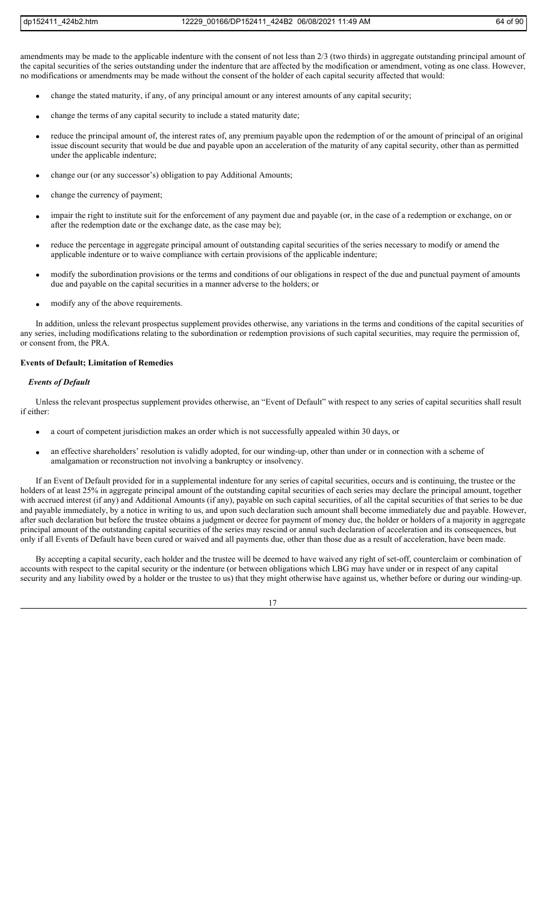amendments may be made to the applicable indenture with the consent of not less than 2/3 (two thirds) in aggregate outstanding principal amount of the capital securities of the series outstanding under the indenture that are affected by the modification or amendment, voting as one class. However, no modifications or amendments may be made without the consent of the holder of each capital security affected that would:

- change the stated maturity, if any, of any principal amount or any interest amounts of any capital security;
- change the terms of any capital security to include a stated maturity date;
- reduce the principal amount of, the interest rates of, any premium payable upon the redemption of or the amount of principal of an original issue discount security that would be due and payable upon an acceleration of the maturity of any capital security, other than as permitted under the applicable indenture;
- change our (or any successor's) obligation to pay Additional Amounts;
- change the currency of payment;
- impair the right to institute suit for the enforcement of any payment due and payable (or, in the case of a redemption or exchange, on or after the redemption date or the exchange date, as the case may be);
- reduce the percentage in aggregate principal amount of outstanding capital securities of the series necessary to modify or amend the applicable indenture or to waive compliance with certain provisions of the applicable indenture;
- modify the subordination provisions or the terms and conditions of our obligations in respect of the due and punctual payment of amounts due and payable on the capital securities in a manner adverse to the holders; or
- modify any of the above requirements.

In addition, unless the relevant prospectus supplement provides otherwise, any variations in the terms and conditions of the capital securities of any series, including modifications relating to the subordination or redemption provisions of such capital securities, may require the permission of, or consent from, the PRA.

# **Events of Default; Limitation of Remedies**

# *Events of Default*

Unless the relevant prospectus supplement provides otherwise, an "Event of Default" with respect to any series of capital securities shall result if either:

- a court of competent jurisdiction makes an order which is not successfully appealed within 30 days, or
- an effective shareholders' resolution is validly adopted, for our winding-up, other than under or in connection with a scheme of amalgamation or reconstruction not involving a bankruptcy or insolvency.

If an Event of Default provided for in a supplemental indenture for any series of capital securities, occurs and is continuing, the trustee or the holders of at least 25% in aggregate principal amount of the outstanding capital securities of each series may declare the principal amount, together with accrued interest (if any) and Additional Amounts (if any), payable on such capital securities, of all the capital securities of that series to be due and payable immediately, by a notice in writing to us, and upon such declaration such amount shall become immediately due and payable. However, after such declaration but before the trustee obtains a judgment or decree for payment of money due, the holder or holders of a majority in aggregate principal amount of the outstanding capital securities of the series may rescind or annul such declaration of acceleration and its consequences, but only if all Events of Default have been cured or waived and all payments due, other than those due as a result of acceleration, have been made.

By accepting a capital security, each holder and the trustee will be deemed to have waived any right of set-off, counterclaim or combination of accounts with respect to the capital security or the indenture (or between obligations which LBG may have under or in respect of any capital security and any liability owed by a holder or the trustee to us) that they might otherwise have against us, whether before or during our winding-up.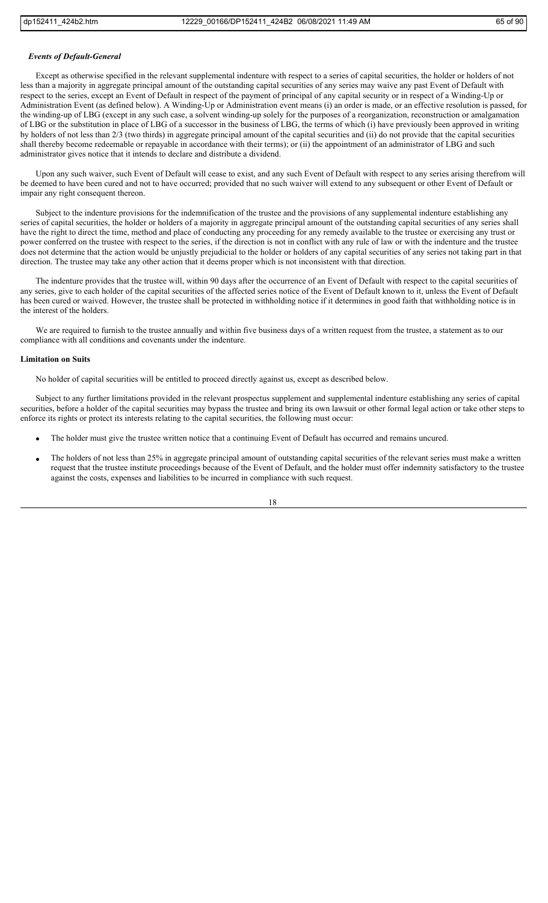# *Events of Default-General*

Except as otherwise specified in the relevant supplemental indenture with respect to a series of capital securities, the holder or holders of not less than a majority in aggregate principal amount of the outstanding capital securities of any series may waive any past Event of Default with respect to the series, except an Event of Default in respect of the payment of principal of any capital security or in respect of a Winding-Up or Administration Event (as defined below). A Winding-Up or Administration event means (i) an order is made, or an effective resolution is passed, for the winding-up of LBG (except in any such case, a solvent winding-up solely for the purposes of a reorganization, reconstruction or amalgamation of LBG or the substitution in place of LBG of a successor in the business of LBG, the terms of which (i) have previously been approved in writing by holders of not less than 2/3 (two thirds) in aggregate principal amount of the capital securities and (ii) do not provide that the capital securities shall thereby become redeemable or repayable in accordance with their terms); or (ii) the appointment of an administrator of LBG and such administrator gives notice that it intends to declare and distribute a dividend.

Upon any such waiver, such Event of Default will cease to exist, and any such Event of Default with respect to any series arising therefrom will be deemed to have been cured and not to have occurred; provided that no such waiver will extend to any subsequent or other Event of Default or impair any right consequent thereon.

Subject to the indenture provisions for the indemnification of the trustee and the provisions of any supplemental indenture establishing any series of capital securities, the holder or holders of a majority in aggregate principal amount of the outstanding capital securities of any series shall have the right to direct the time, method and place of conducting any proceeding for any remedy available to the trustee or exercising any trust or power conferred on the trustee with respect to the series, if the direction is not in conflict with any rule of law or with the indenture and the trustee does not determine that the action would be unjustly prejudicial to the holder or holders of any capital securities of any series not taking part in that direction. The trustee may take any other action that it deems proper which is not inconsistent with that direction.

The indenture provides that the trustee will, within 90 days after the occurrence of an Event of Default with respect to the capital securities of any series, give to each holder of the capital securities of the affected series notice of the Event of Default known to it, unless the Event of Default has been cured or waived. However, the trustee shall be protected in withholding notice if it determines in good faith that withholding notice is in the interest of the holders.

We are required to furnish to the trustee annually and within five business days of a written request from the trustee, a statement as to our compliance with all conditions and covenants under the indenture.

#### **Limitation on Suits**

No holder of capital securities will be entitled to proceed directly against us, except as described below.

Subject to any further limitations provided in the relevant prospectus supplement and supplemental indenture establishing any series of capital securities, before a holder of the capital securities may bypass the trustee and bring its own lawsuit or other formal legal action or take other steps to enforce its rights or protect its interests relating to the capital securities, the following must occur:

- The holder must give the trustee written notice that a continuing Event of Default has occurred and remains uncured.
- The holders of not less than 25% in aggregate principal amount of outstanding capital securities of the relevant series must make a written request that the trustee institute proceedings because of the Event of Default, and the holder must offer indemnity satisfactory to the trustee against the costs, expenses and liabilities to be incurred in compliance with such request.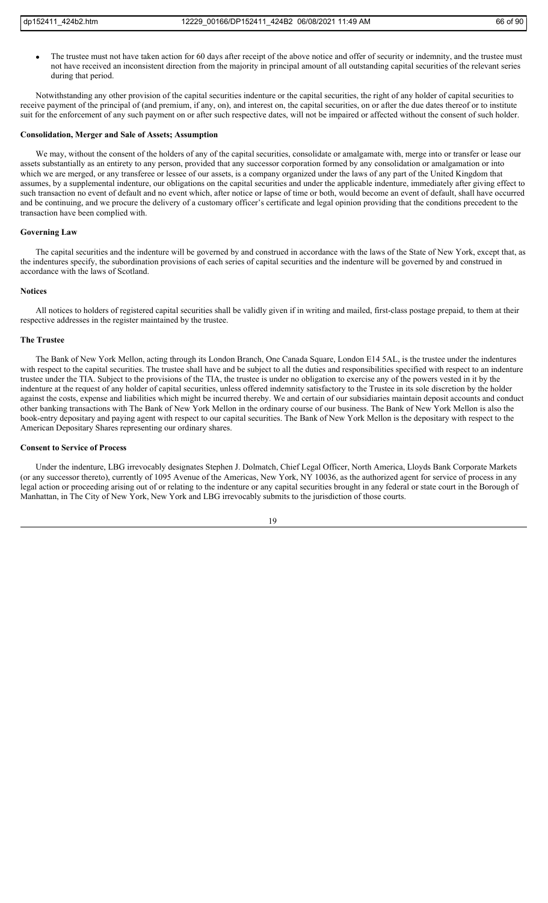The trustee must not have taken action for 60 days after receipt of the above notice and offer of security or indemnity, and the trustee must not have received an inconsistent direction from the majority in principal amount of all outstanding capital securities of the relevant series during that period.

Notwithstanding any other provision of the capital securities indenture or the capital securities, the right of any holder of capital securities to receive payment of the principal of (and premium, if any, on), and interest on, the capital securities, on or after the due dates thereof or to institute suit for the enforcement of any such payment on or after such respective dates, will not be impaired or affected without the consent of such holder.

# **Consolidation, Merger and Sale of Assets; Assumption**

We may, without the consent of the holders of any of the capital securities, consolidate or amalgamate with, merge into or transfer or lease our assets substantially as an entirety to any person, provided that any successor corporation formed by any consolidation or amalgamation or into which we are merged, or any transferee or lessee of our assets, is a company organized under the laws of any part of the United Kingdom that assumes, by a supplemental indenture, our obligations on the capital securities and under the applicable indenture, immediately after giving effect to such transaction no event of default and no event which, after notice or lapse of time or both, would become an event of default, shall have occurred and be continuing, and we procure the delivery of a customary officer's certificate and legal opinion providing that the conditions precedent to the transaction have been complied with.

# **Governing Law**

The capital securities and the indenture will be governed by and construed in accordance with the laws of the State of New York, except that, as the indentures specify, the subordination provisions of each series of capital securities and the indenture will be governed by and construed in accordance with the laws of Scotland.

# **Notices**

All notices to holders of registered capital securities shall be validly given if in writing and mailed, first-class postage prepaid, to them at their respective addresses in the register maintained by the trustee.

#### **The Trustee**

The Bank of New York Mellon, acting through its London Branch, One Canada Square, London E14 5AL, is the trustee under the indentures with respect to the capital securities. The trustee shall have and be subject to all the duties and responsibilities specified with respect to an indenture trustee under the TIA. Subject to the provisions of the TIA, the trustee is under no obligation to exercise any of the powers vested in it by the indenture at the request of any holder of capital securities, unless offered indemnity satisfactory to the Trustee in its sole discretion by the holder against the costs, expense and liabilities which might be incurred thereby. We and certain of our subsidiaries maintain deposit accounts and conduct other banking transactions with The Bank of New York Mellon in the ordinary course of our business. The Bank of New York Mellon is also the book-entry depositary and paying agent with respect to our capital securities. The Bank of New York Mellon is the depositary with respect to the American Depositary Shares representing our ordinary shares.

#### **Consent to Service of Process**

Under the indenture, LBG irrevocably designates Stephen J. Dolmatch, Chief Legal Officer, North America, Lloyds Bank Corporate Markets (or any successor thereto), currently of 1095 Avenue of the Americas, New York, NY 10036, as the authorized agent for service of process in any legal action or proceeding arising out of or relating to the indenture or any capital securities brought in any federal or state court in the Borough of Manhattan, in The City of New York, New York and LBG irrevocably submits to the jurisdiction of those courts.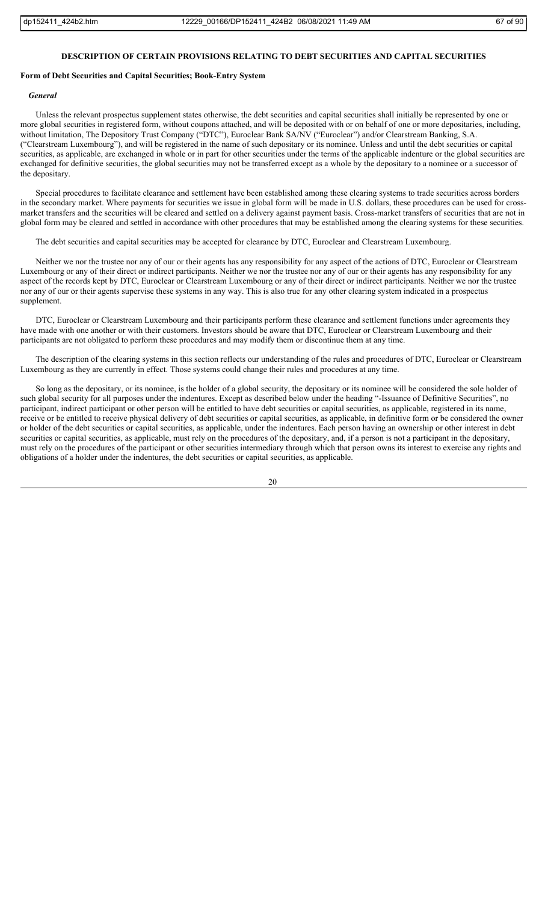# **DESCRIPTION OF CERTAIN PROVISIONS RELATING TO DEBT SECURITIES AND CAPITAL SECURITIES**

# **Form of Debt Securities and Capital Securities; Book-Entry System**

# *General*

Unless the relevant prospectus supplement states otherwise, the debt securities and capital securities shall initially be represented by one or more global securities in registered form, without coupons attached, and will be deposited with or on behalf of one or more depositaries, including, without limitation, The Depository Trust Company ("DTC"), Euroclear Bank SA/NV ("Euroclear") and/or Clearstream Banking, S.A. ("Clearstream Luxembourg"), and will be registered in the name of such depositary or its nominee. Unless and until the debt securities or capital securities, as applicable, are exchanged in whole or in part for other securities under the terms of the applicable indenture or the global securities are exchanged for definitive securities, the global securities may not be transferred except as a whole by the depositary to a nominee or a successor of the depositary.

Special procedures to facilitate clearance and settlement have been established among these clearing systems to trade securities across borders in the secondary market. Where payments for securities we issue in global form will be made in U.S. dollars, these procedures can be used for crossmarket transfers and the securities will be cleared and settled on a delivery against payment basis. Cross-market transfers of securities that are not in global form may be cleared and settled in accordance with other procedures that may be established among the clearing systems for these securities.

The debt securities and capital securities may be accepted for clearance by DTC, Euroclear and Clearstream Luxembourg.

Neither we nor the trustee nor any of our or their agents has any responsibility for any aspect of the actions of DTC, Euroclear or Clearstream Luxembourg or any of their direct or indirect participants. Neither we nor the trustee nor any of our or their agents has any responsibility for any aspect of the records kept by DTC, Euroclear or Clearstream Luxembourg or any of their direct or indirect participants. Neither we nor the trustee nor any of our or their agents supervise these systems in any way. This is also true for any other clearing system indicated in a prospectus supplement.

DTC, Euroclear or Clearstream Luxembourg and their participants perform these clearance and settlement functions under agreements they have made with one another or with their customers. Investors should be aware that DTC, Euroclear or Clearstream Luxembourg and their participants are not obligated to perform these procedures and may modify them or discontinue them at any time.

The description of the clearing systems in this section reflects our understanding of the rules and procedures of DTC, Euroclear or Clearstream Luxembourg as they are currently in effect. Those systems could change their rules and procedures at any time.

So long as the depositary, or its nominee, is the holder of a global security, the depositary or its nominee will be considered the sole holder of such global security for all purposes under the indentures. Except as described below under the heading "-Issuance of Definitive Securities", no participant, indirect participant or other person will be entitled to have debt securities or capital securities, as applicable, registered in its name, receive or be entitled to receive physical delivery of debt securities or capital securities, as applicable, in definitive form or be considered the owner or holder of the debt securities or capital securities, as applicable, under the indentures. Each person having an ownership or other interest in debt securities or capital securities, as applicable, must rely on the procedures of the depositary, and, if a person is not a participant in the depositary, must rely on the procedures of the participant or other securities intermediary through which that person owns its interest to exercise any rights and obligations of a holder under the indentures, the debt securities or capital securities, as applicable.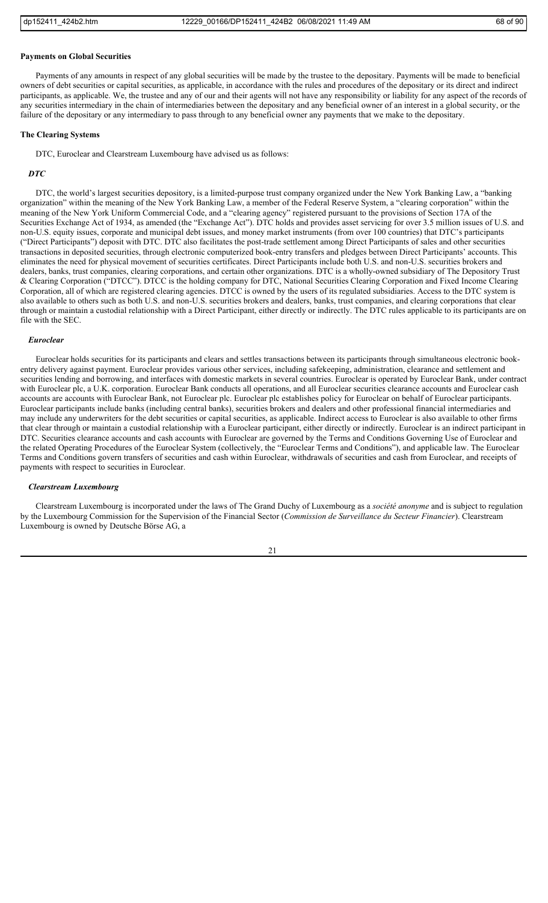#### **Payments on Global Securities**

Payments of any amounts in respect of any global securities will be made by the trustee to the depositary. Payments will be made to beneficial owners of debt securities or capital securities, as applicable, in accordance with the rules and procedures of the depositary or its direct and indirect participants, as applicable. We, the trustee and any of our and their agents will not have any responsibility or liability for any aspect of the records of any securities intermediary in the chain of intermediaries between the depositary and any beneficial owner of an interest in a global security, or the failure of the depositary or any intermediary to pass through to any beneficial owner any payments that we make to the depositary.

# **The Clearing Systems**

DTC, Euroclear and Clearstream Luxembourg have advised us as follows:

#### *DTC*

DTC, the world's largest securities depository, is a limited-purpose trust company organized under the New York Banking Law, a "banking organization" within the meaning of the New York Banking Law, a member of the Federal Reserve System, a "clearing corporation" within the meaning of the New York Uniform Commercial Code, and a "clearing agency" registered pursuant to the provisions of Section 17A of the Securities Exchange Act of 1934, as amended (the "Exchange Act"). DTC holds and provides asset servicing for over 3.5 million issues of U.S. and non-U.S. equity issues, corporate and municipal debt issues, and money market instruments (from over 100 countries) that DTC's participants ("Direct Participants") deposit with DTC. DTC also facilitates the post-trade settlement among Direct Participants of sales and other securities transactions in deposited securities, through electronic computerized book-entry transfers and pledges between Direct Participants' accounts. This eliminates the need for physical movement of securities certificates. Direct Participants include both U.S. and non-U.S. securities brokers and dealers, banks, trust companies, clearing corporations, and certain other organizations. DTC is a wholly-owned subsidiary of The Depository Trust & Clearing Corporation ("DTCC"). DTCC is the holding company for DTC, National Securities Clearing Corporation and Fixed Income Clearing Corporation, all of which are registered clearing agencies. DTCC is owned by the users of its regulated subsidiaries. Access to the DTC system is also available to others such as both U.S. and non-U.S. securities brokers and dealers, banks, trust companies, and clearing corporations that clear through or maintain a custodial relationship with a Direct Participant, either directly or indirectly. The DTC rules applicable to its participants are on file with the SEC.

#### *Euroclear*

Euroclear holds securities for its participants and clears and settles transactions between its participants through simultaneous electronic bookentry delivery against payment. Euroclear provides various other services, including safekeeping, administration, clearance and settlement and securities lending and borrowing, and interfaces with domestic markets in several countries. Euroclear is operated by Euroclear Bank, under contract with Euroclear plc, a U.K. corporation. Euroclear Bank conducts all operations, and all Euroclear securities clearance accounts and Euroclear cash accounts are accounts with Euroclear Bank, not Euroclear plc. Euroclear plc establishes policy for Euroclear on behalf of Euroclear participants. Euroclear participants include banks (including central banks), securities brokers and dealers and other professional financial intermediaries and may include any underwriters for the debt securities or capital securities, as applicable. Indirect access to Euroclear is also available to other firms that clear through or maintain a custodial relationship with a Euroclear participant, either directly or indirectly. Euroclear is an indirect participant in DTC. Securities clearance accounts and cash accounts with Euroclear are governed by the Terms and Conditions Governing Use of Euroclear and the related Operating Procedures of the Euroclear System (collectively, the "Euroclear Terms and Conditions"), and applicable law. The Euroclear Terms and Conditions govern transfers of securities and cash within Euroclear, withdrawals of securities and cash from Euroclear, and receipts of payments with respect to securities in Euroclear.

# *Clearstream Luxembourg*

Clearstream Luxembourg is incorporated under the laws of The Grand Duchy of Luxembourg as a *société anonyme* and is subject to regulation by the Luxembourg Commission for the Supervision of the Financial Sector (*Commission de Surveillance du Secteur Financier*). Clearstream Luxembourg is owned by Deutsche Börse AG, a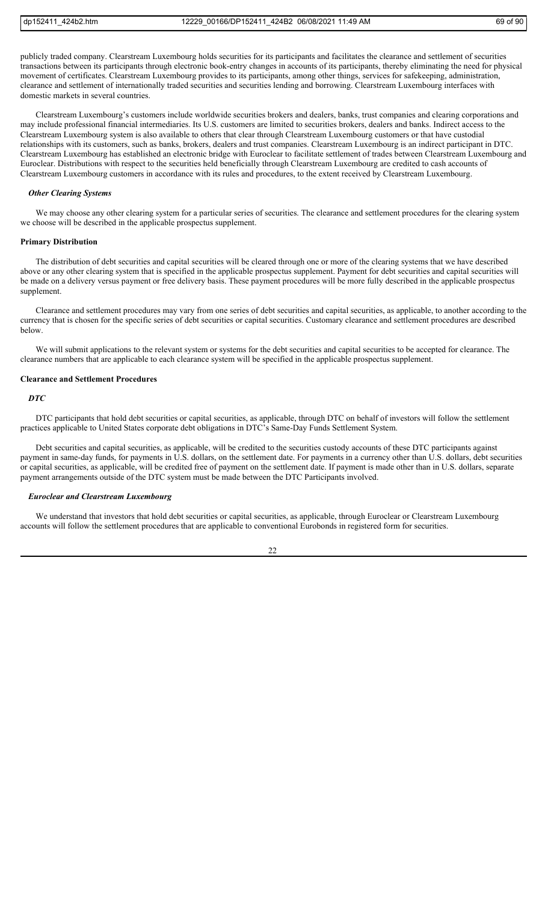publicly traded company. Clearstream Luxembourg holds securities for its participants and facilitates the clearance and settlement of securities transactions between its participants through electronic book-entry changes in accounts of its participants, thereby eliminating the need for physical movement of certificates. Clearstream Luxembourg provides to its participants, among other things, services for safekeeping, administration, clearance and settlement of internationally traded securities and securities lending and borrowing. Clearstream Luxembourg interfaces with domestic markets in several countries.

Clearstream Luxembourg's customers include worldwide securities brokers and dealers, banks, trust companies and clearing corporations and may include professional financial intermediaries. Its U.S. customers are limited to securities brokers, dealers and banks. Indirect access to the Clearstream Luxembourg system is also available to others that clear through Clearstream Luxembourg customers or that have custodial relationships with its customers, such as banks, brokers, dealers and trust companies. Clearstream Luxembourg is an indirect participant in DTC. Clearstream Luxembourg has established an electronic bridge with Euroclear to facilitate settlement of trades between Clearstream Luxembourg and Euroclear. Distributions with respect to the securities held beneficially through Clearstream Luxembourg are credited to cash accounts of Clearstream Luxembourg customers in accordance with its rules and procedures, to the extent received by Clearstream Luxembourg.

#### *Other Clearing Systems*

We may choose any other clearing system for a particular series of securities. The clearance and settlement procedures for the clearing system we choose will be described in the applicable prospectus supplement.

#### **Primary Distribution**

The distribution of debt securities and capital securities will be cleared through one or more of the clearing systems that we have described above or any other clearing system that is specified in the applicable prospectus supplement. Payment for debt securities and capital securities will be made on a delivery versus payment or free delivery basis. These payment procedures will be more fully described in the applicable prospectus supplement.

Clearance and settlement procedures may vary from one series of debt securities and capital securities, as applicable, to another according to the currency that is chosen for the specific series of debt securities or capital securities. Customary clearance and settlement procedures are described below.

We will submit applications to the relevant system or systems for the debt securities and capital securities to be accepted for clearance. The clearance numbers that are applicable to each clearance system will be specified in the applicable prospectus supplement.

#### **Clearance and Settlement Procedures**

## *DTC*

DTC participants that hold debt securities or capital securities, as applicable, through DTC on behalf of investors will follow the settlement practices applicable to United States corporate debt obligations in DTC's Same-Day Funds Settlement System.

Debt securities and capital securities, as applicable, will be credited to the securities custody accounts of these DTC participants against payment in same-day funds, for payments in U.S. dollars, on the settlement date. For payments in a currency other than U.S. dollars, debt securities or capital securities, as applicable, will be credited free of payment on the settlement date. If payment is made other than in U.S. dollars, separate payment arrangements outside of the DTC system must be made between the DTC Participants involved.

# *Euroclear and Clearstream Luxembourg*

We understand that investors that hold debt securities or capital securities, as applicable, through Euroclear or Clearstream Luxembourg accounts will follow the settlement procedures that are applicable to conventional Eurobonds in registered form for securities.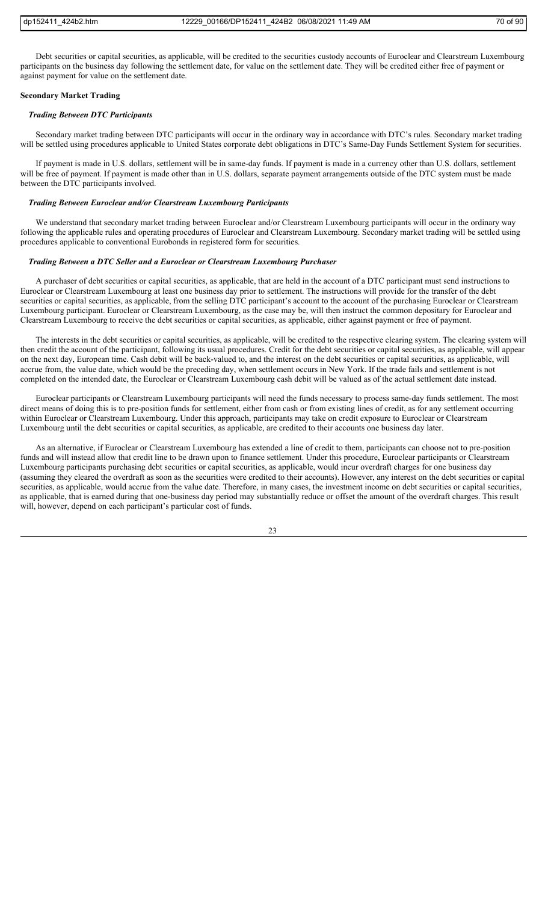Debt securities or capital securities, as applicable, will be credited to the securities custody accounts of Euroclear and Clearstream Luxembourg participants on the business day following the settlement date, for value on the settlement date. They will be credited either free of payment or against payment for value on the settlement date.

## **Secondary Market Trading**

# *Trading Between DTC Participants*

Secondary market trading between DTC participants will occur in the ordinary way in accordance with DTC's rules. Secondary market trading will be settled using procedures applicable to United States corporate debt obligations in DTC's Same-Day Funds Settlement System for securities.

If payment is made in U.S. dollars, settlement will be in same-day funds. If payment is made in a currency other than U.S. dollars, settlement will be free of payment. If payment is made other than in U.S. dollars, separate payment arrangements outside of the DTC system must be made between the DTC participants involved.

#### *Trading Between Euroclear and/or Clearstream Luxembourg Participants*

We understand that secondary market trading between Euroclear and/or Clearstream Luxembourg participants will occur in the ordinary way following the applicable rules and operating procedures of Euroclear and Clearstream Luxembourg. Secondary market trading will be settled using procedures applicable to conventional Eurobonds in registered form for securities.

#### *Trading Between a DTC Seller and a Euroclear or Clearstream Luxembourg Purchaser*

A purchaser of debt securities or capital securities, as applicable, that are held in the account of a DTC participant must send instructions to Euroclear or Clearstream Luxembourg at least one business day prior to settlement. The instructions will provide for the transfer of the debt securities or capital securities, as applicable, from the selling DTC participant's account to the account of the purchasing Euroclear or Clearstream Luxembourg participant. Euroclear or Clearstream Luxembourg, as the case may be, will then instruct the common depositary for Euroclear and Clearstream Luxembourg to receive the debt securities or capital securities, as applicable, either against payment or free of payment.

The interests in the debt securities or capital securities, as applicable, will be credited to the respective clearing system. The clearing system will then credit the account of the participant, following its usual procedures. Credit for the debt securities or capital securities, as applicable, will appear on the next day, European time. Cash debit will be back-valued to, and the interest on the debt securities or capital securities, as applicable, will accrue from, the value date, which would be the preceding day, when settlement occurs in New York. If the trade fails and settlement is not completed on the intended date, the Euroclear or Clearstream Luxembourg cash debit will be valued as of the actual settlement date instead.

Euroclear participants or Clearstream Luxembourg participants will need the funds necessary to process same-day funds settlement. The most direct means of doing this is to pre-position funds for settlement, either from cash or from existing lines of credit, as for any settlement occurring within Euroclear or Clearstream Luxembourg. Under this approach, participants may take on credit exposure to Euroclear or Clearstream Luxembourg until the debt securities or capital securities, as applicable, are credited to their accounts one business day later.

As an alternative, if Euroclear or Clearstream Luxembourg has extended a line of credit to them, participants can choose not to pre-position funds and will instead allow that credit line to be drawn upon to finance settlement. Under this procedure, Euroclear participants or Clearstream Luxembourg participants purchasing debt securities or capital securities, as applicable, would incur overdraft charges for one business day (assuming they cleared the overdraft as soon as the securities were credited to their accounts). However, any interest on the debt securities or capital securities, as applicable, would accrue from the value date. Therefore, in many cases, the investment income on debt securities or capital securities, as applicable, that is earned during that one-business day period may substantially reduce or offset the amount of the overdraft charges. This result will, however, depend on each participant's particular cost of funds.

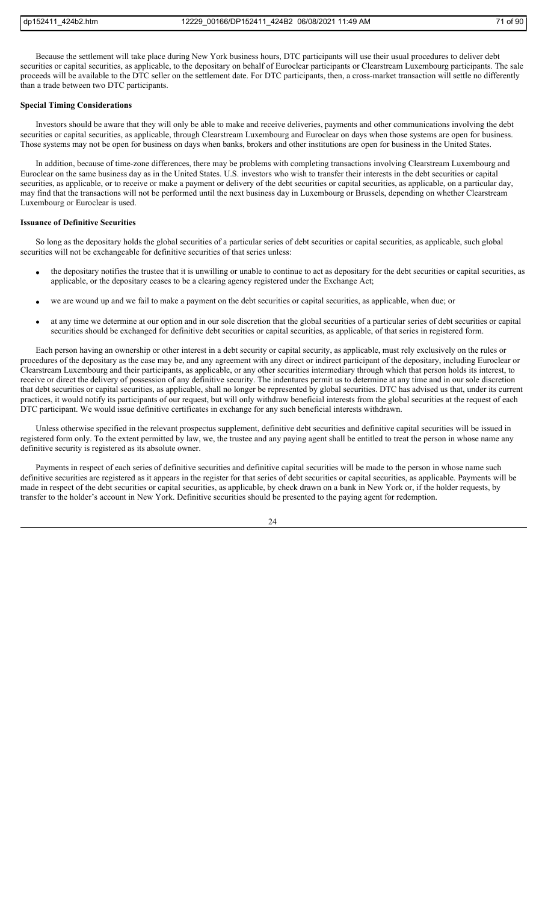Because the settlement will take place during New York business hours, DTC participants will use their usual procedures to deliver debt securities or capital securities, as applicable, to the depositary on behalf of Euroclear participants or Clearstream Luxembourg participants. The sale proceeds will be available to the DTC seller on the settlement date. For DTC participants, then, a cross-market transaction will settle no differently than a trade between two DTC participants.

#### **Special Timing Considerations**

Investors should be aware that they will only be able to make and receive deliveries, payments and other communications involving the debt securities or capital securities, as applicable, through Clearstream Luxembourg and Euroclear on days when those systems are open for business. Those systems may not be open for business on days when banks, brokers and other institutions are open for business in the United States.

In addition, because of time-zone differences, there may be problems with completing transactions involving Clearstream Luxembourg and Euroclear on the same business day as in the United States. U.S. investors who wish to transfer their interests in the debt securities or capital securities, as applicable, or to receive or make a payment or delivery of the debt securities or capital securities, as applicable, on a particular day, may find that the transactions will not be performed until the next business day in Luxembourg or Brussels, depending on whether Clearstream Luxembourg or Euroclear is used.

## **Issuance of Definitive Securities**

So long as the depositary holds the global securities of a particular series of debt securities or capital securities, as applicable, such global securities will not be exchangeable for definitive securities of that series unless:

- the depositary notifies the trustee that it is unwilling or unable to continue to act as depositary for the debt securities or capital securities, as applicable, or the depositary ceases to be a clearing agency registered under the Exchange Act;
- we are wound up and we fail to make a payment on the debt securities or capital securities, as applicable, when due; or
- at any time we determine at our option and in our sole discretion that the global securities of a particular series of debt securities or capital securities should be exchanged for definitive debt securities or capital securities, as applicable, of that series in registered form.

Each person having an ownership or other interest in a debt security or capital security, as applicable, must rely exclusively on the rules or procedures of the depositary as the case may be, and any agreement with any direct or indirect participant of the depositary, including Euroclear or Clearstream Luxembourg and their participants, as applicable, or any other securities intermediary through which that person holds its interest, to receive or direct the delivery of possession of any definitive security. The indentures permit us to determine at any time and in our sole discretion that debt securities or capital securities, as applicable, shall no longer be represented by global securities. DTC has advised us that, under its current practices, it would notify its participants of our request, but will only withdraw beneficial interests from the global securities at the request of each DTC participant. We would issue definitive certificates in exchange for any such beneficial interests withdrawn.

Unless otherwise specified in the relevant prospectus supplement, definitive debt securities and definitive capital securities will be issued in registered form only. To the extent permitted by law, we, the trustee and any paying agent shall be entitled to treat the person in whose name any definitive security is registered as its absolute owner.

Payments in respect of each series of definitive securities and definitive capital securities will be made to the person in whose name such definitive securities are registered as it appears in the register for that series of debt securities or capital securities, as applicable. Payments will be made in respect of the debt securities or capital securities, as applicable, by check drawn on a bank in New York or, if the holder requests, by transfer to the holder's account in New York. Definitive securities should be presented to the paying agent for redemption.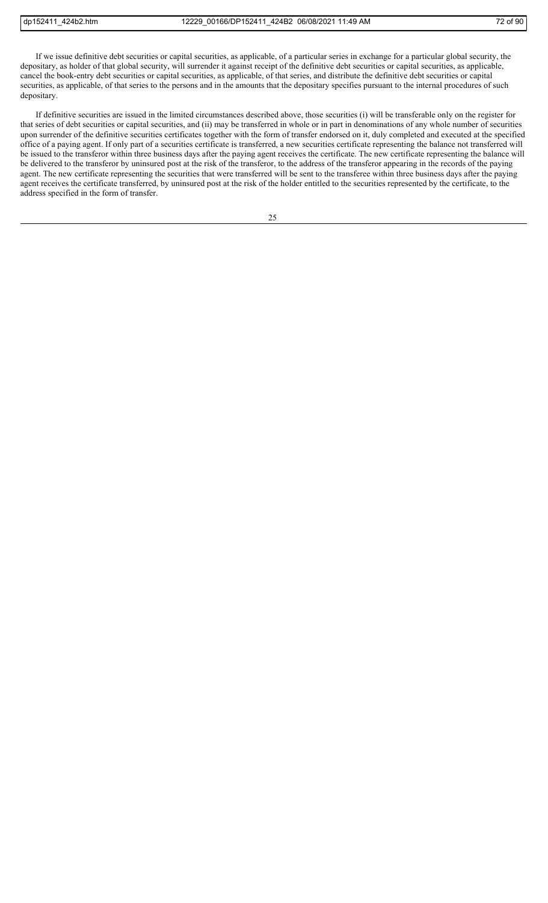If we issue definitive debt securities or capital securities, as applicable, of a particular series in exchange for a particular global security, the depositary, as holder of that global security, will surrender it against receipt of the definitive debt securities or capital securities, as applicable, cancel the book-entry debt securities or capital securities, as applicable, of that series, and distribute the definitive debt securities or capital securities, as applicable, of that series to the persons and in the amounts that the depositary specifies pursuant to the internal procedures of such depositary.

If definitive securities are issued in the limited circumstances described above, those securities (i) will be transferable only on the register for that series of debt securities or capital securities, and (ii) may be transferred in whole or in part in denominations of any whole number of securities upon surrender of the definitive securities certificates together with the form of transfer endorsed on it, duly completed and executed at the specified office of a paying agent. If only part of a securities certificate is transferred, a new securities certificate representing the balance not transferred will be issued to the transferor within three business days after the paying agent receives the certificate. The new certificate representing the balance will be delivered to the transferor by uninsured post at the risk of the transferor, to the address of the transferor appearing in the records of the paying agent. The new certificate representing the securities that were transferred will be sent to the transferee within three business days after the paying agent receives the certificate transferred, by uninsured post at the risk of the holder entitled to the securities represented by the certificate, to the address specified in the form of transfer.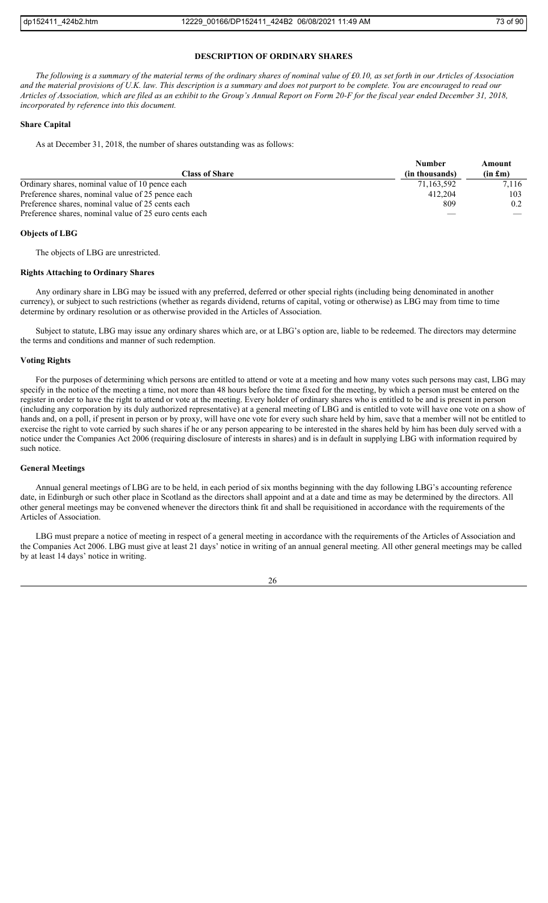### **DESCRIPTION OF ORDINARY SHARES**

*The following is a summary of the material terms of the ordinary shares of nominal value of £0.10, as set forth in our Articles of Association and the material provisions of U.K. law. This description is a summary and does not purport to be complete. You are encouraged to read our Articles of Association, which are filed as an exhibit to the Group's Annual Report on Form 20-F for the fiscal year ended December 31, 2018, incorporated by reference into this document.*

### **Share Capital**

As at December 31, 2018, the number of shares outstanding was as follows:

|                                                        | <b>Number</b>  | Amount  |
|--------------------------------------------------------|----------------|---------|
| <b>Class of Share</b>                                  | (in thousands) | (in fm) |
| Ordinary shares, nominal value of 10 pence each        | 71,163,592     | 7,116   |
| Preference shares, nominal value of 25 pence each      | 412,204        | 103     |
| Preference shares, nominal value of 25 cents each      | 809            | 0.2     |
| Preference shares, nominal value of 25 euro cents each |                |         |

## **Objects of LBG**

The objects of LBG are unrestricted.

### **Rights Attaching to Ordinary Shares**

Any ordinary share in LBG may be issued with any preferred, deferred or other special rights (including being denominated in another currency), or subject to such restrictions (whether as regards dividend, returns of capital, voting or otherwise) as LBG may from time to time determine by ordinary resolution or as otherwise provided in the Articles of Association.

Subject to statute, LBG may issue any ordinary shares which are, or at LBG's option are, liable to be redeemed. The directors may determine the terms and conditions and manner of such redemption.

# **Voting Rights**

For the purposes of determining which persons are entitled to attend or vote at a meeting and how many votes such persons may cast, LBG may specify in the notice of the meeting a time, not more than 48 hours before the time fixed for the meeting, by which a person must be entered on the register in order to have the right to attend or vote at the meeting. Every holder of ordinary shares who is entitled to be and is present in person (including any corporation by its duly authorized representative) at a general meeting of LBG and is entitled to vote will have one vote on a show of hands and, on a poll, if present in person or by proxy, will have one vote for every such share held by him, save that a member will not be entitled to exercise the right to vote carried by such shares if he or any person appearing to be interested in the shares held by him has been duly served with a notice under the Companies Act 2006 (requiring disclosure of interests in shares) and is in default in supplying LBG with information required by such notice.

#### **General Meetings**

Annual general meetings of LBG are to be held, in each period of six months beginning with the day following LBG's accounting reference date, in Edinburgh or such other place in Scotland as the directors shall appoint and at a date and time as may be determined by the directors. All other general meetings may be convened whenever the directors think fit and shall be requisitioned in accordance with the requirements of the Articles of Association.

LBG must prepare a notice of meeting in respect of a general meeting in accordance with the requirements of the Articles of Association and the Companies Act 2006. LBG must give at least 21 days' notice in writing of an annual general meeting. All other general meetings may be called by at least 14 days' notice in writing.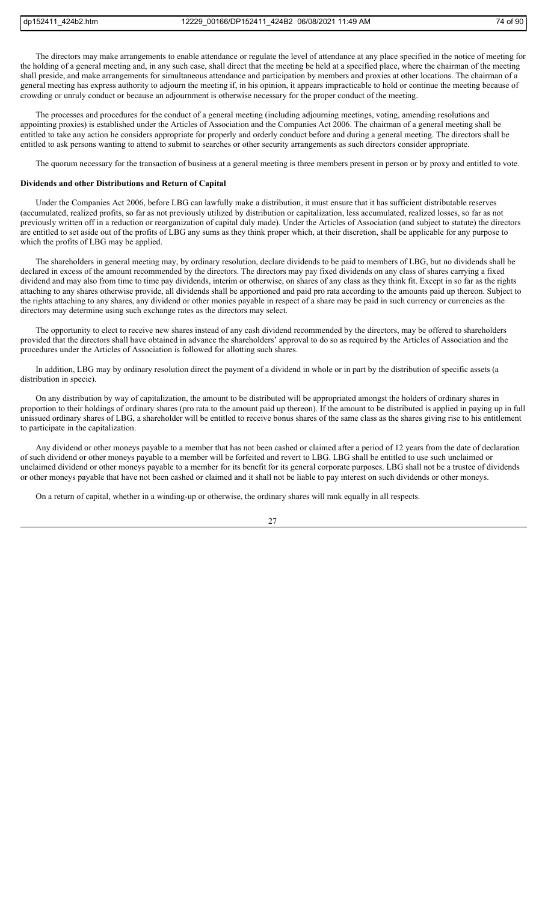The directors may make arrangements to enable attendance or regulate the level of attendance at any place specified in the notice of meeting for the holding of a general meeting and, in any such case, shall direct that the meeting be held at a specified place, where the chairman of the meeting shall preside, and make arrangements for simultaneous attendance and participation by members and proxies at other locations. The chairman of a general meeting has express authority to adjourn the meeting if, in his opinion, it appears impracticable to hold or continue the meeting because of crowding or unruly conduct or because an adjournment is otherwise necessary for the proper conduct of the meeting.

The processes and procedures for the conduct of a general meeting (including adjourning meetings, voting, amending resolutions and appointing proxies) is established under the Articles of Association and the Companies Act 2006. The chairman of a general meeting shall be entitled to take any action he considers appropriate for properly and orderly conduct before and during a general meeting. The directors shall be entitled to ask persons wanting to attend to submit to searches or other security arrangements as such directors consider appropriate.

The quorum necessary for the transaction of business at a general meeting is three members present in person or by proxy and entitled to vote.

### **Dividends and other Distributions and Return of Capital**

Under the Companies Act 2006, before LBG can lawfully make a distribution, it must ensure that it has sufficient distributable reserves (accumulated, realized profits, so far as not previously utilized by distribution or capitalization, less accumulated, realized losses, so far as not previously written off in a reduction or reorganization of capital duly made). Under the Articles of Association (and subject to statute) the directors are entitled to set aside out of the profits of LBG any sums as they think proper which, at their discretion, shall be applicable for any purpose to which the profits of LBG may be applied.

The shareholders in general meeting may, by ordinary resolution, declare dividends to be paid to members of LBG, but no dividends shall be declared in excess of the amount recommended by the directors. The directors may pay fixed dividends on any class of shares carrying a fixed dividend and may also from time to time pay dividends, interim or otherwise, on shares of any class as they think fit. Except in so far as the rights attaching to any shares otherwise provide, all dividends shall be apportioned and paid pro rata according to the amounts paid up thereon. Subject to the rights attaching to any shares, any dividend or other monies payable in respect of a share may be paid in such currency or currencies as the directors may determine using such exchange rates as the directors may select.

The opportunity to elect to receive new shares instead of any cash dividend recommended by the directors, may be offered to shareholders provided that the directors shall have obtained in advance the shareholders' approval to do so as required by the Articles of Association and the procedures under the Articles of Association is followed for allotting such shares.

In addition, LBG may by ordinary resolution direct the payment of a dividend in whole or in part by the distribution of specific assets (a distribution in specie).

On any distribution by way of capitalization, the amount to be distributed will be appropriated amongst the holders of ordinary shares in proportion to their holdings of ordinary shares (pro rata to the amount paid up thereon). If the amount to be distributed is applied in paying up in full unissued ordinary shares of LBG, a shareholder will be entitled to receive bonus shares of the same class as the shares giving rise to his entitlement to participate in the capitalization.

Any dividend or other moneys payable to a member that has not been cashed or claimed after a period of 12 years from the date of declaration of such dividend or other moneys payable to a member will be forfeited and revert to LBG. LBG shall be entitled to use such unclaimed or unclaimed dividend or other moneys payable to a member for its benefit for its general corporate purposes. LBG shall not be a trustee of dividends or other moneys payable that have not been cashed or claimed and it shall not be liable to pay interest on such dividends or other moneys.

On a return of capital, whether in a winding-up or otherwise, the ordinary shares will rank equally in all respects.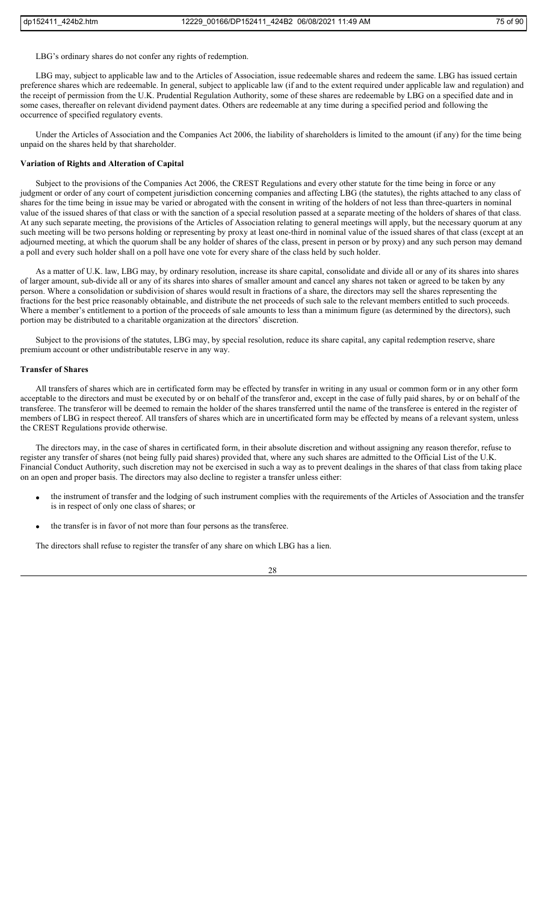LBG's ordinary shares do not confer any rights of redemption.

LBG may, subject to applicable law and to the Articles of Association, issue redeemable shares and redeem the same. LBG has issued certain preference shares which are redeemable. In general, subject to applicable law (if and to the extent required under applicable law and regulation) and the receipt of permission from the U.K. Prudential Regulation Authority, some of these shares are redeemable by LBG on a specified date and in some cases, thereafter on relevant dividend payment dates. Others are redeemable at any time during a specified period and following the occurrence of specified regulatory events.

Under the Articles of Association and the Companies Act 2006, the liability of shareholders is limited to the amount (if any) for the time being unpaid on the shares held by that shareholder.

### **Variation of Rights and Alteration of Capital**

Subject to the provisions of the Companies Act 2006, the CREST Regulations and every other statute for the time being in force or any judgment or order of any court of competent jurisdiction concerning companies and affecting LBG (the statutes), the rights attached to any class of shares for the time being in issue may be varied or abrogated with the consent in writing of the holders of not less than three-quarters in nominal value of the issued shares of that class or with the sanction of a special resolution passed at a separate meeting of the holders of shares of that class. At any such separate meeting, the provisions of the Articles of Association relating to general meetings will apply, but the necessary quorum at any such meeting will be two persons holding or representing by proxy at least one-third in nominal value of the issued shares of that class (except at an adjourned meeting, at which the quorum shall be any holder of shares of the class, present in person or by proxy) and any such person may demand a poll and every such holder shall on a poll have one vote for every share of the class held by such holder.

As a matter of U.K. law, LBG may, by ordinary resolution, increase its share capital, consolidate and divide all or any of its shares into shares of larger amount, sub-divide all or any of its shares into shares of smaller amount and cancel any shares not taken or agreed to be taken by any person. Where a consolidation or subdivision of shares would result in fractions of a share, the directors may sell the shares representing the fractions for the best price reasonably obtainable, and distribute the net proceeds of such sale to the relevant members entitled to such proceeds. Where a member's entitlement to a portion of the proceeds of sale amounts to less than a minimum figure (as determined by the directors), such portion may be distributed to a charitable organization at the directors' discretion.

Subject to the provisions of the statutes, LBG may, by special resolution, reduce its share capital, any capital redemption reserve, share premium account or other undistributable reserve in any way.

#### **Transfer of Shares**

All transfers of shares which are in certificated form may be effected by transfer in writing in any usual or common form or in any other form acceptable to the directors and must be executed by or on behalf of the transferor and, except in the case of fully paid shares, by or on behalf of the transferee. The transferor will be deemed to remain the holder of the shares transferred until the name of the transferee is entered in the register of members of LBG in respect thereof. All transfers of shares which are in uncertificated form may be effected by means of a relevant system, unless the CREST Regulations provide otherwise.

The directors may, in the case of shares in certificated form, in their absolute discretion and without assigning any reason therefor, refuse to register any transfer of shares (not being fully paid shares) provided that, where any such shares are admitted to the Official List of the U.K. Financial Conduct Authority, such discretion may not be exercised in such a way as to prevent dealings in the shares of that class from taking place on an open and proper basis. The directors may also decline to register a transfer unless either:

- the instrument of transfer and the lodging of such instrument complies with the requirements of the Articles of Association and the transfer is in respect of only one class of shares; or
- the transfer is in favor of not more than four persons as the transferee.

The directors shall refuse to register the transfer of any share on which LBG has a lien.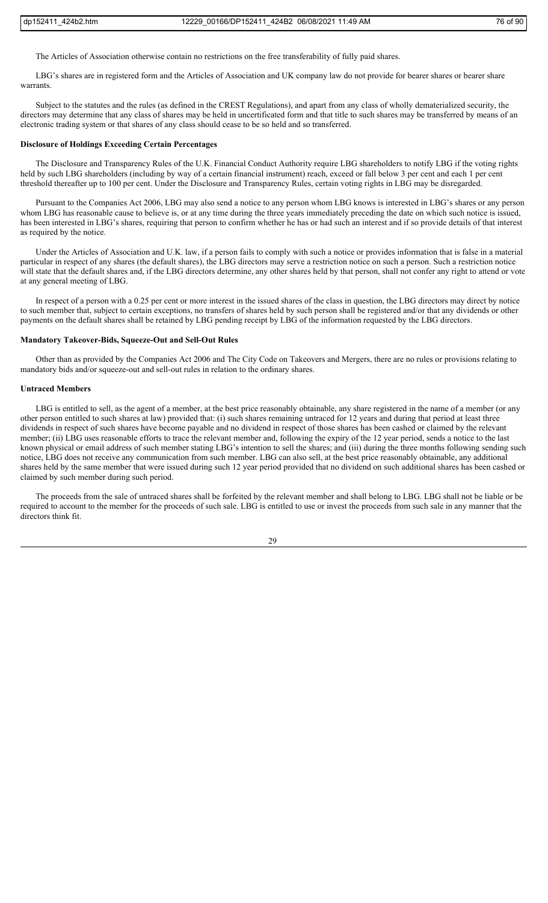The Articles of Association otherwise contain no restrictions on the free transferability of fully paid shares.

LBG's shares are in registered form and the Articles of Association and UK company law do not provide for bearer shares or bearer share warrants.

Subject to the statutes and the rules (as defined in the CREST Regulations), and apart from any class of wholly dematerialized security, the directors may determine that any class of shares may be held in uncertificated form and that title to such shares may be transferred by means of an electronic trading system or that shares of any class should cease to be so held and so transferred.

#### **Disclosure of Holdings Exceeding Certain Percentages**

The Disclosure and Transparency Rules of the U.K. Financial Conduct Authority require LBG shareholders to notify LBG if the voting rights held by such LBG shareholders (including by way of a certain financial instrument) reach, exceed or fall below 3 per cent and each 1 per cent threshold thereafter up to 100 per cent. Under the Disclosure and Transparency Rules, certain voting rights in LBG may be disregarded.

Pursuant to the Companies Act 2006, LBG may also send a notice to any person whom LBG knows is interested in LBG's shares or any person whom LBG has reasonable cause to believe is, or at any time during the three years immediately preceding the date on which such notice is issued, has been interested in LBG's shares, requiring that person to confirm whether he has or had such an interest and if so provide details of that interest as required by the notice.

Under the Articles of Association and U.K. law, if a person fails to comply with such a notice or provides information that is false in a material particular in respect of any shares (the default shares), the LBG directors may serve a restriction notice on such a person. Such a restriction notice will state that the default shares and, if the LBG directors determine, any other shares held by that person, shall not confer any right to attend or vote at any general meeting of LBG.

In respect of a person with a 0.25 per cent or more interest in the issued shares of the class in question, the LBG directors may direct by notice to such member that, subject to certain exceptions, no transfers of shares held by such person shall be registered and/or that any dividends or other payments on the default shares shall be retained by LBG pending receipt by LBG of the information requested by the LBG directors.

#### **Mandatory Takeover-Bids, Squeeze-Out and Sell-Out Rules**

Other than as provided by the Companies Act 2006 and The City Code on Takeovers and Mergers, there are no rules or provisions relating to mandatory bids and/or squeeze-out and sell-out rules in relation to the ordinary shares.

### **Untraced Members**

LBG is entitled to sell, as the agent of a member, at the best price reasonably obtainable, any share registered in the name of a member (or any other person entitled to such shares at law) provided that: (i) such shares remaining untraced for 12 years and during that period at least three dividends in respect of such shares have become payable and no dividend in respect of those shares has been cashed or claimed by the relevant member; (ii) LBG uses reasonable efforts to trace the relevant member and, following the expiry of the 12 year period, sends a notice to the last known physical or email address of such member stating LBG's intention to sell the shares; and (iii) during the three months following sending such notice, LBG does not receive any communication from such member. LBG can also sell, at the best price reasonably obtainable, any additional shares held by the same member that were issued during such 12 year period provided that no dividend on such additional shares has been cashed or claimed by such member during such period.

The proceeds from the sale of untraced shares shall be forfeited by the relevant member and shall belong to LBG. LBG shall not be liable or be required to account to the member for the proceeds of such sale. LBG is entitled to use or invest the proceeds from such sale in any manner that the directors think fit.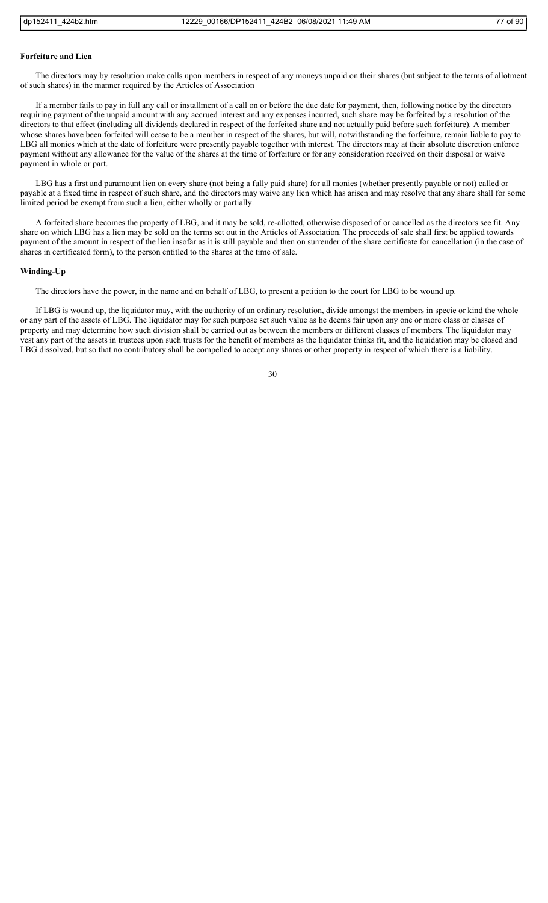#### **Forfeiture and Lien**

The directors may by resolution make calls upon members in respect of any moneys unpaid on their shares (but subject to the terms of allotment of such shares) in the manner required by the Articles of Association

If a member fails to pay in full any call or installment of a call on or before the due date for payment, then, following notice by the directors requiring payment of the unpaid amount with any accrued interest and any expenses incurred, such share may be forfeited by a resolution of the directors to that effect (including all dividends declared in respect of the forfeited share and not actually paid before such forfeiture). A member whose shares have been forfeited will cease to be a member in respect of the shares, but will, notwithstanding the forfeiture, remain liable to pay to LBG all monies which at the date of forfeiture were presently payable together with interest. The directors may at their absolute discretion enforce payment without any allowance for the value of the shares at the time of forfeiture or for any consideration received on their disposal or waive payment in whole or part.

LBG has a first and paramount lien on every share (not being a fully paid share) for all monies (whether presently payable or not) called or payable at a fixed time in respect of such share, and the directors may waive any lien which has arisen and may resolve that any share shall for some limited period be exempt from such a lien, either wholly or partially.

A forfeited share becomes the property of LBG, and it may be sold, re-allotted, otherwise disposed of or cancelled as the directors see fit. Any share on which LBG has a lien may be sold on the terms set out in the Articles of Association. The proceeds of sale shall first be applied towards payment of the amount in respect of the lien insofar as it is still payable and then on surrender of the share certificate for cancellation (in the case of shares in certificated form), to the person entitled to the shares at the time of sale.

### **Winding-Up**

The directors have the power, in the name and on behalf of LBG, to present a petition to the court for LBG to be wound up.

If LBG is wound up, the liquidator may, with the authority of an ordinary resolution, divide amongst the members in specie or kind the whole or any part of the assets of LBG. The liquidator may for such purpose set such value as he deems fair upon any one or more class or classes of property and may determine how such division shall be carried out as between the members or different classes of members. The liquidator may vest any part of the assets in trustees upon such trusts for the benefit of members as the liquidator thinks fit, and the liquidation may be closed and LBG dissolved, but so that no contributory shall be compelled to accept any shares or other property in respect of which there is a liability.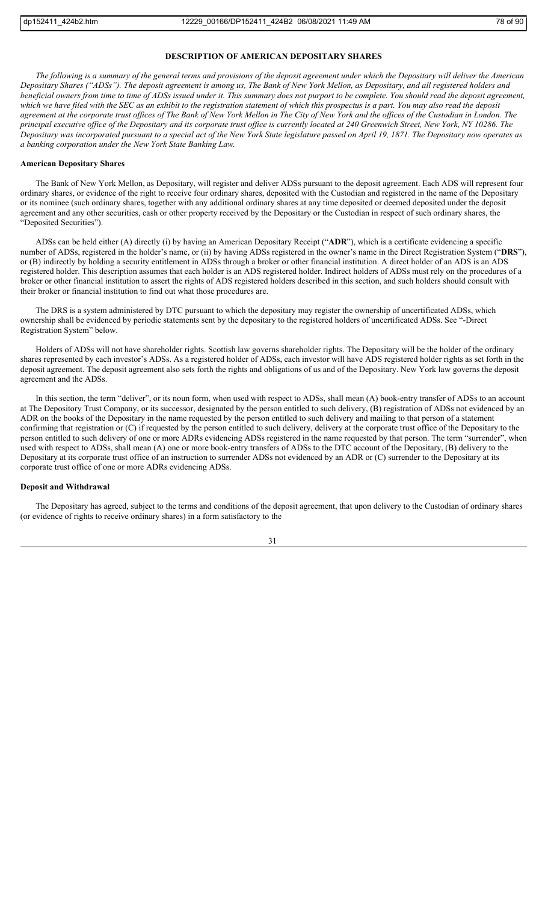### **DESCRIPTION OF AMERICAN DEPOSITARY SHARES**

*The following is a summary of the general terms and provisions of the deposit agreement under which the Depositary will deliver the American Depositary Shares ("ADSs"). The deposit agreement is among us, The Bank of New York Mellon, as Depositary, and all registered holders and beneficial owners from time to time of ADSs issued under it. This summary does not purport to be complete. You should read the deposit agreement, which we have filed with the SEC as an exhibit to the registration statement of which this prospectus is a part. You may also read the deposit agreement at the corporate trust offices of The Bank of New York Mellon in The City of New York and the offices of the Custodian in London. The principal executive office of the Depositary and its corporate trust office is currently located at 240 Greenwich Street, New York, NY 10286. The Depositary was incorporated pursuant to a special act of the New York State legislature passed on April 19, 1871. The Depositary now operates as a banking corporation under the New York State Banking Law.*

### **American Depositary Shares**

The Bank of New York Mellon, as Depositary, will register and deliver ADSs pursuant to the deposit agreement. Each ADS will represent four ordinary shares, or evidence of the right to receive four ordinary shares, deposited with the Custodian and registered in the name of the Depositary or its nominee (such ordinary shares, together with any additional ordinary shares at any time deposited or deemed deposited under the deposit agreement and any other securities, cash or other property received by the Depositary or the Custodian in respect of such ordinary shares, the "Deposited Securities").

ADSs can be held either (A) directly (i) by having an American Depositary Receipt ("**ADR**"), which is a certificate evidencing a specific number of ADSs, registered in the holder's name, or (ii) by having ADSs registered in the owner's name in the Direct Registration System ("**DRS**"), or (B) indirectly by holding a security entitlement in ADSs through a broker or other financial institution. A direct holder of an ADS is an ADS registered holder. This description assumes that each holder is an ADS registered holder. Indirect holders of ADSs must rely on the procedures of a broker or other financial institution to assert the rights of ADS registered holders described in this section, and such holders should consult with their broker or financial institution to find out what those procedures are.

The DRS is a system administered by DTC pursuant to which the depositary may register the ownership of uncertificated ADSs, which ownership shall be evidenced by periodic statements sent by the depositary to the registered holders of uncertificated ADSs. See "-Direct Registration System" below.

Holders of ADSs will not have shareholder rights. Scottish law governs shareholder rights. The Depositary will be the holder of the ordinary shares represented by each investor's ADSs. As a registered holder of ADSs, each investor will have ADS registered holder rights as set forth in the deposit agreement. The deposit agreement also sets forth the rights and obligations of us and of the Depositary. New York law governs the deposit agreement and the ADSs.

In this section, the term "deliver", or its noun form, when used with respect to ADSs, shall mean (A) book-entry transfer of ADSs to an account at The Depository Trust Company, or its successor, designated by the person entitled to such delivery, (B) registration of ADSs not evidenced by an ADR on the books of the Depositary in the name requested by the person entitled to such delivery and mailing to that person of a statement confirming that registration or (C) if requested by the person entitled to such delivery, delivery at the corporate trust office of the Depositary to the person entitled to such delivery of one or more ADRs evidencing ADSs registered in the name requested by that person. The term "surrender", when used with respect to ADSs, shall mean (A) one or more book-entry transfers of ADSs to the DTC account of the Depositary, (B) delivery to the Depositary at its corporate trust office of an instruction to surrender ADSs not evidenced by an ADR or (C) surrender to the Depositary at its corporate trust office of one or more ADRs evidencing ADSs.

### **Deposit and Withdrawal**

The Depositary has agreed, subject to the terms and conditions of the deposit agreement, that upon delivery to the Custodian of ordinary shares (or evidence of rights to receive ordinary shares) in a form satisfactory to the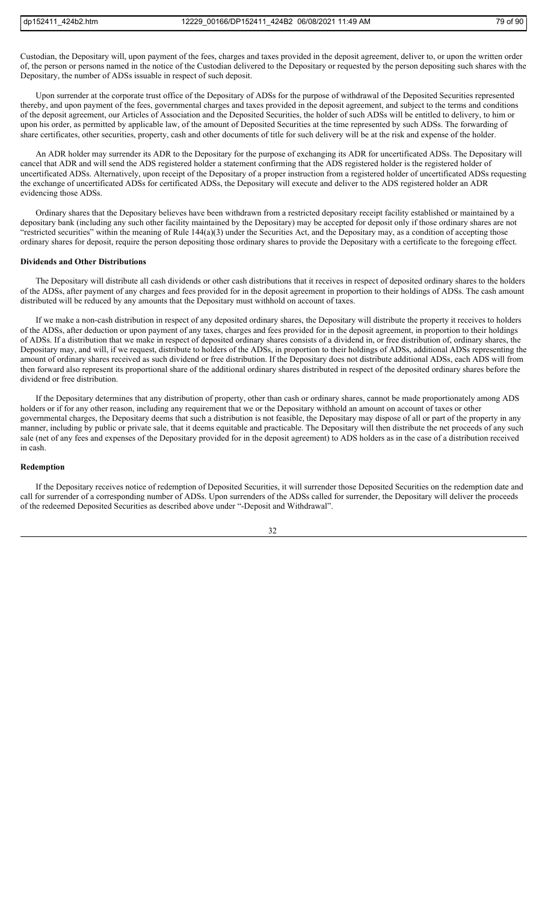Custodian, the Depositary will, upon payment of the fees, charges and taxes provided in the deposit agreement, deliver to, or upon the written order of, the person or persons named in the notice of the Custodian delivered to the Depositary or requested by the person depositing such shares with the Depositary, the number of ADSs issuable in respect of such deposit.

Upon surrender at the corporate trust office of the Depositary of ADSs for the purpose of withdrawal of the Deposited Securities represented thereby, and upon payment of the fees, governmental charges and taxes provided in the deposit agreement, and subject to the terms and conditions of the deposit agreement, our Articles of Association and the Deposited Securities, the holder of such ADSs will be entitled to delivery, to him or upon his order, as permitted by applicable law, of the amount of Deposited Securities at the time represented by such ADSs. The forwarding of share certificates, other securities, property, cash and other documents of title for such delivery will be at the risk and expense of the holder.

An ADR holder may surrender its ADR to the Depositary for the purpose of exchanging its ADR for uncertificated ADSs. The Depositary will cancel that ADR and will send the ADS registered holder a statement confirming that the ADS registered holder is the registered holder of uncertificated ADSs. Alternatively, upon receipt of the Depositary of a proper instruction from a registered holder of uncertificated ADSs requesting the exchange of uncertificated ADSs for certificated ADSs, the Depositary will execute and deliver to the ADS registered holder an ADR evidencing those ADSs.

Ordinary shares that the Depositary believes have been withdrawn from a restricted depositary receipt facility established or maintained by a depositary bank (including any such other facility maintained by the Depositary) may be accepted for deposit only if those ordinary shares are not "restricted securities" within the meaning of Rule 144(a)(3) under the Securities Act, and the Depositary may, as a condition of accepting those ordinary shares for deposit, require the person depositing those ordinary shares to provide the Depositary with a certificate to the foregoing effect.

#### **Dividends and Other Distributions**

The Depositary will distribute all cash dividends or other cash distributions that it receives in respect of deposited ordinary shares to the holders of the ADSs, after payment of any charges and fees provided for in the deposit agreement in proportion to their holdings of ADSs. The cash amount distributed will be reduced by any amounts that the Depositary must withhold on account of taxes.

If we make a non-cash distribution in respect of any deposited ordinary shares, the Depositary will distribute the property it receives to holders of the ADSs, after deduction or upon payment of any taxes, charges and fees provided for in the deposit agreement, in proportion to their holdings of ADSs. If a distribution that we make in respect of deposited ordinary shares consists of a dividend in, or free distribution of, ordinary shares, the Depositary may, and will, if we request, distribute to holders of the ADSs, in proportion to their holdings of ADSs, additional ADSs representing the amount of ordinary shares received as such dividend or free distribution. If the Depositary does not distribute additional ADSs, each ADS will from then forward also represent its proportional share of the additional ordinary shares distributed in respect of the deposited ordinary shares before the dividend or free distribution.

If the Depositary determines that any distribution of property, other than cash or ordinary shares, cannot be made proportionately among ADS holders or if for any other reason, including any requirement that we or the Depositary withhold an amount on account of taxes or other governmental charges, the Depositary deems that such a distribution is not feasible, the Depositary may dispose of all or part of the property in any manner, including by public or private sale, that it deems equitable and practicable. The Depositary will then distribute the net proceeds of any such sale (net of any fees and expenses of the Depositary provided for in the deposit agreement) to ADS holders as in the case of a distribution received in cash.

# **Redemption**

If the Depositary receives notice of redemption of Deposited Securities, it will surrender those Deposited Securities on the redemption date and call for surrender of a corresponding number of ADSs. Upon surrenders of the ADSs called for surrender, the Depositary will deliver the proceeds of the redeemed Deposited Securities as described above under "-Deposit and Withdrawal".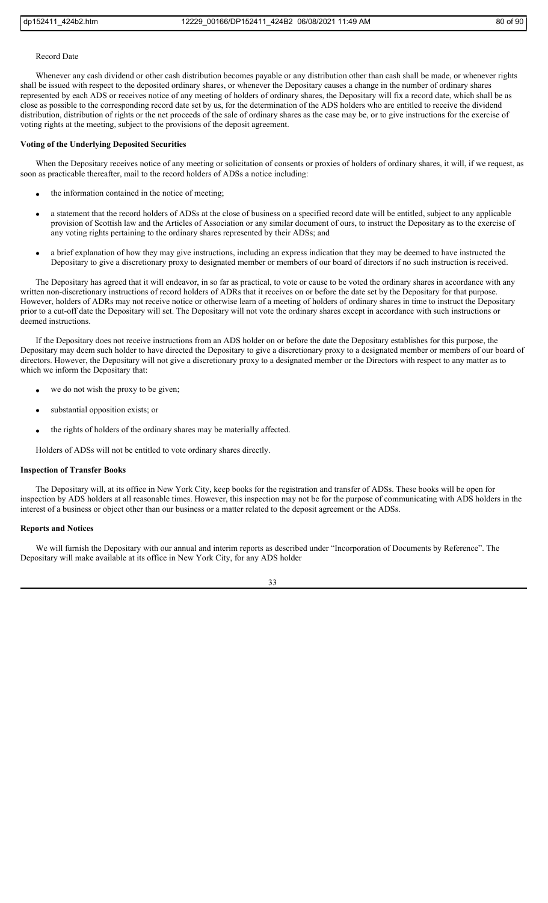#### Record Date

Whenever any cash dividend or other cash distribution becomes payable or any distribution other than cash shall be made, or whenever rights shall be issued with respect to the deposited ordinary shares, or whenever the Depositary causes a change in the number of ordinary shares represented by each ADS or receives notice of any meeting of holders of ordinary shares, the Depositary will fix a record date, which shall be as close as possible to the corresponding record date set by us, for the determination of the ADS holders who are entitled to receive the dividend distribution, distribution of rights or the net proceeds of the sale of ordinary shares as the case may be, or to give instructions for the exercise of voting rights at the meeting, subject to the provisions of the deposit agreement.

#### **Voting of the Underlying Deposited Securities**

When the Depositary receives notice of any meeting or solicitation of consents or proxies of holders of ordinary shares, it will, if we request, as soon as practicable thereafter, mail to the record holders of ADSs a notice including:

- the information contained in the notice of meeting;
- a statement that the record holders of ADSs at the close of business on a specified record date will be entitled, subject to any applicable provision of Scottish law and the Articles of Association or any similar document of ours, to instruct the Depositary as to the exercise of any voting rights pertaining to the ordinary shares represented by their ADSs; and
- a brief explanation of how they may give instructions, including an express indication that they may be deemed to have instructed the Depositary to give a discretionary proxy to designated member or members of our board of directors if no such instruction is received.

The Depositary has agreed that it will endeavor, in so far as practical, to vote or cause to be voted the ordinary shares in accordance with any written non-discretionary instructions of record holders of ADRs that it receives on or before the date set by the Depositary for that purpose. However, holders of ADRs may not receive notice or otherwise learn of a meeting of holders of ordinary shares in time to instruct the Depositary prior to a cut-off date the Depositary will set. The Depositary will not vote the ordinary shares except in accordance with such instructions or deemed instructions.

If the Depositary does not receive instructions from an ADS holder on or before the date the Depositary establishes for this purpose, the Depositary may deem such holder to have directed the Depositary to give a discretionary proxy to a designated member or members of our board of directors. However, the Depositary will not give a discretionary proxy to a designated member or the Directors with respect to any matter as to which we inform the Depositary that:

- we do not wish the proxy to be given;
- substantial opposition exists; or
- the rights of holders of the ordinary shares may be materially affected.
- Holders of ADSs will not be entitled to vote ordinary shares directly.

## **Inspection of Transfer Books**

The Depositary will, at its office in New York City, keep books for the registration and transfer of ADSs. These books will be open for inspection by ADS holders at all reasonable times. However, this inspection may not be for the purpose of communicating with ADS holders in the interest of a business or object other than our business or a matter related to the deposit agreement or the ADSs.

## **Reports and Notices**

We will furnish the Depositary with our annual and interim reports as described under "Incorporation of Documents by Reference". The Depositary will make available at its office in New York City, for any ADS holder

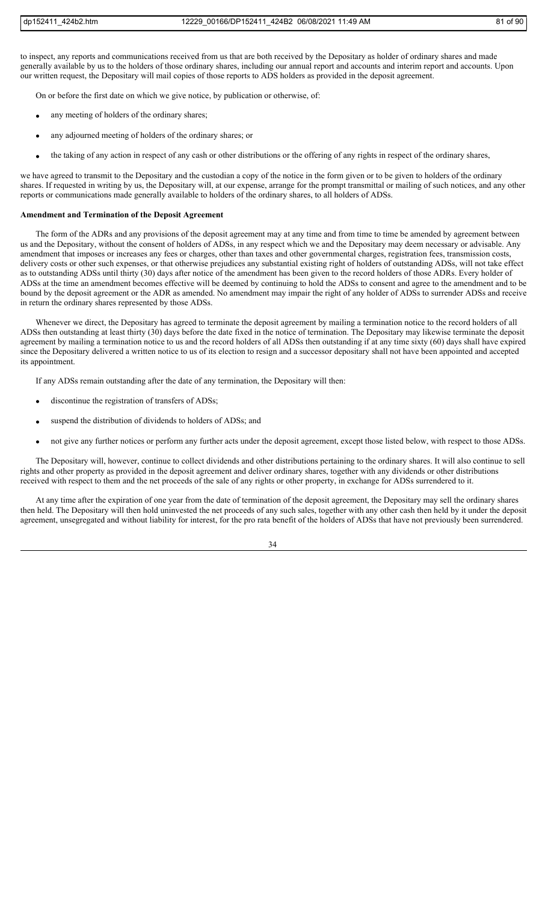to inspect, any reports and communications received from us that are both received by the Depositary as holder of ordinary shares and made generally available by us to the holders of those ordinary shares, including our annual report and accounts and interim report and accounts. Upon our written request, the Depositary will mail copies of those reports to ADS holders as provided in the deposit agreement.

On or before the first date on which we give notice, by publication or otherwise, of:

- any meeting of holders of the ordinary shares;
- any adjourned meeting of holders of the ordinary shares; or
- the taking of any action in respect of any cash or other distributions or the offering of any rights in respect of the ordinary shares,

we have agreed to transmit to the Depositary and the custodian a copy of the notice in the form given or to be given to holders of the ordinary shares. If requested in writing by us, the Depositary will, at our expense, arrange for the prompt transmittal or mailing of such notices, and any other reports or communications made generally available to holders of the ordinary shares, to all holders of ADSs.

### **Amendment and Termination of the Deposit Agreement**

The form of the ADRs and any provisions of the deposit agreement may at any time and from time to time be amended by agreement between us and the Depositary, without the consent of holders of ADSs, in any respect which we and the Depositary may deem necessary or advisable. Any amendment that imposes or increases any fees or charges, other than taxes and other governmental charges, registration fees, transmission costs, delivery costs or other such expenses, or that otherwise prejudices any substantial existing right of holders of outstanding ADSs, will not take effect as to outstanding ADSs until thirty (30) days after notice of the amendment has been given to the record holders of those ADRs. Every holder of ADSs at the time an amendment becomes effective will be deemed by continuing to hold the ADSs to consent and agree to the amendment and to be bound by the deposit agreement or the ADR as amended. No amendment may impair the right of any holder of ADSs to surrender ADSs and receive in return the ordinary shares represented by those ADSs.

Whenever we direct, the Depositary has agreed to terminate the deposit agreement by mailing a termination notice to the record holders of all ADSs then outstanding at least thirty (30) days before the date fixed in the notice of termination. The Depositary may likewise terminate the deposit agreement by mailing a termination notice to us and the record holders of all ADSs then outstanding if at any time sixty (60) days shall have expired since the Depositary delivered a written notice to us of its election to resign and a successor depositary shall not have been appointed and accepted its appointment.

If any ADSs remain outstanding after the date of any termination, the Depositary will then:

- discontinue the registration of transfers of ADSs;
- suspend the distribution of dividends to holders of ADSs; and
- not give any further notices or perform any further acts under the deposit agreement, except those listed below, with respect to those ADSs.

The Depositary will, however, continue to collect dividends and other distributions pertaining to the ordinary shares. It will also continue to sell rights and other property as provided in the deposit agreement and deliver ordinary shares, together with any dividends or other distributions received with respect to them and the net proceeds of the sale of any rights or other property, in exchange for ADSs surrendered to it.

At any time after the expiration of one year from the date of termination of the deposit agreement, the Depositary may sell the ordinary shares then held. The Depositary will then hold uninvested the net proceeds of any such sales, together with any other cash then held by it under the deposit agreement, unsegregated and without liability for interest, for the pro rata benefit of the holders of ADSs that have not previously been surrendered.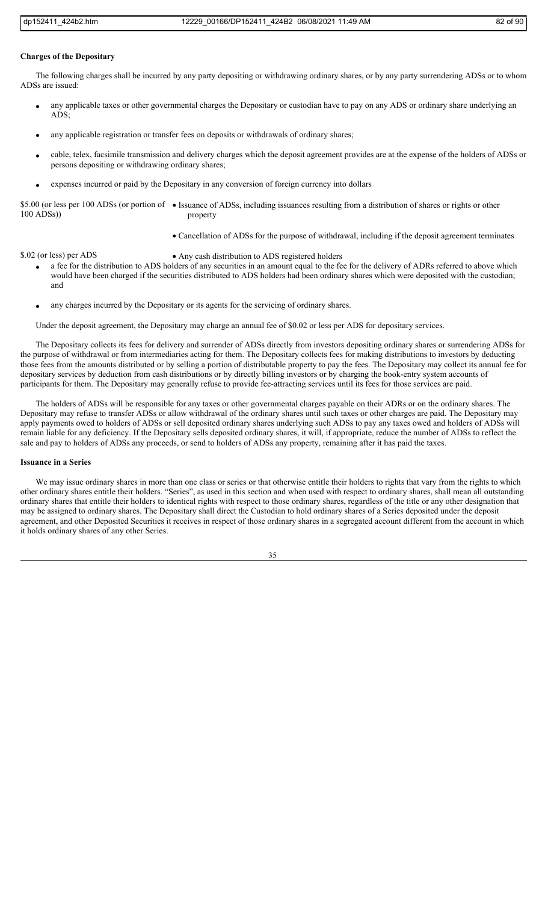#### **Charges of the Depositary**

The following charges shall be incurred by any party depositing or withdrawing ordinary shares, or by any party surrendering ADSs or to whom ADSs are issued:

- any applicable taxes or other governmental charges the Depositary or custodian have to pay on any ADS or ordinary share underlying an ADS;
- any applicable registration or transfer fees on deposits or withdrawals of ordinary shares;
- cable, telex, facsimile transmission and delivery charges which the deposit agreement provides are at the expense of the holders of ADSs or persons depositing or withdrawing ordinary shares;
- expenses incurred or paid by the Depositary in any conversion of foreign currency into dollars

\$5.00 (or less per 100 ADSs (or portion of • Issuance of ADSs, including issuances resulting from a distribution of shares or rights or other 100 ADSs)) property

Cancellation of ADSs for the purpose of withdrawal, including if the deposit agreement terminates

- \$.02 (or less) per ADS Any cash distribution to ADS registered holders
	- a fee for the distribution to ADS holders of any securities in an amount equal to the fee for the delivery of ADRs referred to above which would have been charged if the securities distributed to ADS holders had been ordinary shares which were deposited with the custodian; and
	- any charges incurred by the Depositary or its agents for the servicing of ordinary shares.

Under the deposit agreement, the Depositary may charge an annual fee of \$0.02 or less per ADS for depositary services.

The Depositary collects its fees for delivery and surrender of ADSs directly from investors depositing ordinary shares or surrendering ADSs for the purpose of withdrawal or from intermediaries acting for them. The Depositary collects fees for making distributions to investors by deducting those fees from the amounts distributed or by selling a portion of distributable property to pay the fees. The Depositary may collect its annual fee for depositary services by deduction from cash distributions or by directly billing investors or by charging the book-entry system accounts of participants for them. The Depositary may generally refuse to provide fee-attracting services until its fees for those services are paid.

The holders of ADSs will be responsible for any taxes or other governmental charges payable on their ADRs or on the ordinary shares. The Depositary may refuse to transfer ADSs or allow withdrawal of the ordinary shares until such taxes or other charges are paid. The Depositary may apply payments owed to holders of ADSs or sell deposited ordinary shares underlying such ADSs to pay any taxes owed and holders of ADSs will remain liable for any deficiency. If the Depositary sells deposited ordinary shares, it will, if appropriate, reduce the number of ADSs to reflect the sale and pay to holders of ADSs any proceeds, or send to holders of ADSs any property, remaining after it has paid the taxes.

#### **Issuance in a Series**

We may issue ordinary shares in more than one class or series or that otherwise entitle their holders to rights that vary from the rights to which other ordinary shares entitle their holders. "Series", as used in this section and when used with respect to ordinary shares, shall mean all outstanding ordinary shares that entitle their holders to identical rights with respect to those ordinary shares, regardless of the title or any other designation that may be assigned to ordinary shares. The Depositary shall direct the Custodian to hold ordinary shares of a Series deposited under the deposit agreement, and other Deposited Securities it receives in respect of those ordinary shares in a segregated account different from the account in which it holds ordinary shares of any other Series.

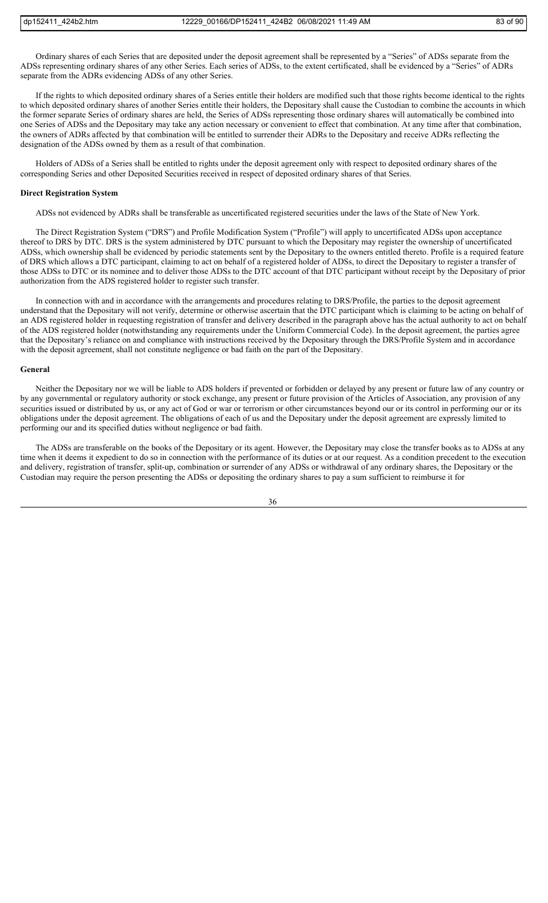Ordinary shares of each Series that are deposited under the deposit agreement shall be represented by a "Series" of ADSs separate from the ADSs representing ordinary shares of any other Series. Each series of ADSs, to the extent certificated, shall be evidenced by a "Series" of ADRs separate from the ADRs evidencing ADSs of any other Series.

If the rights to which deposited ordinary shares of a Series entitle their holders are modified such that those rights become identical to the rights to which deposited ordinary shares of another Series entitle their holders, the Depositary shall cause the Custodian to combine the accounts in which the former separate Series of ordinary shares are held, the Series of ADSs representing those ordinary shares will automatically be combined into one Series of ADSs and the Depositary may take any action necessary or convenient to effect that combination. At any time after that combination, the owners of ADRs affected by that combination will be entitled to surrender their ADRs to the Depositary and receive ADRs reflecting the designation of the ADSs owned by them as a result of that combination.

Holders of ADSs of a Series shall be entitled to rights under the deposit agreement only with respect to deposited ordinary shares of the corresponding Series and other Deposited Securities received in respect of deposited ordinary shares of that Series.

#### **Direct Registration System**

ADSs not evidenced by ADRs shall be transferable as uncertificated registered securities under the laws of the State of New York.

The Direct Registration System ("DRS") and Profile Modification System ("Profile") will apply to uncertificated ADSs upon acceptance thereof to DRS by DTC. DRS is the system administered by DTC pursuant to which the Depositary may register the ownership of uncertificated ADSs, which ownership shall be evidenced by periodic statements sent by the Depositary to the owners entitled thereto. Profile is a required feature of DRS which allows a DTC participant, claiming to act on behalf of a registered holder of ADSs, to direct the Depositary to register a transfer of those ADSs to DTC or its nominee and to deliver those ADSs to the DTC account of that DTC participant without receipt by the Depositary of prior authorization from the ADS registered holder to register such transfer.

In connection with and in accordance with the arrangements and procedures relating to DRS/Profile, the parties to the deposit agreement understand that the Depositary will not verify, determine or otherwise ascertain that the DTC participant which is claiming to be acting on behalf of an ADS registered holder in requesting registration of transfer and delivery described in the paragraph above has the actual authority to act on behalf of the ADS registered holder (notwithstanding any requirements under the Uniform Commercial Code). In the deposit agreement, the parties agree that the Depositary's reliance on and compliance with instructions received by the Depositary through the DRS/Profile System and in accordance with the deposit agreement, shall not constitute negligence or bad faith on the part of the Depositary.

#### **General**

Neither the Depositary nor we will be liable to ADS holders if prevented or forbidden or delayed by any present or future law of any country or by any governmental or regulatory authority or stock exchange, any present or future provision of the Articles of Association, any provision of any securities issued or distributed by us, or any act of God or war or terrorism or other circumstances beyond our or its control in performing our or its obligations under the deposit agreement. The obligations of each of us and the Depositary under the deposit agreement are expressly limited to performing our and its specified duties without negligence or bad faith.

The ADSs are transferable on the books of the Depositary or its agent. However, the Depositary may close the transfer books as to ADSs at any time when it deems it expedient to do so in connection with the performance of its duties or at our request. As a condition precedent to the execution and delivery, registration of transfer, split-up, combination or surrender of any ADSs or withdrawal of any ordinary shares, the Depositary or the Custodian may require the person presenting the ADSs or depositing the ordinary shares to pay a sum sufficient to reimburse it for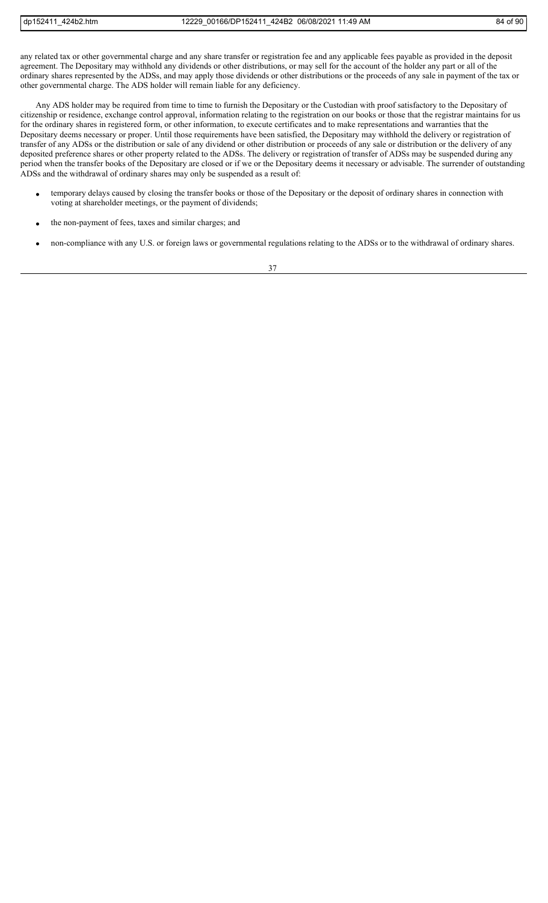any related tax or other governmental charge and any share transfer or registration fee and any applicable fees payable as provided in the deposit agreement. The Depositary may withhold any dividends or other distributions, or may sell for the account of the holder any part or all of the ordinary shares represented by the ADSs, and may apply those dividends or other distributions or the proceeds of any sale in payment of the tax or other governmental charge. The ADS holder will remain liable for any deficiency.

Any ADS holder may be required from time to time to furnish the Depositary or the Custodian with proof satisfactory to the Depositary of citizenship or residence, exchange control approval, information relating to the registration on our books or those that the registrar maintains for us for the ordinary shares in registered form, or other information, to execute certificates and to make representations and warranties that the Depositary deems necessary or proper. Until those requirements have been satisfied, the Depositary may withhold the delivery or registration of transfer of any ADSs or the distribution or sale of any dividend or other distribution or proceeds of any sale or distribution or the delivery of any deposited preference shares or other property related to the ADSs. The delivery or registration of transfer of ADSs may be suspended during any period when the transfer books of the Depositary are closed or if we or the Depositary deems it necessary or advisable. The surrender of outstanding ADSs and the withdrawal of ordinary shares may only be suspended as a result of:

- temporary delays caused by closing the transfer books or those of the Depositary or the deposit of ordinary shares in connection with voting at shareholder meetings, or the payment of dividends;
- the non-payment of fees, taxes and similar charges; and
- non-compliance with any U.S. or foreign laws or governmental regulations relating to the ADSs or to the withdrawal of ordinary shares.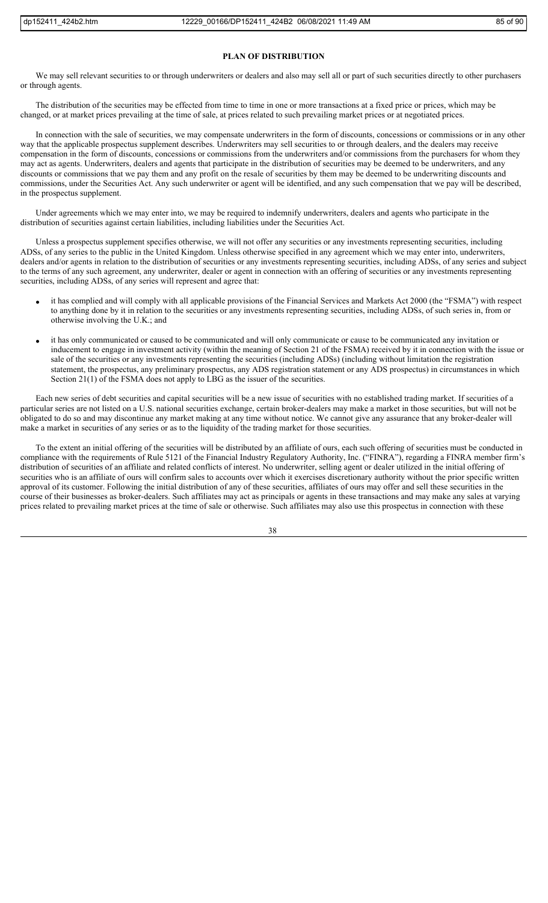#### **PLAN OF DISTRIBUTION**

We may sell relevant securities to or through underwriters or dealers and also may sell all or part of such securities directly to other purchasers or through agents.

The distribution of the securities may be effected from time to time in one or more transactions at a fixed price or prices, which may be changed, or at market prices prevailing at the time of sale, at prices related to such prevailing market prices or at negotiated prices.

In connection with the sale of securities, we may compensate underwriters in the form of discounts, concessions or commissions or in any other way that the applicable prospectus supplement describes. Underwriters may sell securities to or through dealers, and the dealers may receive compensation in the form of discounts, concessions or commissions from the underwriters and/or commissions from the purchasers for whom they may act as agents. Underwriters, dealers and agents that participate in the distribution of securities may be deemed to be underwriters, and any discounts or commissions that we pay them and any profit on the resale of securities by them may be deemed to be underwriting discounts and commissions, under the Securities Act. Any such underwriter or agent will be identified, and any such compensation that we pay will be described, in the prospectus supplement.

Under agreements which we may enter into, we may be required to indemnify underwriters, dealers and agents who participate in the distribution of securities against certain liabilities, including liabilities under the Securities Act.

Unless a prospectus supplement specifies otherwise, we will not offer any securities or any investments representing securities, including ADSs, of any series to the public in the United Kingdom. Unless otherwise specified in any agreement which we may enter into, underwriters, dealers and/or agents in relation to the distribution of securities or any investments representing securities, including ADSs, of any series and subject to the terms of any such agreement, any underwriter, dealer or agent in connection with an offering of securities or any investments representing securities, including ADSs, of any series will represent and agree that:

- it has complied and will comply with all applicable provisions of the Financial Services and Markets Act 2000 (the "FSMA") with respect to anything done by it in relation to the securities or any investments representing securities, including ADSs, of such series in, from or otherwise involving the U.K.; and
- it has only communicated or caused to be communicated and will only communicate or cause to be communicated any invitation or inducement to engage in investment activity (within the meaning of Section 21 of the FSMA) received by it in connection with the issue or sale of the securities or any investments representing the securities (including ADSs) (including without limitation the registration statement, the prospectus, any preliminary prospectus, any ADS registration statement or any ADS prospectus) in circumstances in which Section 21(1) of the FSMA does not apply to LBG as the issuer of the securities.

Each new series of debt securities and capital securities will be a new issue of securities with no established trading market. If securities of a particular series are not listed on a U.S. national securities exchange, certain broker-dealers may make a market in those securities, but will not be obligated to do so and may discontinue any market making at any time without notice. We cannot give any assurance that any broker-dealer will make a market in securities of any series or as to the liquidity of the trading market for those securities.

To the extent an initial offering of the securities will be distributed by an affiliate of ours, each such offering of securities must be conducted in compliance with the requirements of Rule 5121 of the Financial Industry Regulatory Authority, Inc. ("FINRA"), regarding a FINRA member firm's distribution of securities of an affiliate and related conflicts of interest. No underwriter, selling agent or dealer utilized in the initial offering of securities who is an affiliate of ours will confirm sales to accounts over which it exercises discretionary authority without the prior specific written approval of its customer. Following the initial distribution of any of these securities, affiliates of ours may offer and sell these securities in the course of their businesses as broker-dealers. Such affiliates may act as principals or agents in these transactions and may make any sales at varying prices related to prevailing market prices at the time of sale or otherwise. Such affiliates may also use this prospectus in connection with these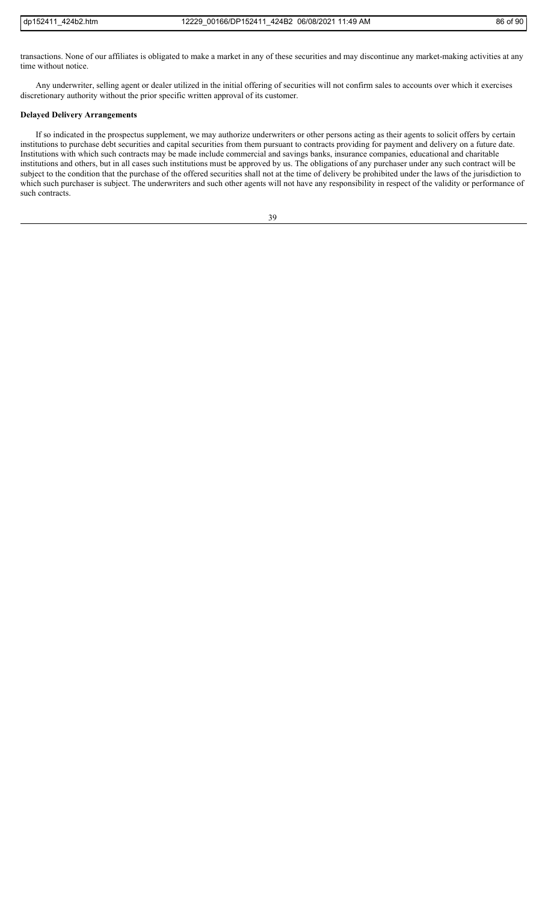transactions. None of our affiliates is obligated to make a market in any of these securities and may discontinue any market-making activities at any time without notice.

Any underwriter, selling agent or dealer utilized in the initial offering of securities will not confirm sales to accounts over which it exercises discretionary authority without the prior specific written approval of its customer.

# **Delayed Delivery Arrangements**

If so indicated in the prospectus supplement, we may authorize underwriters or other persons acting as their agents to solicit offers by certain institutions to purchase debt securities and capital securities from them pursuant to contracts providing for payment and delivery on a future date. Institutions with which such contracts may be made include commercial and savings banks, insurance companies, educational and charitable institutions and others, but in all cases such institutions must be approved by us. The obligations of any purchaser under any such contract will be subject to the condition that the purchase of the offered securities shall not at the time of delivery be prohibited under the laws of the jurisdiction to which such purchaser is subject. The underwriters and such other agents will not have any responsibility in respect of the validity or performance of such contracts.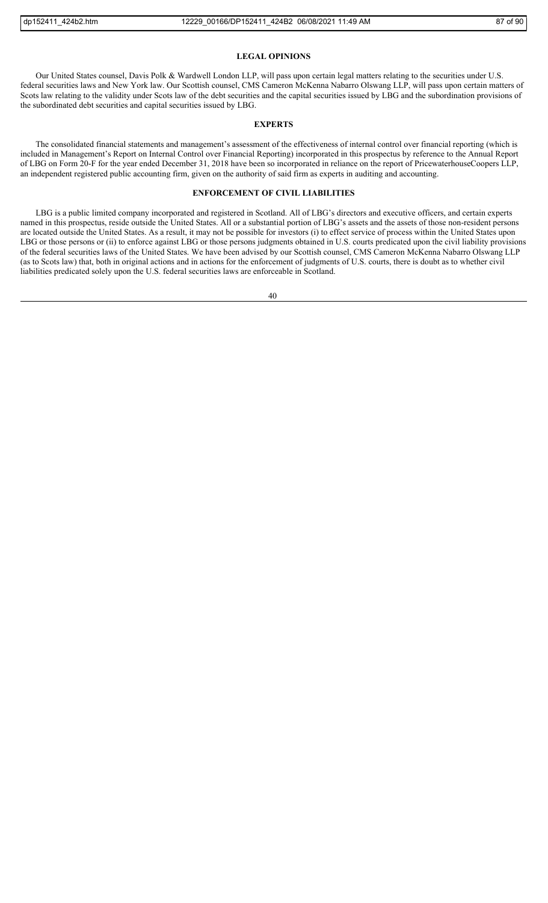#### **LEGAL OPINIONS**

Our United States counsel, Davis Polk & Wardwell London LLP, will pass upon certain legal matters relating to the securities under U.S. federal securities laws and New York law. Our Scottish counsel, CMS Cameron McKenna Nabarro Olswang LLP, will pass upon certain matters of Scots law relating to the validity under Scots law of the debt securities and the capital securities issued by LBG and the subordination provisions of the subordinated debt securities and capital securities issued by LBG.

## **EXPERTS**

The consolidated financial statements and management's assessment of the effectiveness of internal control over financial reporting (which is included in Management's Report on Internal Control over Financial Reporting) incorporated in this prospectus by reference to the Annual Report of LBG on Form 20-F for the year ended December 31, 2018 have been so incorporated in reliance on the report of PricewaterhouseCoopers LLP, an independent registered public accounting firm, given on the authority of said firm as experts in auditing and accounting.

# **ENFORCEMENT OF CIVIL LIABILITIES**

LBG is a public limited company incorporated and registered in Scotland. All of LBG's directors and executive officers, and certain experts named in this prospectus, reside outside the United States. All or a substantial portion of LBG's assets and the assets of those non-resident persons are located outside the United States. As a result, it may not be possible for investors (i) to effect service of process within the United States upon LBG or those persons or (ii) to enforce against LBG or those persons judgments obtained in U.S. courts predicated upon the civil liability provisions of the federal securities laws of the United States. We have been advised by our Scottish counsel, CMS Cameron McKenna Nabarro Olswang LLP (as to Scots law) that, both in original actions and in actions for the enforcement of judgments of U.S. courts, there is doubt as to whether civil liabilities predicated solely upon the U.S. federal securities laws are enforceable in Scotland.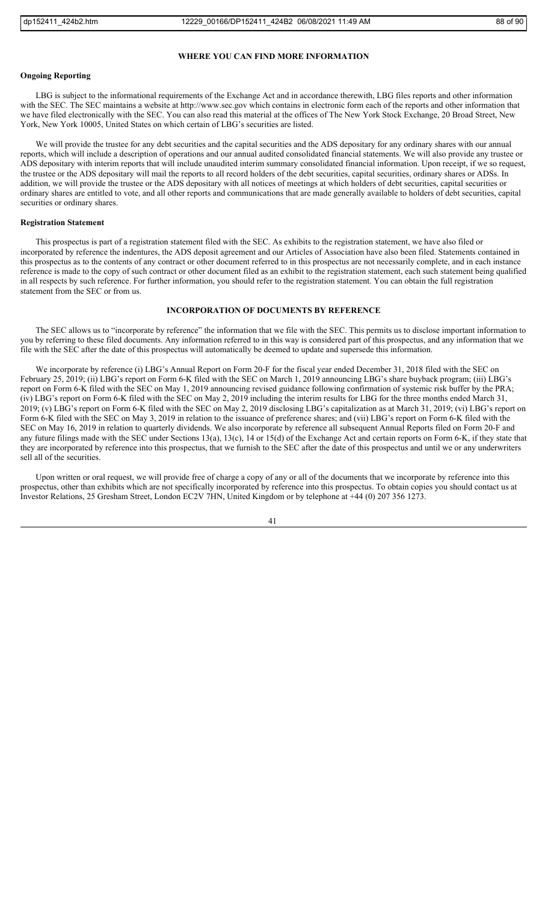### **WHERE YOU CAN FIND MORE INFORMATION**

# **Ongoing Reporting**

LBG is subject to the informational requirements of the Exchange Act and in accordance therewith, LBG files reports and other information with the SEC. The SEC maintains a website at http://www.sec.gov which contains in electronic form each of the reports and other information that we have filed electronically with the SEC. You can also read this material at the offices of The New York Stock Exchange, 20 Broad Street, New York, New York 10005, United States on which certain of LBG's securities are listed.

We will provide the trustee for any debt securities and the capital securities and the ADS depositary for any ordinary shares with our annual reports, which will include a description of operations and our annual audited consolidated financial statements. We will also provide any trustee or ADS depositary with interim reports that will include unaudited interim summary consolidated financial information. Upon receipt, if we so request, the trustee or the ADS depositary will mail the reports to all record holders of the debt securities, capital securities, ordinary shares or ADSs. In addition, we will provide the trustee or the ADS depositary with all notices of meetings at which holders of debt securities, capital securities or ordinary shares are entitled to vote, and all other reports and communications that are made generally available to holders of debt securities, capital securities or ordinary shares.

# **Registration Statement**

This prospectus is part of a registration statement filed with the SEC. As exhibits to the registration statement, we have also filed or incorporated by reference the indentures, the ADS deposit agreement and our Articles of Association have also been filed. Statements contained in this prospectus as to the contents of any contract or other document referred to in this prospectus are not necessarily complete, and in each instance reference is made to the copy of such contract or other document filed as an exhibit to the registration statement, each such statement being qualified in all respects by such reference. For further information, you should refer to the registration statement. You can obtain the full registration statement from the SEC or from us.

# **INCORPORATION OF DOCUMENTS BY REFERENCE**

The SEC allows us to "incorporate by reference" the information that we file with the SEC. This permits us to disclose important information to you by referring to these filed documents. Any information referred to in this way is considered part of this prospectus, and any information that we file with the SEC after the date of this prospectus will automatically be deemed to update and supersede this information.

We incorporate by reference (i) LBG's Annual Report on Form 20-F for the fiscal year ended December 31, 2018 filed with the SEC on February 25, 2019; (ii) LBG's report on Form 6-K filed with the SEC on March 1, 2019 announcing LBG's share buyback program; (iii) LBG's report on Form 6-K filed with the SEC on May 1, 2019 announcing revised guidance following confirmation of systemic risk buffer by the PRA; (iv) LBG's report on Form 6-K filed with the SEC on May 2, 2019 including the interim results for LBG for the three months ended March 31, 2019; (v) LBG's report on Form 6-K filed with the SEC on May 2, 2019 disclosing LBG's capitalization as at March 31, 2019; (vi) LBG's report on Form 6-K filed with the SEC on May 3, 2019 in relation to the issuance of preference shares; and (vii) LBG's report on Form 6-K filed with the SEC on May 16, 2019 in relation to quarterly dividends. We also incorporate by reference all subsequent Annual Reports filed on Form 20-F and any future filings made with the SEC under Sections 13(a), 13(c), 14 or 15(d) of the Exchange Act and certain reports on Form 6-K, if they state that they are incorporated by reference into this prospectus, that we furnish to the SEC after the date of this prospectus and until we or any underwriters sell all of the securities.

Upon written or oral request, we will provide free of charge a copy of any or all of the documents that we incorporate by reference into this prospectus, other than exhibits which are not specifically incorporated by reference into this prospectus. To obtain copies you should contact us at Investor Relations, 25 Gresham Street, London EC2V 7HN, United Kingdom or by telephone at +44 (0) 207 356 1273.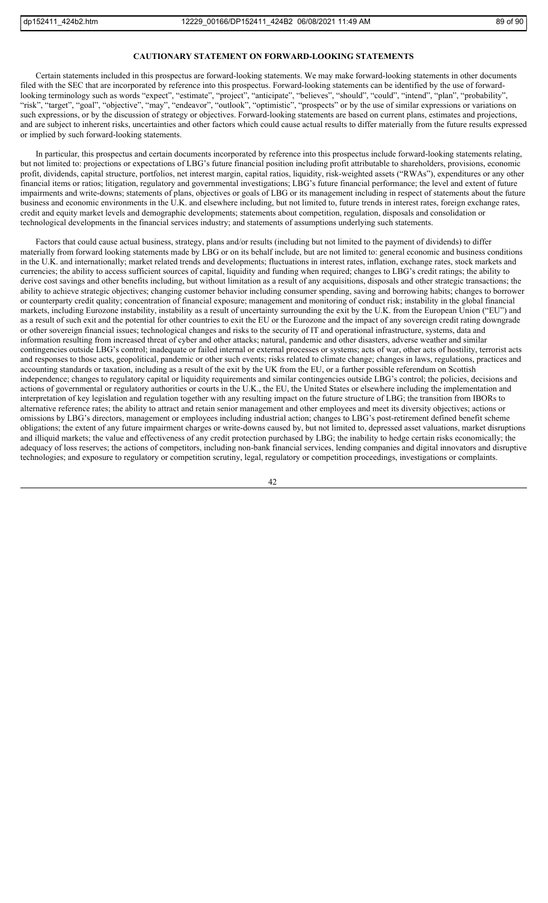### **CAUTIONARY STATEMENT ON FORWARD-LOOKING STATEMENTS**

Certain statements included in this prospectus are forward-looking statements. We may make forward-looking statements in other documents filed with the SEC that are incorporated by reference into this prospectus. Forward-looking statements can be identified by the use of forwardlooking terminology such as words "expect", "estimate", "project", "anticipate", "believes", "should", "could", "intend", "plan", "probability", "risk", "target", "goal", "objective", "may", "endeavor", "outlook", "optimistic", "prospects" or by the use of similar expressions or variations on such expressions, or by the discussion of strategy or objectives. Forward-looking statements are based on current plans, estimates and projections, and are subject to inherent risks, uncertainties and other factors which could cause actual results to differ materially from the future results expressed or implied by such forward-looking statements.

In particular, this prospectus and certain documents incorporated by reference into this prospectus include forward-looking statements relating, but not limited to: projections or expectations of LBG's future financial position including profit attributable to shareholders, provisions, economic profit, dividends, capital structure, portfolios, net interest margin, capital ratios, liquidity, risk-weighted assets ("RWAs"), expenditures or any other financial items or ratios; litigation, regulatory and governmental investigations; LBG's future financial performance; the level and extent of future impairments and write-downs; statements of plans, objectives or goals of LBG or its management including in respect of statements about the future business and economic environments in the U.K. and elsewhere including, but not limited to, future trends in interest rates, foreign exchange rates, credit and equity market levels and demographic developments; statements about competition, regulation, disposals and consolidation or technological developments in the financial services industry; and statements of assumptions underlying such statements.

Factors that could cause actual business, strategy, plans and/or results (including but not limited to the payment of dividends) to differ materially from forward looking statements made by LBG or on its behalf include, but are not limited to: general economic and business conditions in the U.K. and internationally; market related trends and developments; fluctuations in interest rates, inflation, exchange rates, stock markets and currencies; the ability to access sufficient sources of capital, liquidity and funding when required; changes to LBG's credit ratings; the ability to derive cost savings and other benefits including, but without limitation as a result of any acquisitions, disposals and other strategic transactions; the ability to achieve strategic objectives; changing customer behavior including consumer spending, saving and borrowing habits; changes to borrower or counterparty credit quality; concentration of financial exposure; management and monitoring of conduct risk; instability in the global financial markets, including Eurozone instability, instability as a result of uncertainty surrounding the exit by the U.K. from the European Union ("EU") and as a result of such exit and the potential for other countries to exit the EU or the Eurozone and the impact of any sovereign credit rating downgrade or other sovereign financial issues; technological changes and risks to the security of IT and operational infrastructure, systems, data and information resulting from increased threat of cyber and other attacks; natural, pandemic and other disasters, adverse weather and similar contingencies outside LBG's control; inadequate or failed internal or external processes or systems; acts of war, other acts of hostility, terrorist acts and responses to those acts, geopolitical, pandemic or other such events; risks related to climate change; changes in laws, regulations, practices and accounting standards or taxation, including as a result of the exit by the UK from the EU, or a further possible referendum on Scottish independence; changes to regulatory capital or liquidity requirements and similar contingencies outside LBG's control; the policies, decisions and actions of governmental or regulatory authorities or courts in the U.K., the EU, the United States or elsewhere including the implementation and interpretation of key legislation and regulation together with any resulting impact on the future structure of LBG; the transition from IBORs to alternative reference rates; the ability to attract and retain senior management and other employees and meet its diversity objectives; actions or omissions by LBG's directors, management or employees including industrial action; changes to LBG's post-retirement defined benefit scheme obligations; the extent of any future impairment charges or write-downs caused by, but not limited to, depressed asset valuations, market disruptions and illiquid markets; the value and effectiveness of any credit protection purchased by LBG; the inability to hedge certain risks economically; the adequacy of loss reserves; the actions of competitors, including non-bank financial services, lending companies and digital innovators and disruptive technologies; and exposure to regulatory or competition scrutiny, legal, regulatory or competition proceedings, investigations or complaints.